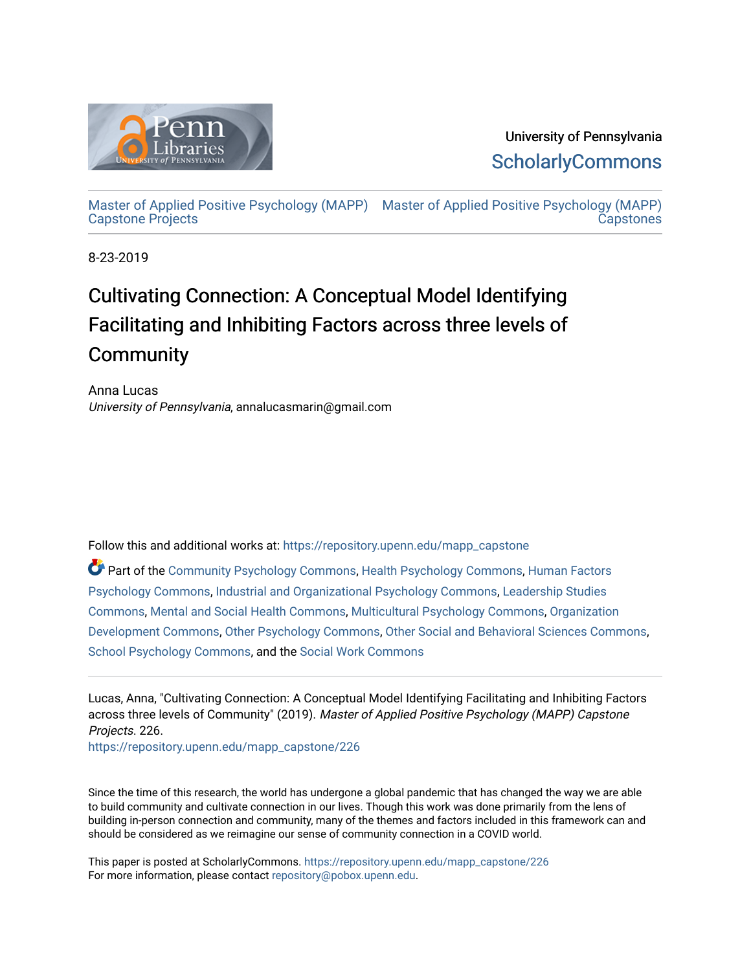

University of Pennsylvania **ScholarlyCommons** 

[Master of Applied Positive Psychology \(MAPP\)](https://repository.upenn.edu/mapp_capstone) [Master of Applied Positive Psychology \(MAPP\)](https://repository.upenn.edu/mapp_capstones)  [Capstone Projects](https://repository.upenn.edu/mapp_capstone)  **Capstones** 

8-23-2019

# Cultivating Connection: A Conceptual Model Identifying Facilitating and Inhibiting Factors across three levels of **Community**

Anna Lucas University of Pennsylvania, annalucasmarin@gmail.com

Follow this and additional works at: [https://repository.upenn.edu/mapp\\_capstone](https://repository.upenn.edu/mapp_capstone?utm_source=repository.upenn.edu%2Fmapp_capstone%2F226&utm_medium=PDF&utm_campaign=PDFCoverPages) 

Part of the [Community Psychology Commons,](http://network.bepress.com/hgg/discipline/409?utm_source=repository.upenn.edu%2Fmapp_capstone%2F226&utm_medium=PDF&utm_campaign=PDFCoverPages) [Health Psychology Commons](http://network.bepress.com/hgg/discipline/411?utm_source=repository.upenn.edu%2Fmapp_capstone%2F226&utm_medium=PDF&utm_campaign=PDFCoverPages), [Human Factors](http://network.bepress.com/hgg/discipline/1412?utm_source=repository.upenn.edu%2Fmapp_capstone%2F226&utm_medium=PDF&utm_campaign=PDFCoverPages)  [Psychology Commons,](http://network.bepress.com/hgg/discipline/1412?utm_source=repository.upenn.edu%2Fmapp_capstone%2F226&utm_medium=PDF&utm_campaign=PDFCoverPages) [Industrial and Organizational Psychology Commons,](http://network.bepress.com/hgg/discipline/412?utm_source=repository.upenn.edu%2Fmapp_capstone%2F226&utm_medium=PDF&utm_campaign=PDFCoverPages) [Leadership Studies](http://network.bepress.com/hgg/discipline/1250?utm_source=repository.upenn.edu%2Fmapp_capstone%2F226&utm_medium=PDF&utm_campaign=PDFCoverPages)  [Commons](http://network.bepress.com/hgg/discipline/1250?utm_source=repository.upenn.edu%2Fmapp_capstone%2F226&utm_medium=PDF&utm_campaign=PDFCoverPages), [Mental and Social Health Commons](http://network.bepress.com/hgg/discipline/709?utm_source=repository.upenn.edu%2Fmapp_capstone%2F226&utm_medium=PDF&utm_campaign=PDFCoverPages), [Multicultural Psychology Commons](http://network.bepress.com/hgg/discipline/1237?utm_source=repository.upenn.edu%2Fmapp_capstone%2F226&utm_medium=PDF&utm_campaign=PDFCoverPages), [Organization](http://network.bepress.com/hgg/discipline/1242?utm_source=repository.upenn.edu%2Fmapp_capstone%2F226&utm_medium=PDF&utm_campaign=PDFCoverPages)  [Development Commons](http://network.bepress.com/hgg/discipline/1242?utm_source=repository.upenn.edu%2Fmapp_capstone%2F226&utm_medium=PDF&utm_campaign=PDFCoverPages), [Other Psychology Commons,](http://network.bepress.com/hgg/discipline/415?utm_source=repository.upenn.edu%2Fmapp_capstone%2F226&utm_medium=PDF&utm_campaign=PDFCoverPages) [Other Social and Behavioral Sciences Commons](http://network.bepress.com/hgg/discipline/437?utm_source=repository.upenn.edu%2Fmapp_capstone%2F226&utm_medium=PDF&utm_campaign=PDFCoverPages), [School Psychology Commons,](http://network.bepress.com/hgg/discipline/1072?utm_source=repository.upenn.edu%2Fmapp_capstone%2F226&utm_medium=PDF&utm_campaign=PDFCoverPages) and the [Social Work Commons](http://network.bepress.com/hgg/discipline/713?utm_source=repository.upenn.edu%2Fmapp_capstone%2F226&utm_medium=PDF&utm_campaign=PDFCoverPages) 

Lucas, Anna, "Cultivating Connection: A Conceptual Model Identifying Facilitating and Inhibiting Factors across three levels of Community" (2019). Master of Applied Positive Psychology (MAPP) Capstone Projects. 226.

[https://repository.upenn.edu/mapp\\_capstone/226](https://repository.upenn.edu/mapp_capstone/226?utm_source=repository.upenn.edu%2Fmapp_capstone%2F226&utm_medium=PDF&utm_campaign=PDFCoverPages) 

Since the time of this research, the world has undergone a global pandemic that has changed the way we are able to build community and cultivate connection in our lives. Though this work was done primarily from the lens of building in-person connection and community, many of the themes and factors included in this framework can and should be considered as we reimagine our sense of community connection in a COVID world.

This paper is posted at ScholarlyCommons. [https://repository.upenn.edu/mapp\\_capstone/226](https://repository.upenn.edu/mapp_capstone/226)  For more information, please contact [repository@pobox.upenn.edu.](mailto:repository@pobox.upenn.edu)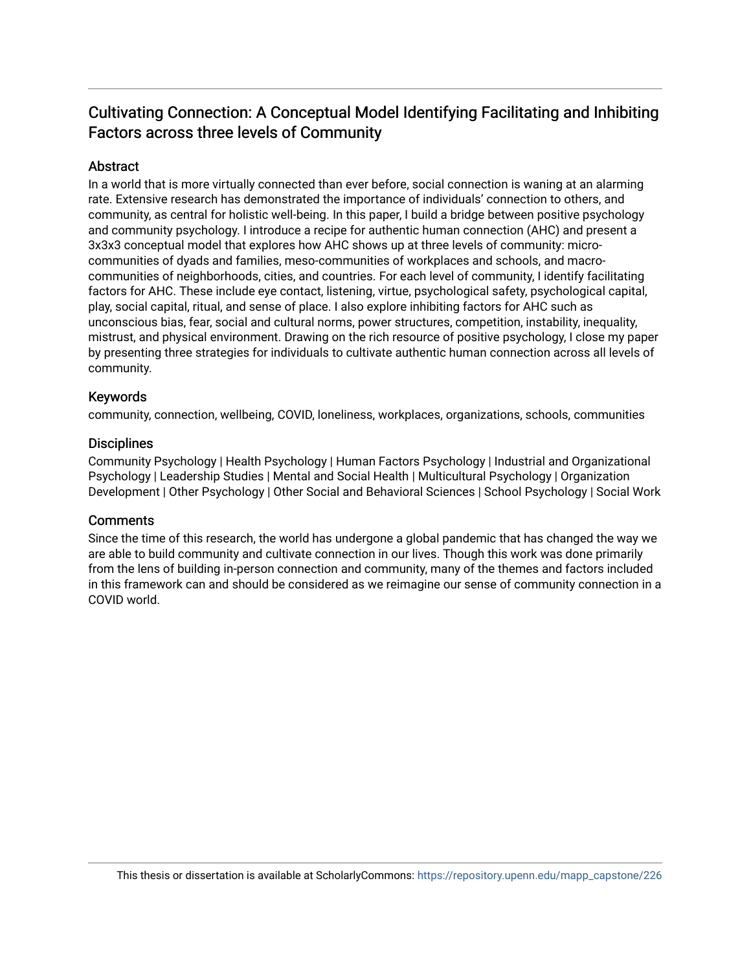# Cultivating Connection: A Conceptual Model Identifying Facilitating and Inhibiting Factors across three levels of Community

# **Abstract**

In a world that is more virtually connected than ever before, social connection is waning at an alarming rate. Extensive research has demonstrated the importance of individuals' connection to others, and community, as central for holistic well-being. In this paper, I build a bridge between positive psychology and community psychology. I introduce a recipe for authentic human connection (AHC) and present a 3x3x3 conceptual model that explores how AHC shows up at three levels of community: microcommunities of dyads and families, meso-communities of workplaces and schools, and macrocommunities of neighborhoods, cities, and countries. For each level of community, I identify facilitating factors for AHC. These include eye contact, listening, virtue, psychological safety, psychological capital, play, social capital, ritual, and sense of place. I also explore inhibiting factors for AHC such as unconscious bias, fear, social and cultural norms, power structures, competition, instability, inequality, mistrust, and physical environment. Drawing on the rich resource of positive psychology, I close my paper by presenting three strategies for individuals to cultivate authentic human connection across all levels of community.

# Keywords

community, connection, wellbeing, COVID, loneliness, workplaces, organizations, schools, communities

# **Disciplines**

Community Psychology | Health Psychology | Human Factors Psychology | Industrial and Organizational Psychology | Leadership Studies | Mental and Social Health | Multicultural Psychology | Organization Development | Other Psychology | Other Social and Behavioral Sciences | School Psychology | Social Work

# **Comments**

Since the time of this research, the world has undergone a global pandemic that has changed the way we are able to build community and cultivate connection in our lives. Though this work was done primarily from the lens of building in-person connection and community, many of the themes and factors included in this framework can and should be considered as we reimagine our sense of community connection in a COVID world.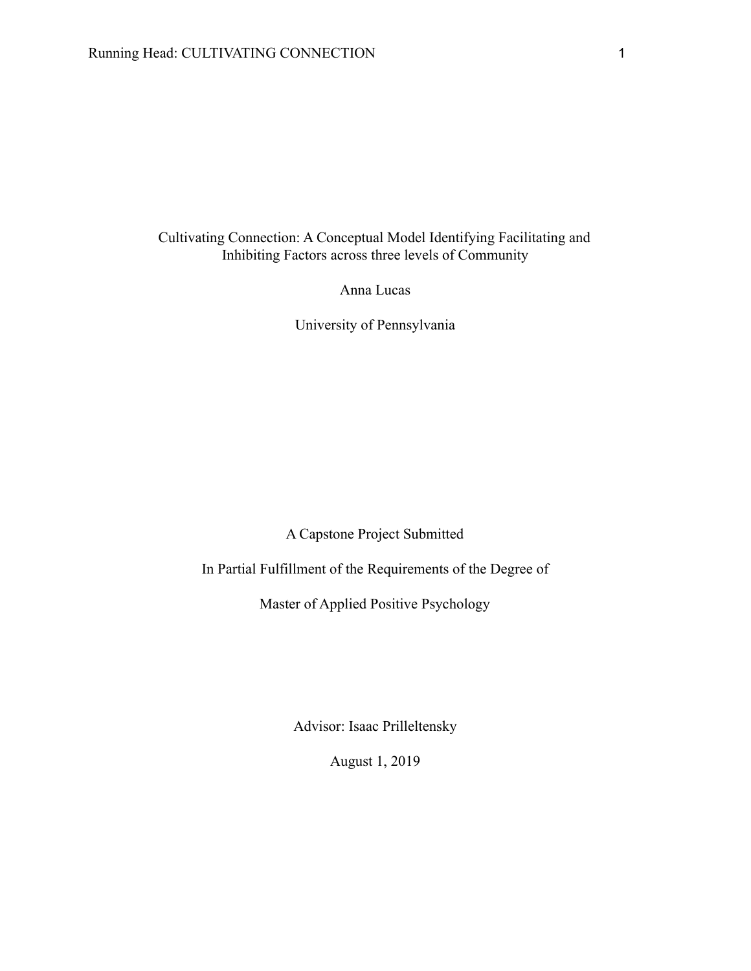Cultivating Connection: A Conceptual Model Identifying Facilitating and Inhibiting Factors across three levels of Community

Anna Lucas

University of Pennsylvania

A Capstone Project Submitted

In Partial Fulfillment of the Requirements of the Degree of

Master of Applied Positive Psychology

Advisor: Isaac Prilleltensky

August 1, 2019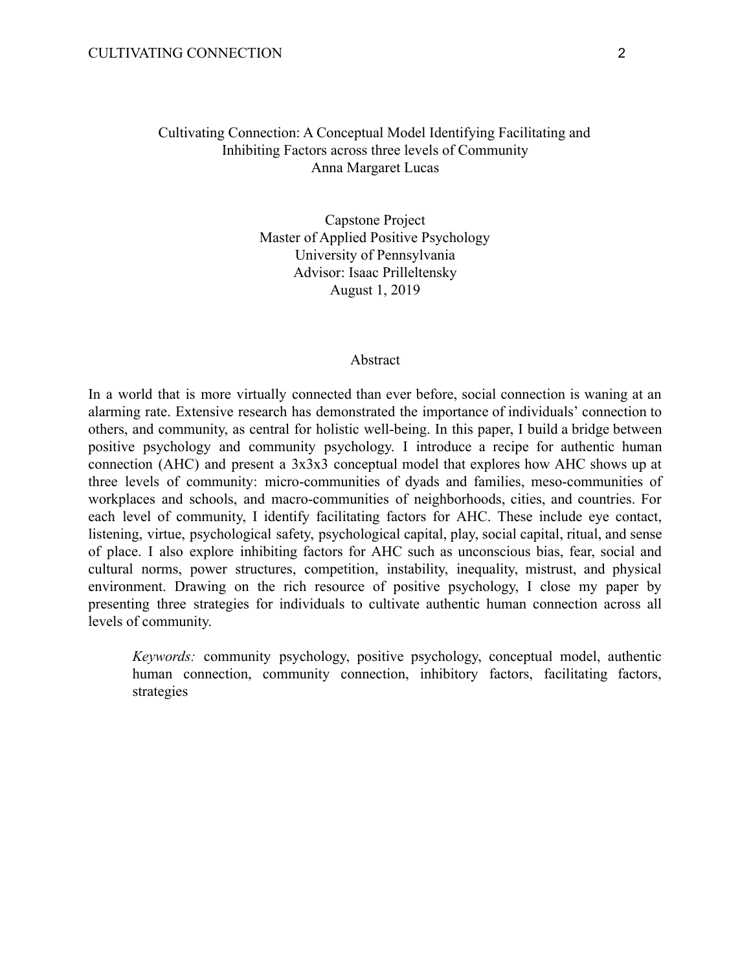# Cultivating Connection: A Conceptual Model Identifying Facilitating and Inhibiting Factors across three levels of Community Anna Margaret Lucas

Capstone Project Master of Applied Positive Psychology University of Pennsylvania Advisor: Isaac Prilleltensky August 1, 2019

#### **Abstract**

In a world that is more virtually connected than ever before, social connection is waning at an alarming rate. Extensive research has demonstrated the importance of individuals' connection to others, and community, as central for holistic well-being. In this paper, I build a bridge between positive psychology and community psychology. I introduce a recipe for authentic human connection (AHC) and present a 3x3x3 conceptual model that explores how AHC shows up at three levels of community: micro-communities of dyads and families, meso-communities of workplaces and schools, and macro-communities of neighborhoods, cities, and countries. For each level of community, I identify facilitating factors for AHC. These include eye contact, listening, virtue, psychological safety, psychological capital, play, social capital, ritual, and sense of place. I also explore inhibiting factors for AHC such as unconscious bias, fear, social and cultural norms, power structures, competition, instability, inequality, mistrust, and physical environment. Drawing on the rich resource of positive psychology, I close my paper by presenting three strategies for individuals to cultivate authentic human connection across all levels of community.

*Keywords:* community psychology, positive psychology, conceptual model, authentic human connection, community connection, inhibitory factors, facilitating factors, strategies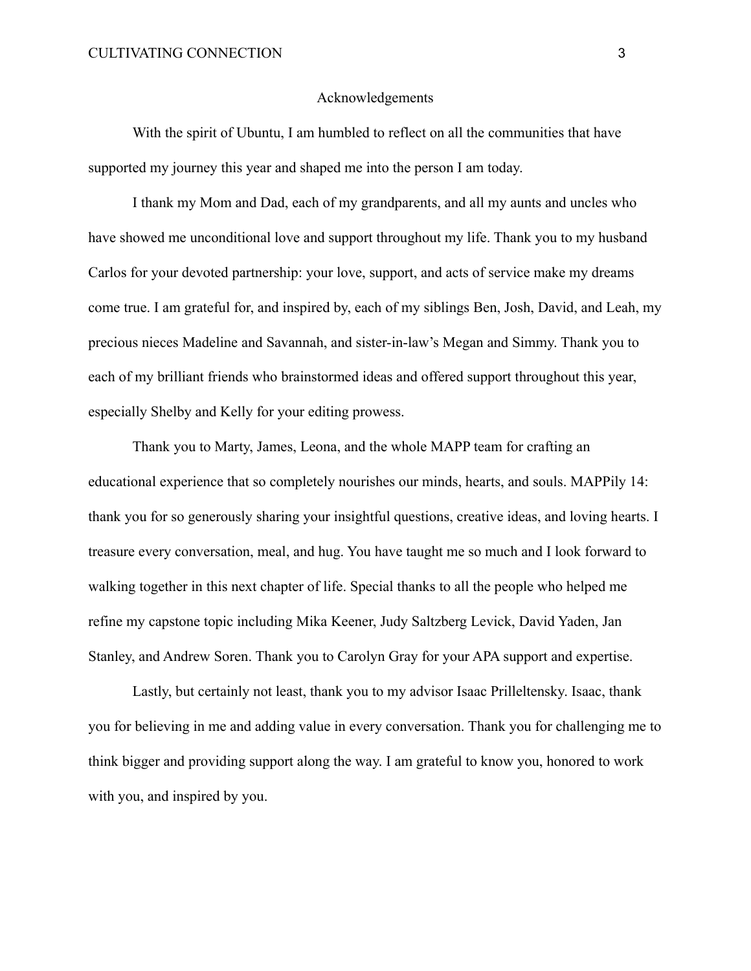#### Acknowledgements

With the spirit of Ubuntu, I am humbled to reflect on all the communities that have supported my journey this year and shaped me into the person I am today.

I thank my Mom and Dad, each of my grandparents, and all my aunts and uncles who have showed me unconditional love and support throughout my life. Thank you to my husband Carlos for your devoted partnership: your love, support, and acts of service make my dreams come true. I am grateful for, and inspired by, each of my siblings Ben, Josh, David, and Leah, my precious nieces Madeline and Savannah, and sister-in-law's Megan and Simmy. Thank you to each of my brilliant friends who brainstormed ideas and offered support throughout this year, especially Shelby and Kelly for your editing prowess.

Thank you to Marty, James, Leona, and the whole MAPP team for crafting an educational experience that so completely nourishes our minds, hearts, and souls. MAPPily 14: thank you for so generously sharing your insightful questions, creative ideas, and loving hearts. I treasure every conversation, meal, and hug. You have taught me so much and I look forward to walking together in this next chapter of life. Special thanks to all the people who helped me refine my capstone topic including Mika Keener, Judy Saltzberg Levick, David Yaden, Jan Stanley, and Andrew Soren. Thank you to Carolyn Gray for your APA support and expertise.

Lastly, but certainly not least, thank you to my advisor Isaac Prilleltensky. Isaac, thank you for believing in me and adding value in every conversation. Thank you for challenging me to think bigger and providing support along the way. I am grateful to know you, honored to work with you, and inspired by you.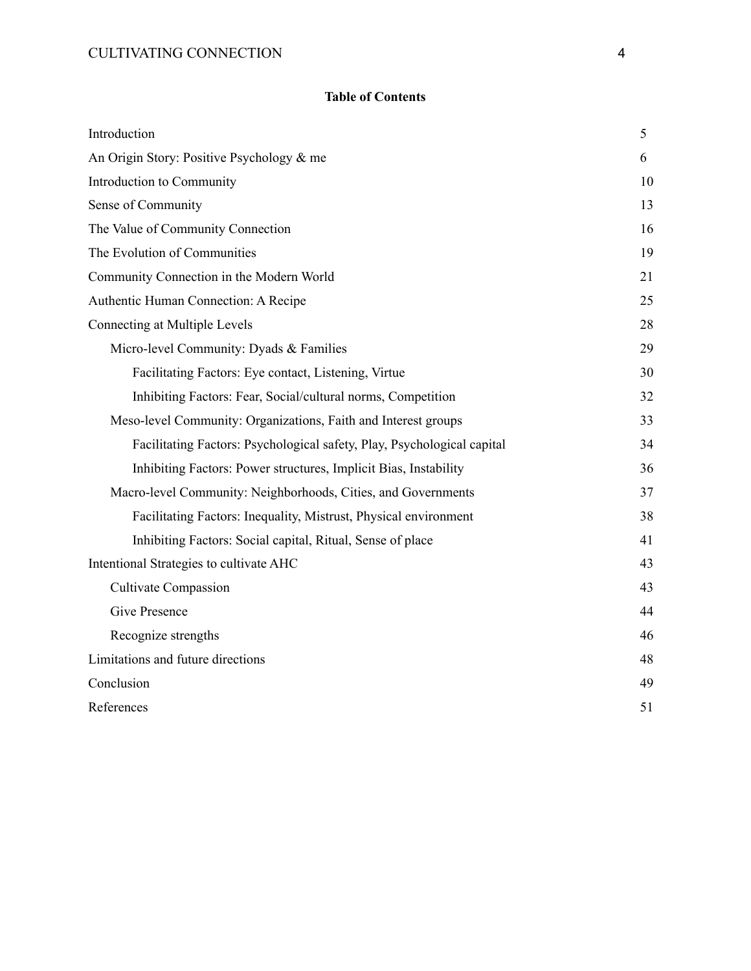# **Table of Contents**

| Introduction                                                            | 5  |
|-------------------------------------------------------------------------|----|
| An Origin Story: Positive Psychology & me                               |    |
| Introduction to Community                                               | 10 |
| Sense of Community                                                      |    |
| The Value of Community Connection                                       |    |
| The Evolution of Communities                                            |    |
| Community Connection in the Modern World                                | 21 |
| Authentic Human Connection: A Recipe                                    | 25 |
| Connecting at Multiple Levels                                           | 28 |
| Micro-level Community: Dyads & Families                                 | 29 |
| Facilitating Factors: Eye contact, Listening, Virtue                    | 30 |
| Inhibiting Factors: Fear, Social/cultural norms, Competition            | 32 |
| Meso-level Community: Organizations, Faith and Interest groups          |    |
| Facilitating Factors: Psychological safety, Play, Psychological capital |    |
| Inhibiting Factors: Power structures, Implicit Bias, Instability        | 36 |
| Macro-level Community: Neighborhoods, Cities, and Governments           |    |
| Facilitating Factors: Inequality, Mistrust, Physical environment        |    |
| Inhibiting Factors: Social capital, Ritual, Sense of place              | 41 |
| Intentional Strategies to cultivate AHC                                 |    |
| <b>Cultivate Compassion</b>                                             | 43 |
| Give Presence                                                           | 44 |
| Recognize strengths                                                     | 46 |
| Limitations and future directions                                       | 48 |
| Conclusion                                                              |    |
| References                                                              |    |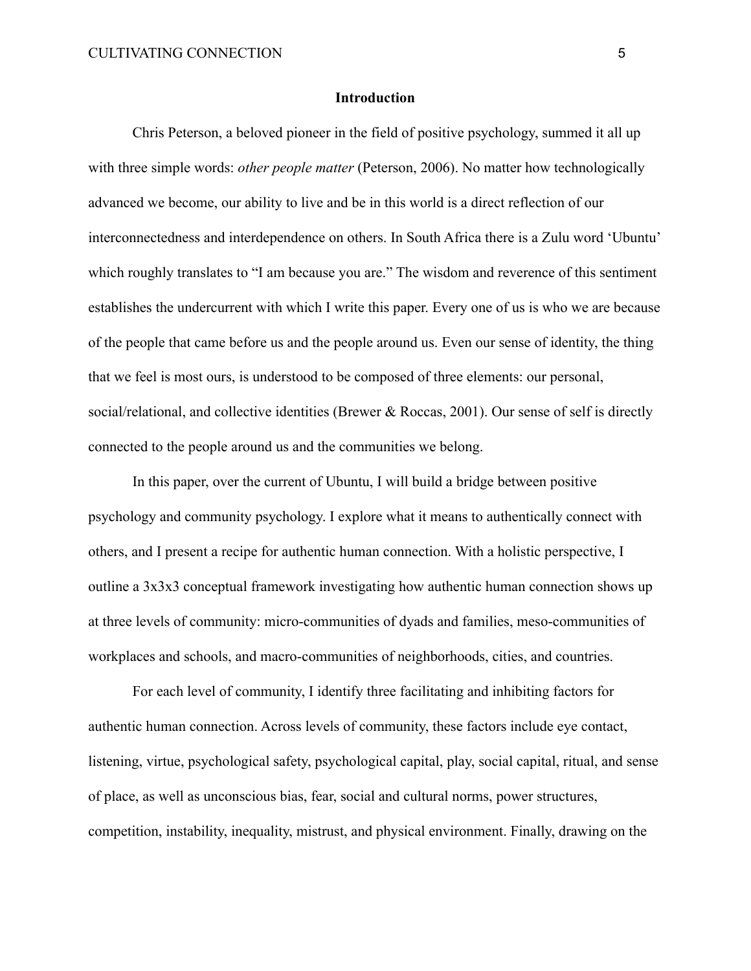#### **Introduction**

Chris Peterson, a beloved pioneer in the field of positive psychology, summed it all up with three simple words: *other people matter* (Peterson, 2006). No matter how technologically advanced we become, our ability to live and be in this world is a direct reflection of our interconnectedness and interdependence on others. In South Africa there is a Zulu word 'Ubuntu' which roughly translates to "I am because you are." The wisdom and reverence of this sentiment establishes the undercurrent with which I write this paper. Every one of us is who we are because of the people that came before us and the people around us. Even our sense of identity, the thing that we feel is most ours, is understood to be composed of three elements: our personal, social/relational, and collective identities (Brewer & Roccas, 2001). Our sense of self is directly connected to the people around us and the communities we belong.

In this paper, over the current of Ubuntu, I will build a bridge between positive psychology and community psychology. I explore what it means to authentically connect with others, and I present a recipe for authentic human connection. With a holistic perspective, I outline a 3x3x3 conceptual framework investigating how authentic human connection shows up at three levels of community: micro-communities of dyads and families, meso-communities of workplaces and schools, and macro-communities of neighborhoods, cities, and countries.

For each level of community, I identify three facilitating and inhibiting factors for authentic human connection. Across levels of community, these factors include eye contact, listening, virtue, psychological safety, psychological capital, play, social capital, ritual, and sense of place, as well as unconscious bias, fear, social and cultural norms, power structures, competition, instability, inequality, mistrust, and physical environment. Finally, drawing on the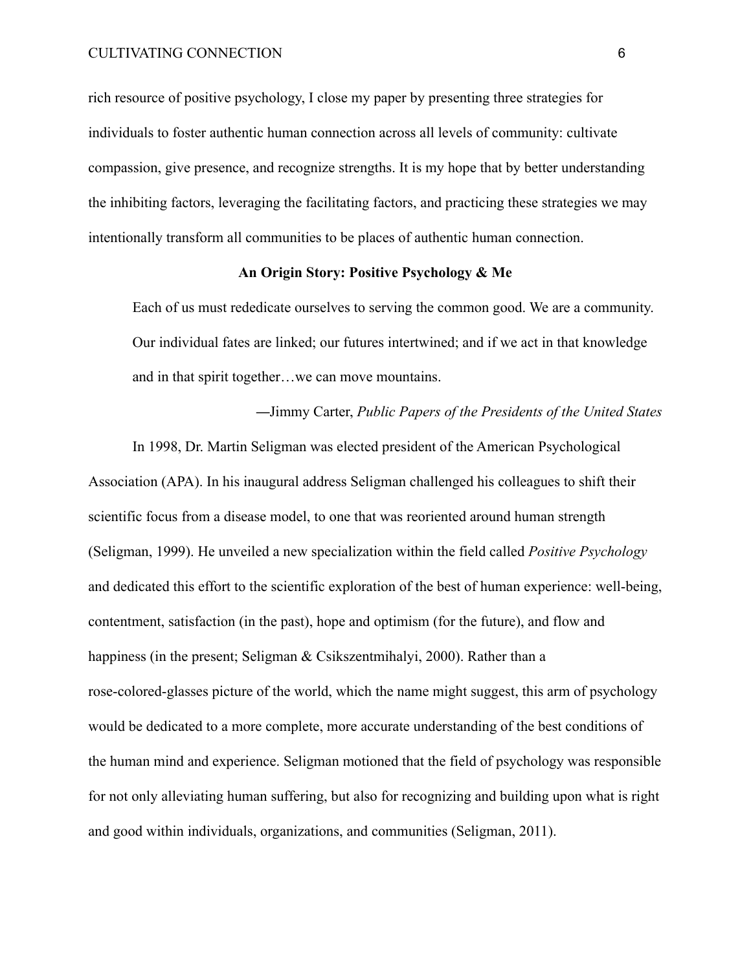rich resource of positive psychology, I close my paper by presenting three strategies for individuals to foster authentic human connection across all levels of community: cultivate compassion, give presence, and recognize strengths. It is my hope that by better understanding the inhibiting factors, leveraging the facilitating factors, and practicing these strategies we may intentionally transform all communities to be places of authentic human connection.

# **An Origin Story: Positive Psychology & Me**

Each of us must rededicate ourselves to serving the common good. We are a community. Our individual fates are linked; our futures intertwined; and if we act in that knowledge and in that spirit together…we can move mountains.

—Jimmy Carter, *Public Papers of the Presidents of the United States*

In 1998, Dr. Martin Seligman was elected president of the American Psychological Association (APA). In his inaugural address Seligman challenged his colleagues to shift their scientific focus from a disease model, to one that was reoriented around human strength (Seligman, 1999). He unveiled a new specialization within the field called *Positive Psychology* and dedicated this effort to the scientific exploration of the best of human experience: well-being, contentment, satisfaction (in the past), hope and optimism (for the future), and flow and happiness (in the present; Seligman & Csikszentmihalyi, 2000). Rather than a rose-colored-glasses picture of the world, which the name might suggest, this arm of psychology would be dedicated to a more complete, more accurate understanding of the best conditions of the human mind and experience. Seligman motioned that the field of psychology was responsible for not only alleviating human suffering, but also for recognizing and building upon what is right and good within individuals, organizations, and communities (Seligman, 2011).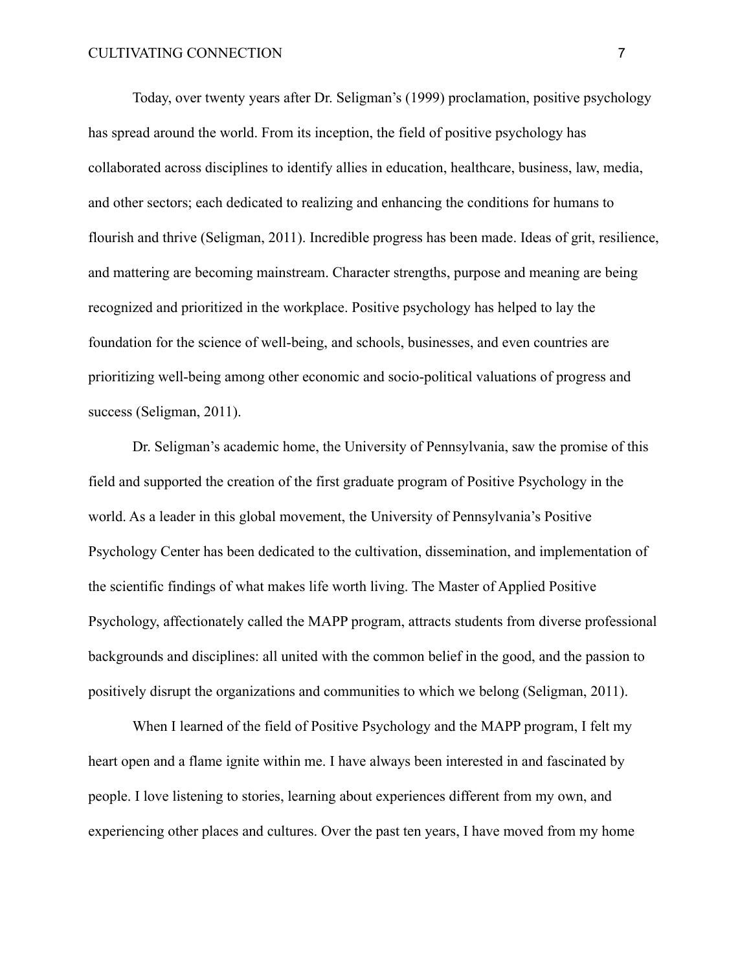Today, over twenty years after Dr. Seligman's (1999) proclamation, positive psychology has spread around the world. From its inception, the field of positive psychology has collaborated across disciplines to identify allies in education, healthcare, business, law, media, and other sectors; each dedicated to realizing and enhancing the conditions for humans to flourish and thrive (Seligman, 2011). Incredible progress has been made. Ideas of grit, resilience, and mattering are becoming mainstream. Character strengths, purpose and meaning are being recognized and prioritized in the workplace. Positive psychology has helped to lay the foundation for the science of well-being, and schools, businesses, and even countries are prioritizing well-being among other economic and socio-political valuations of progress and success (Seligman, 2011).

Dr. Seligman's academic home, the University of Pennsylvania, saw the promise of this field and supported the creation of the first graduate program of Positive Psychology in the world. As a leader in this global movement, the University of Pennsylvania's Positive Psychology Center has been dedicated to the cultivation, dissemination, and implementation of the scientific findings of what makes life worth living. The Master of Applied Positive Psychology, affectionately called the MAPP program, attracts students from diverse professional backgrounds and disciplines: all united with the common belief in the good, and the passion to positively disrupt the organizations and communities to which we belong (Seligman, 2011).

When I learned of the field of Positive Psychology and the MAPP program, I felt my heart open and a flame ignite within me. I have always been interested in and fascinated by people. I love listening to stories, learning about experiences different from my own, and experiencing other places and cultures. Over the past ten years, I have moved from my home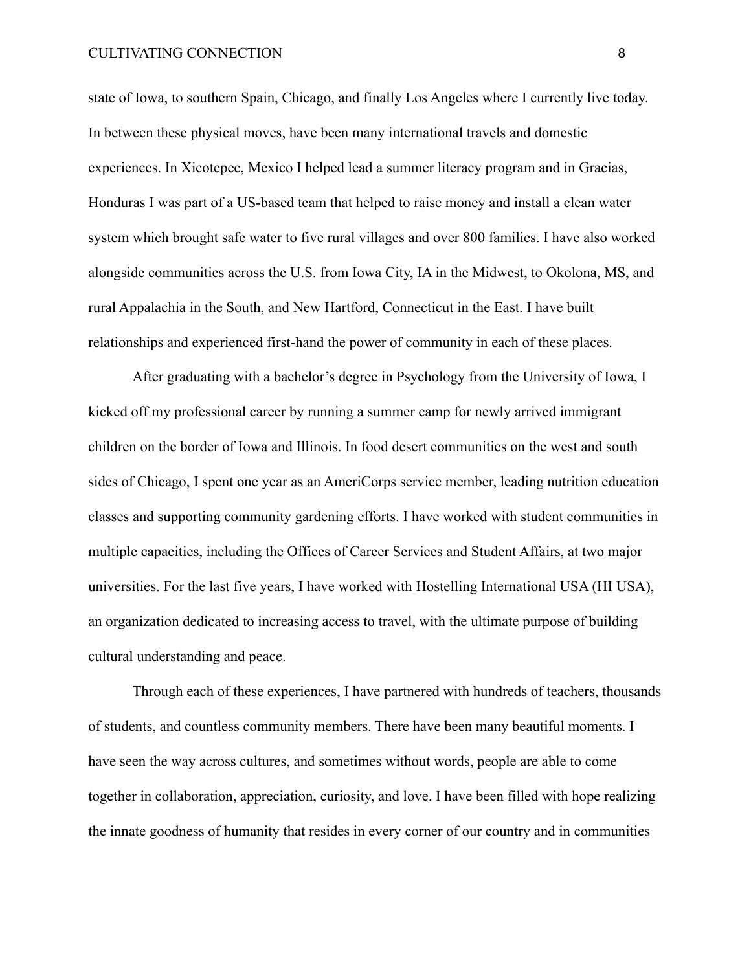# CULTIVATING CONNECTION 8

state of Iowa, to southern Spain, Chicago, and finally Los Angeles where I currently live today. In between these physical moves, have been many international travels and domestic experiences. In Xicotepec, Mexico I helped lead a summer literacy program and in Gracias, Honduras I was part of a US-based team that helped to raise money and install a clean water system which brought safe water to five rural villages and over 800 families. I have also worked alongside communities across the U.S. from Iowa City, IA in the Midwest, to Okolona, MS, and rural Appalachia in the South, and New Hartford, Connecticut in the East. I have built relationships and experienced first-hand the power of community in each of these places.

After graduating with a bachelor's degree in Psychology from the University of Iowa, I kicked off my professional career by running a summer camp for newly arrived immigrant children on the border of Iowa and Illinois. In food desert communities on the west and south sides of Chicago, I spent one year as an AmeriCorps service member, leading nutrition education classes and supporting community gardening efforts. I have worked with student communities in multiple capacities, including the Offices of Career Services and Student Affairs, at two major universities. For the last five years, I have worked with Hostelling International USA (HI USA), an organization dedicated to increasing access to travel, with the ultimate purpose of building cultural understanding and peace.

Through each of these experiences, I have partnered with hundreds of teachers, thousands of students, and countless community members. There have been many beautiful moments. I have seen the way across cultures, and sometimes without words, people are able to come together in collaboration, appreciation, curiosity, and love. I have been filled with hope realizing the innate goodness of humanity that resides in every corner of our country and in communities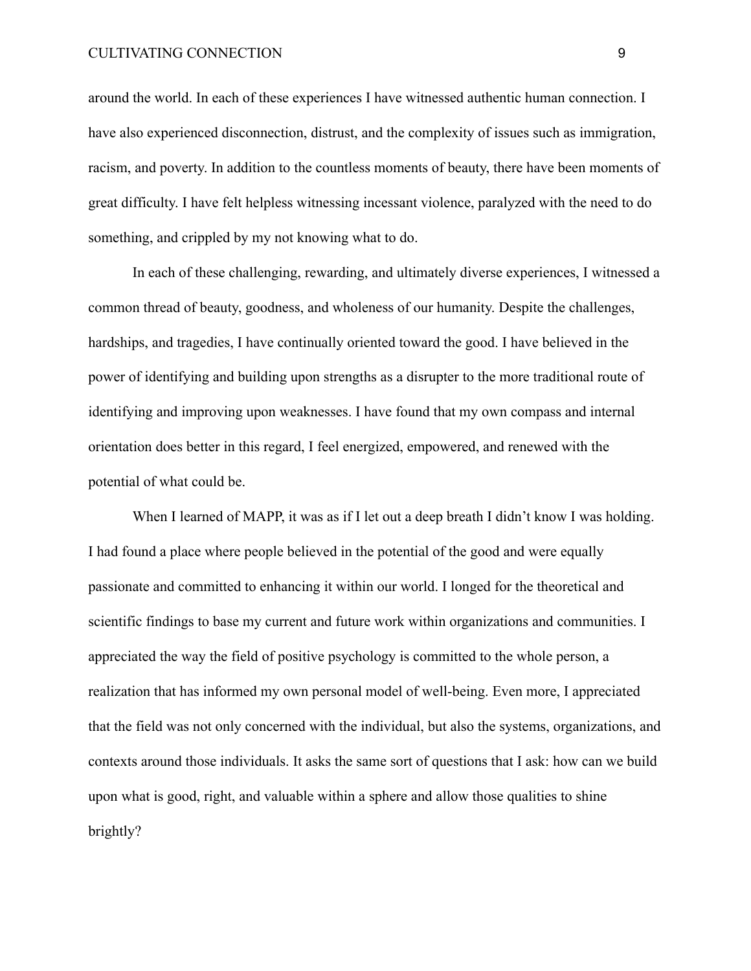#### CULTIVATING CONNECTION 9

around the world. In each of these experiences I have witnessed authentic human connection. I have also experienced disconnection, distrust, and the complexity of issues such as immigration, racism, and poverty. In addition to the countless moments of beauty, there have been moments of great difficulty. I have felt helpless witnessing incessant violence, paralyzed with the need to do something, and crippled by my not knowing what to do.

In each of these challenging, rewarding, and ultimately diverse experiences, I witnessed a common thread of beauty, goodness, and wholeness of our humanity. Despite the challenges, hardships, and tragedies, I have continually oriented toward the good. I have believed in the power of identifying and building upon strengths as a disrupter to the more traditional route of identifying and improving upon weaknesses. I have found that my own compass and internal orientation does better in this regard, I feel energized, empowered, and renewed with the potential of what could be.

When I learned of MAPP, it was as if I let out a deep breath I didn't know I was holding. I had found a place where people believed in the potential of the good and were equally passionate and committed to enhancing it within our world. I longed for the theoretical and scientific findings to base my current and future work within organizations and communities. I appreciated the way the field of positive psychology is committed to the whole person, a realization that has informed my own personal model of well-being. Even more, I appreciated that the field was not only concerned with the individual, but also the systems, organizations, and contexts around those individuals. It asks the same sort of questions that I ask: how can we build upon what is good, right, and valuable within a sphere and allow those qualities to shine brightly?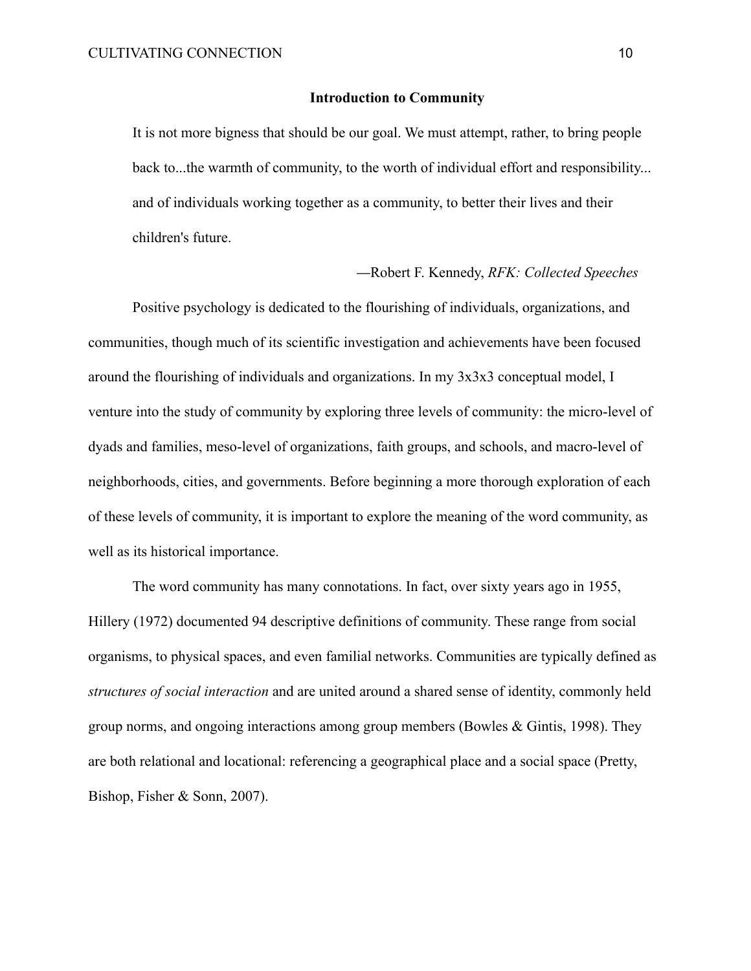## **Introduction to Community**

It is not more bigness that should be our goal. We must attempt, rather, to bring people back to...the warmth of community, to the worth of individual effort and responsibility... and of individuals working together as a community, to better their lives and their children's future.

#### —Robert F. Kennedy, *RFK: Collected Speeches*

Positive psychology is dedicated to the flourishing of individuals, organizations, and communities, though much of its scientific investigation and achievements have been focused around the flourishing of individuals and organizations. In my 3x3x3 conceptual model, I venture into the study of community by exploring three levels of community: the micro-level of dyads and families, meso-level of organizations, faith groups, and schools, and macro-level of neighborhoods, cities, and governments. Before beginning a more thorough exploration of each of these levels of community, it is important to explore the meaning of the word community, as well as its historical importance.

The word community has many connotations. In fact, over sixty years ago in 1955, Hillery (1972) documented 94 descriptive definitions of community. These range from social organisms, to physical spaces, and even familial networks. Communities are typically defined as *structures of social interaction* and are united around a shared sense of identity, commonly held group norms, and ongoing interactions among group members (Bowles & Gintis, 1998). They are both relational and locational: referencing a geographical place and a social space (Pretty, Bishop, Fisher & Sonn, 2007).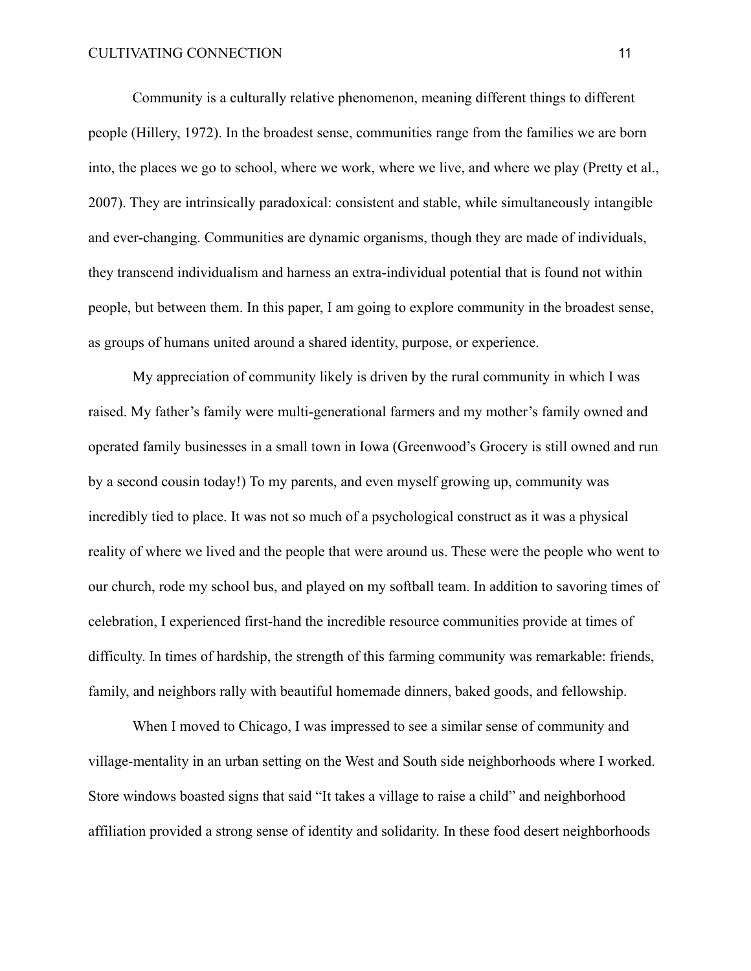Community is a culturally relative phenomenon, meaning different things to different people (Hillery, 1972). In the broadest sense, communities range from the families we are born into, the places we go to school, where we work, where we live, and where we play (Pretty et al., 2007). They are intrinsically paradoxical: consistent and stable, while simultaneously intangible and ever-changing. Communities are dynamic organisms, though they are made of individuals, they transcend individualism and harness an extra-individual potential that is found not within people, but between them. In this paper, I am going to explore community in the broadest sense, as groups of humans united around a shared identity, purpose, or experience.

My appreciation of community likely is driven by the rural community in which I was raised. My father's family were multi-generational farmers and my mother's family owned and operated family businesses in a small town in Iowa (Greenwood's Grocery is still owned and run by a second cousin today!) To my parents, and even myself growing up, community was incredibly tied to place. It was not so much of a psychological construct as it was a physical reality of where we lived and the people that were around us. These were the people who went to our church, rode my school bus, and played on my softball team. In addition to savoring times of celebration, I experienced first-hand the incredible resource communities provide at times of difficulty. In times of hardship, the strength of this farming community was remarkable: friends, family, and neighbors rally with beautiful homemade dinners, baked goods, and fellowship.

When I moved to Chicago, I was impressed to see a similar sense of community and village-mentality in an urban setting on the West and South side neighborhoods where I worked. Store windows boasted signs that said "It takes a village to raise a child" and neighborhood affiliation provided a strong sense of identity and solidarity. In these food desert neighborhoods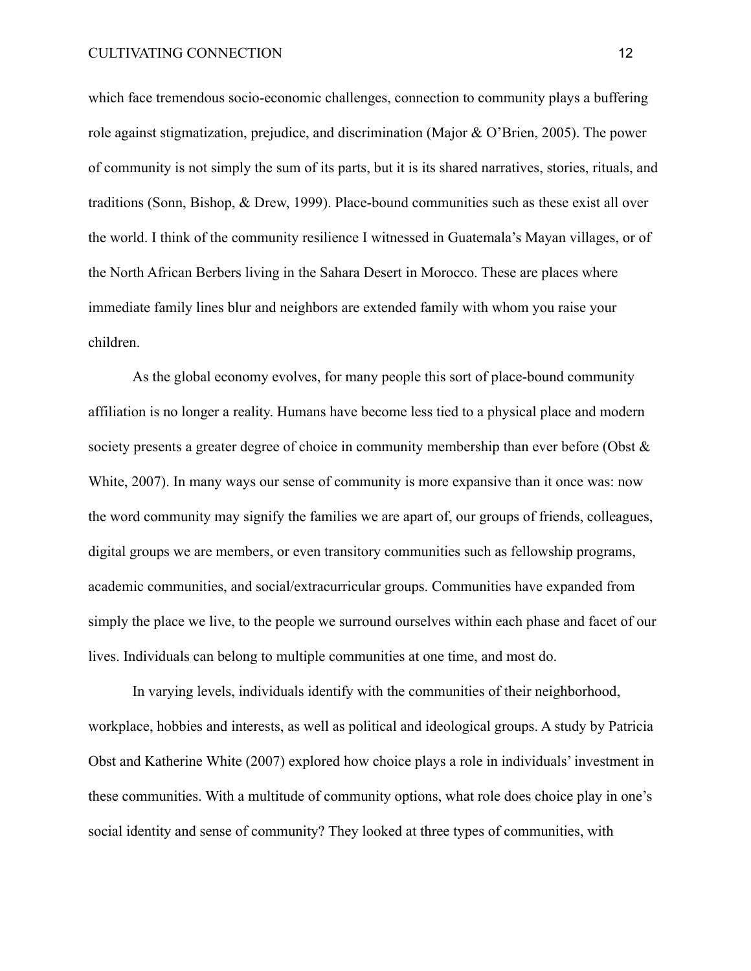which face tremendous socio-economic challenges, connection to community plays a buffering role against stigmatization, prejudice, and discrimination (Major & O'Brien, 2005). The power of community is not simply the sum of its parts, but it is its shared narratives, stories, rituals, and traditions (Sonn, Bishop, & Drew, 1999). Place-bound communities such as these exist all over the world. I think of the community resilience I witnessed in Guatemala's Mayan villages, or of the North African Berbers living in the Sahara Desert in Morocco. These are places where immediate family lines blur and neighbors are extended family with whom you raise your children.

As the global economy evolves, for many people this sort of place-bound community affiliation is no longer a reality. Humans have become less tied to a physical place and modern society presents a greater degree of choice in community membership than ever before (Obst & White, 2007). In many ways our sense of community is more expansive than it once was: now the word community may signify the families we are apart of, our groups of friends, colleagues, digital groups we are members, or even transitory communities such as fellowship programs, academic communities, and social/extracurricular groups. Communities have expanded from simply the place we live, to the people we surround ourselves within each phase and facet of our lives. Individuals can belong to multiple communities at one time, and most do.

In varying levels, individuals identify with the communities of their neighborhood, workplace, hobbies and interests, as well as political and ideological groups. A study by Patricia Obst and Katherine White (2007) explored how choice plays a role in individuals' investment in these communities. With a multitude of community options, what role does choice play in one's social identity and sense of community? They looked at three types of communities, with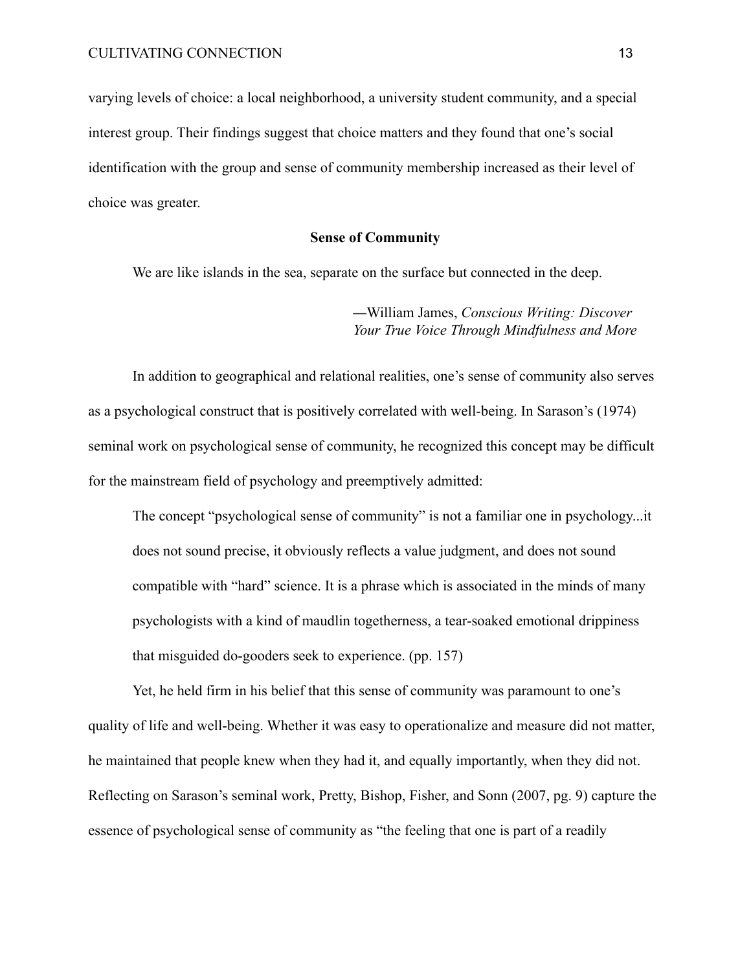varying levels of choice: a local neighborhood, a university student community, and a special interest group. Their findings suggest that choice matters and they found that one's social identification with the group and sense of community membership increased as their level of choice was greater.

# **Sense of Community**

We are like islands in the sea, separate on the surface but connected in the deep.

—William James, *Conscious Writing: Discover Your True Voice Through Mindfulness and More*

In addition to geographical and relational realities, one's sense of community also serves as a psychological construct that is positively correlated with well-being. In Sarason's (1974) seminal work on psychological sense of community, he recognized this concept may be difficult for the mainstream field of psychology and preemptively admitted:

The concept "psychological sense of community" is not a familiar one in psychology...it does not sound precise, it obviously reflects a value judgment, and does not sound compatible with "hard" science. It is a phrase which is associated in the minds of many psychologists with a kind of maudlin togetherness, a tear-soaked emotional drippiness that misguided do-gooders seek to experience. (pp. 157)

Yet, he held firm in his belief that this sense of community was paramount to one's quality of life and well-being. Whether it was easy to operationalize and measure did not matter, he maintained that people knew when they had it, and equally importantly, when they did not. Reflecting on Sarason's seminal work, Pretty, Bishop, Fisher, and Sonn (2007, pg. 9) capture the essence of psychological sense of community as "the feeling that one is part of a readily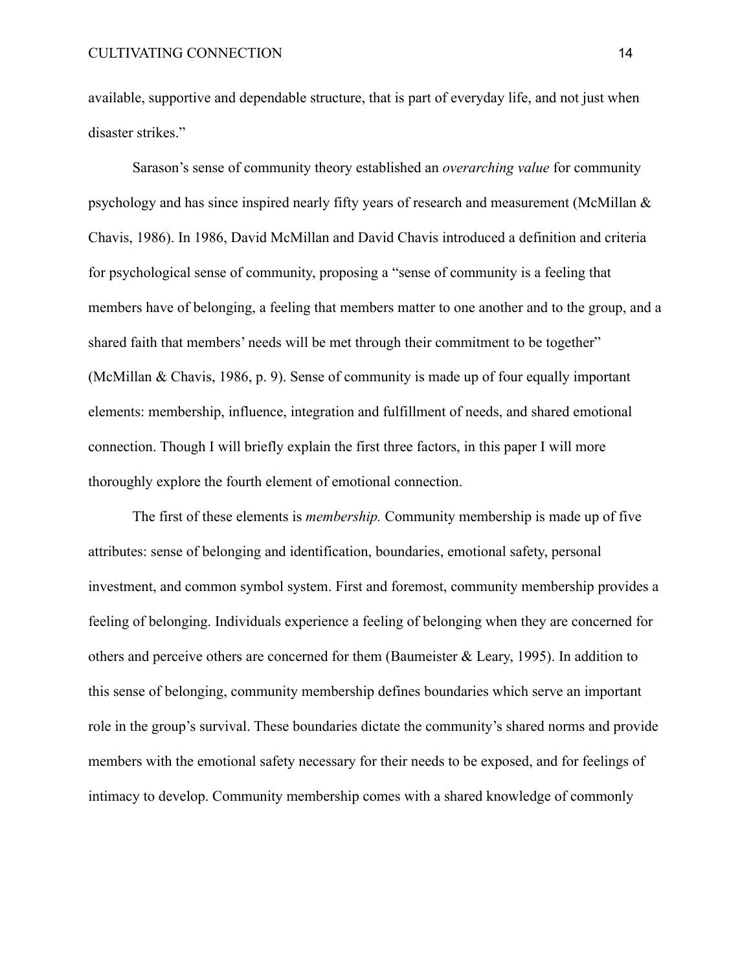available, supportive and dependable structure, that is part of everyday life, and not just when disaster strikes."

Sarason's sense of community theory established an *overarching value* for community psychology and has since inspired nearly fifty years of research and measurement (McMillan & Chavis, 1986). In 1986, David McMillan and David Chavis introduced a definition and criteria for psychological sense of community, proposing a "sense of community is a feeling that members have of belonging, a feeling that members matter to one another and to the group, and a shared faith that members' needs will be met through their commitment to be together" (McMillan & Chavis, 1986, p. 9). Sense of community is made up of four equally important elements: membership, influence, integration and fulfillment of needs, and shared emotional connection. Though I will briefly explain the first three factors, in this paper I will more thoroughly explore the fourth element of emotional connection.

The first of these elements is *membership.* Community membership is made up of five attributes: sense of belonging and identification, boundaries, emotional safety, personal investment, and common symbol system. First and foremost, community membership provides a feeling of belonging. Individuals experience a feeling of belonging when they are concerned for others and perceive others are concerned for them (Baumeister & Leary, 1995). In addition to this sense of belonging, community membership defines boundaries which serve an important role in the group's survival. These boundaries dictate the community's shared norms and provide members with the emotional safety necessary for their needs to be exposed, and for feelings of intimacy to develop. Community membership comes with a shared knowledge of commonly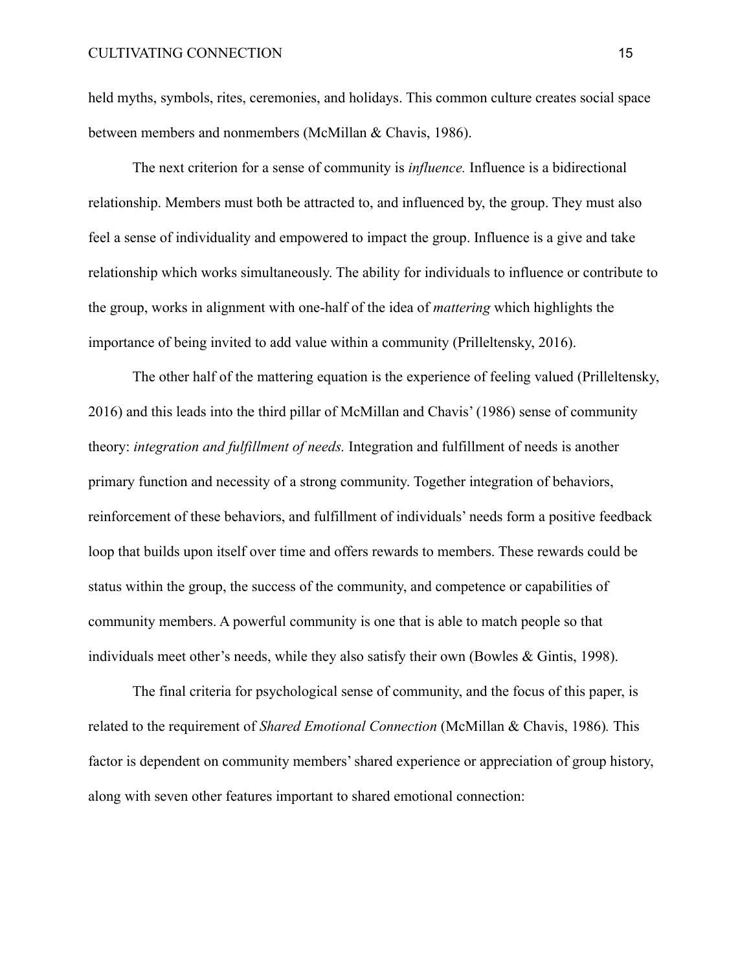held myths, symbols, rites, ceremonies, and holidays. This common culture creates social space between members and nonmembers (McMillan & Chavis, 1986).

The next criterion for a sense of community is *influence.* Influence is a bidirectional relationship. Members must both be attracted to, and influenced by, the group. They must also feel a sense of individuality and empowered to impact the group. Influence is a give and take relationship which works simultaneously. The ability for individuals to influence or contribute to the group, works in alignment with one-half of the idea of *mattering* which highlights the importance of being invited to add value within a community (Prilleltensky, 2016).

The other half of the mattering equation is the experience of feeling valued (Prilleltensky, 2016) and this leads into the third pillar of McMillan and Chavis' (1986) sense of community theory: *integration and fulfillment of needs.* Integration and fulfillment of needs is another primary function and necessity of a strong community. Together integration of behaviors, reinforcement of these behaviors, and fulfillment of individuals' needs form a positive feedback loop that builds upon itself over time and offers rewards to members. These rewards could be status within the group, the success of the community, and competence or capabilities of community members. A powerful community is one that is able to match people so that individuals meet other's needs, while they also satisfy their own (Bowles & Gintis, 1998).

The final criteria for psychological sense of community, and the focus of this paper, is related to the requirement of *Shared Emotional Connection* (McMillan & Chavis, 1986)*.* This factor is dependent on community members' shared experience or appreciation of group history, along with seven other features important to shared emotional connection: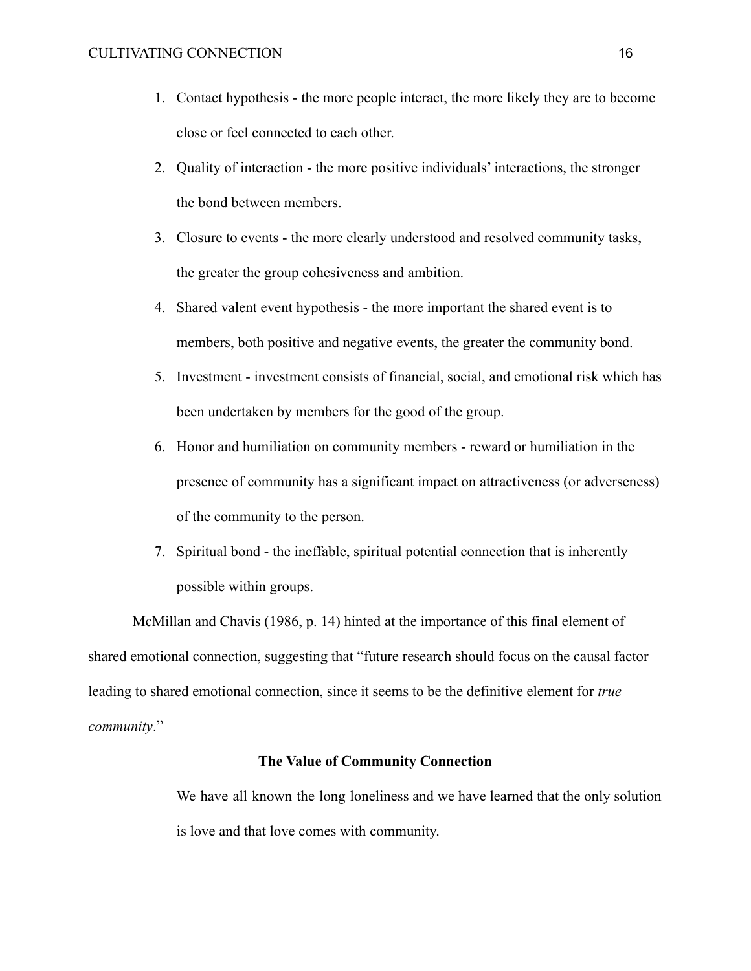- 1. Contact hypothesis the more people interact, the more likely they are to become close or feel connected to each other.
- 2. Quality of interaction the more positive individuals' interactions, the stronger the bond between members.
- 3. Closure to events the more clearly understood and resolved community tasks, the greater the group cohesiveness and ambition.
- 4. Shared valent event hypothesis the more important the shared event is to members, both positive and negative events, the greater the community bond.
- 5. Investment investment consists of financial, social, and emotional risk which has been undertaken by members for the good of the group.
- 6. Honor and humiliation on community members reward or humiliation in the presence of community has a significant impact on attractiveness (or adverseness) of the community to the person.
- 7. Spiritual bond the ineffable, spiritual potential connection that is inherently possible within groups.

McMillan and Chavis (1986, p. 14) hinted at the importance of this final element of shared emotional connection, suggesting that "future research should focus on the causal factor leading to shared emotional connection, since it seems to be the definitive element for *true community*."

# **The Value of Community Connection**

We have all known the long loneliness and we have learned that the only solution is love and that love comes with community.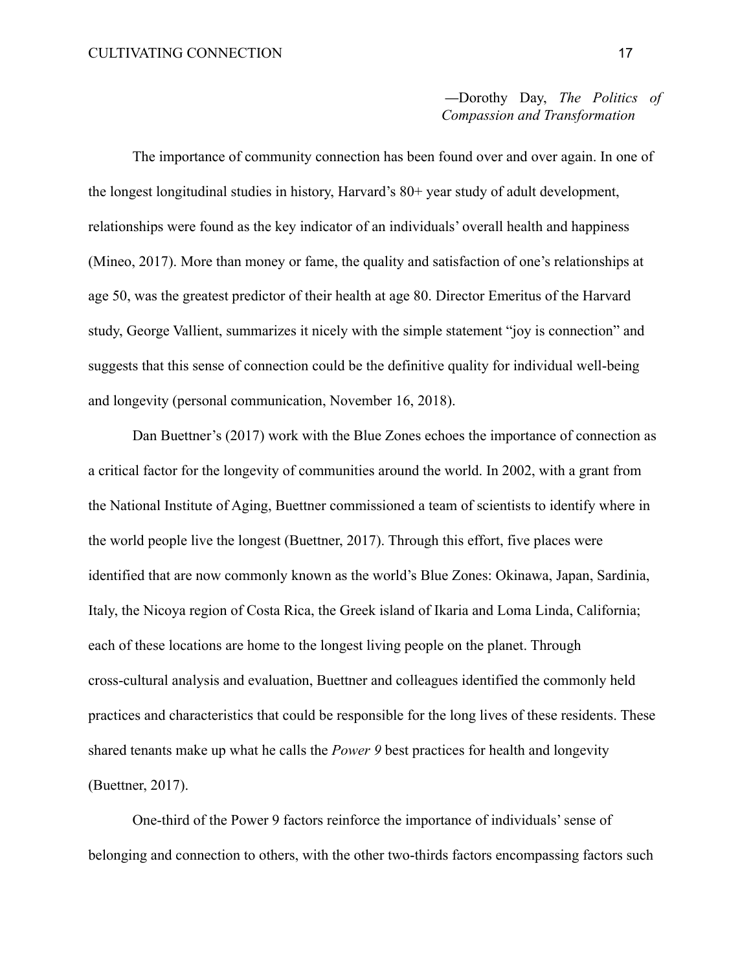—Dorothy Day, *The Politics of Compassion and Transformation*

The importance of community connection has been found over and over again. In one of the longest longitudinal studies in history, Harvard's 80+ year study of adult development, relationships were found as the key indicator of an individuals' overall health and happiness (Mineo, 2017). More than money or fame, the quality and satisfaction of one's relationships at age 50, was the greatest predictor of their health at age 80. Director Emeritus of the Harvard study, George Vallient, summarizes it nicely with the simple statement "joy is connection" and suggests that this sense of connection could be the definitive quality for individual well-being and longevity (personal communication, November 16, 2018).

Dan Buettner's (2017) work with the Blue Zones echoes the importance of connection as a critical factor for the longevity of communities around the world. In 2002, with a grant from the National Institute of Aging, Buettner commissioned a team of scientists to identify where in the world people live the longest (Buettner, 2017). Through this effort, five places were identified that are now commonly known as the world's Blue Zones: Okinawa, Japan, Sardinia, Italy, the Nicoya region of Costa Rica, the Greek island of Ikaria and Loma Linda, California; each of these locations are home to the longest living people on the planet. Through cross-cultural analysis and evaluation, Buettner and colleagues identified the commonly held practices and characteristics that could be responsible for the long lives of these residents. These shared tenants make up what he calls the *Power 9* best practices for health and longevity (Buettner, 2017).

One-third of the Power 9 factors reinforce the importance of individuals' sense of belonging and connection to others, with the other two-thirds factors encompassing factors such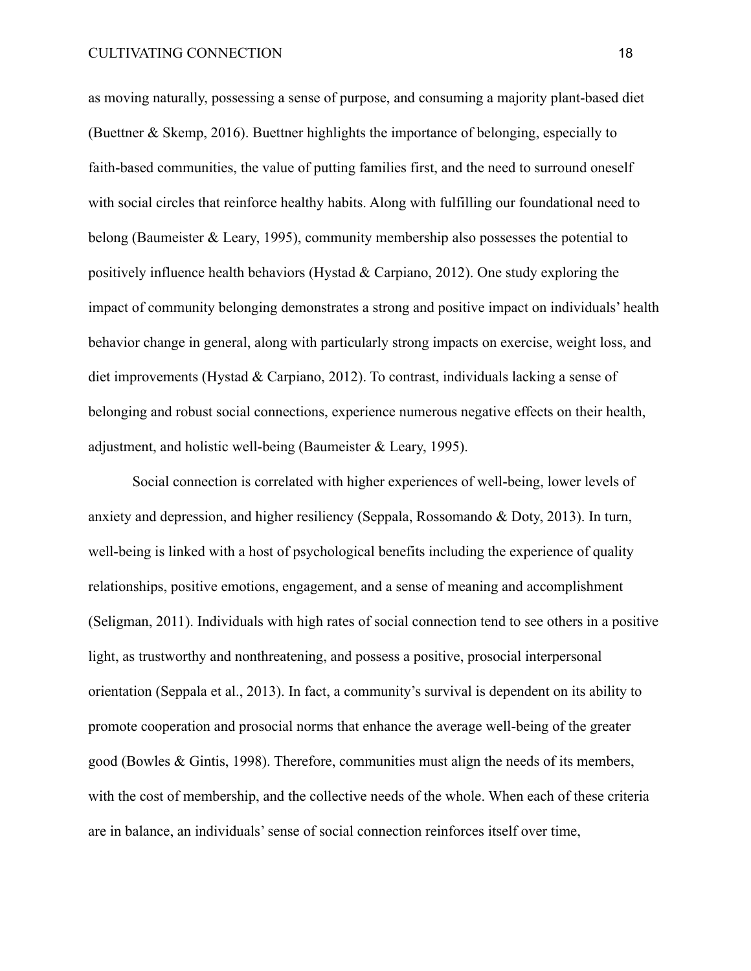as moving naturally, possessing a sense of purpose, and consuming a majority plant-based diet (Buettner & Skemp, 2016). Buettner highlights the importance of belonging, especially to faith-based communities, the value of putting families first, and the need to surround oneself with social circles that reinforce healthy habits. Along with fulfilling our foundational need to belong (Baumeister & Leary, 1995), community membership also possesses the potential to positively influence health behaviors (Hystad  $&$  Carpiano, 2012). One study exploring the impact of community belonging demonstrates a strong and positive impact on individuals' health behavior change in general, along with particularly strong impacts on exercise, weight loss, and diet improvements (Hystad & Carpiano, 2012). To contrast, individuals lacking a sense of belonging and robust social connections, experience numerous negative effects on their health, adjustment, and holistic well-being (Baumeister & Leary, 1995).

Social connection is correlated with higher experiences of well-being, lower levels of anxiety and depression, and higher resiliency (Seppala, Rossomando & Doty, 2013). In turn, well-being is linked with a host of psychological benefits including the experience of quality relationships, positive emotions, engagement, and a sense of meaning and accomplishment (Seligman, 2011). Individuals with high rates of social connection tend to see others in a positive light, as trustworthy and nonthreatening, and possess a positive, prosocial interpersonal orientation (Seppala et al., 2013). In fact, a community's survival is dependent on its ability to promote cooperation and prosocial norms that enhance the average well-being of the greater good (Bowles & Gintis, 1998). Therefore, communities must align the needs of its members, with the cost of membership, and the collective needs of the whole. When each of these criteria are in balance, an individuals' sense of social connection reinforces itself over time,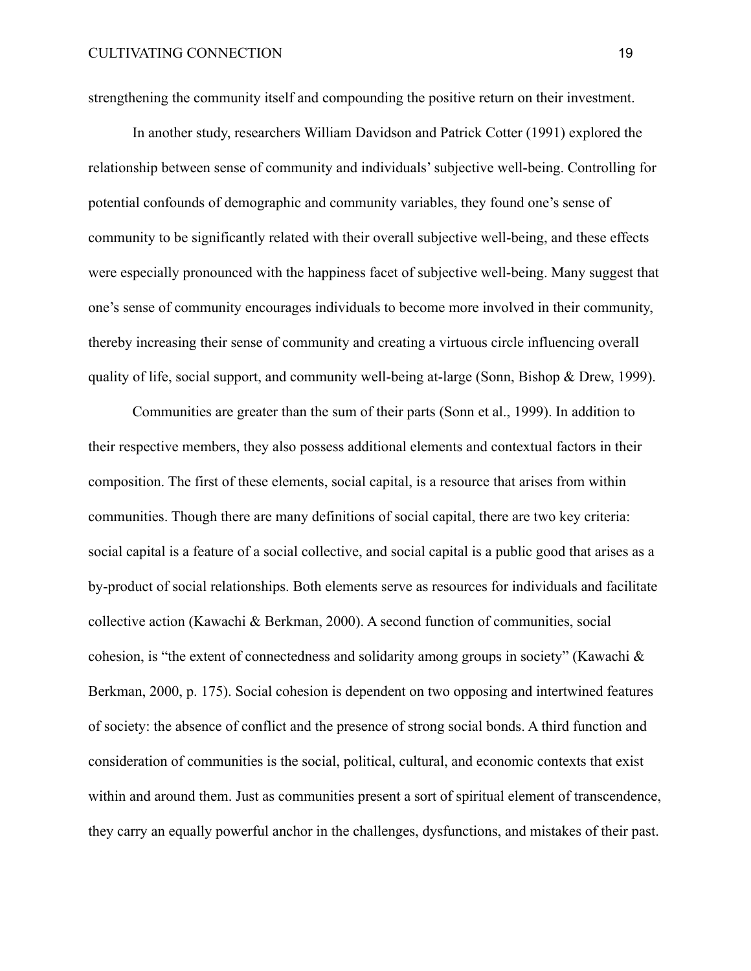strengthening the community itself and compounding the positive return on their investment.

In another study, researchers William Davidson and Patrick Cotter (1991) explored the relationship between sense of community and individuals' subjective well-being. Controlling for potential confounds of demographic and community variables, they found one's sense of community to be significantly related with their overall subjective well-being, and these effects were especially pronounced with the happiness facet of subjective well-being. Many suggest that one's sense of community encourages individuals to become more involved in their community, thereby increasing their sense of community and creating a virtuous circle influencing overall quality of life, social support, and community well-being at-large (Sonn, Bishop & Drew, 1999).

Communities are greater than the sum of their parts (Sonn et al., 1999). In addition to their respective members, they also possess additional elements and contextual factors in their composition. The first of these elements, social capital, is a resource that arises from within communities. Though there are many definitions of social capital, there are two key criteria: social capital is a feature of a social collective, and social capital is a public good that arises as a by-product of social relationships. Both elements serve as resources for individuals and facilitate collective action (Kawachi & Berkman, 2000). A second function of communities, social cohesion, is "the extent of connectedness and solidarity among groups in society" (Kawachi & Berkman, 2000, p. 175). Social cohesion is dependent on two opposing and intertwined features of society: the absence of conflict and the presence of strong social bonds. A third function and consideration of communities is the social, political, cultural, and economic contexts that exist within and around them. Just as communities present a sort of spiritual element of transcendence, they carry an equally powerful anchor in the challenges, dysfunctions, and mistakes of their past.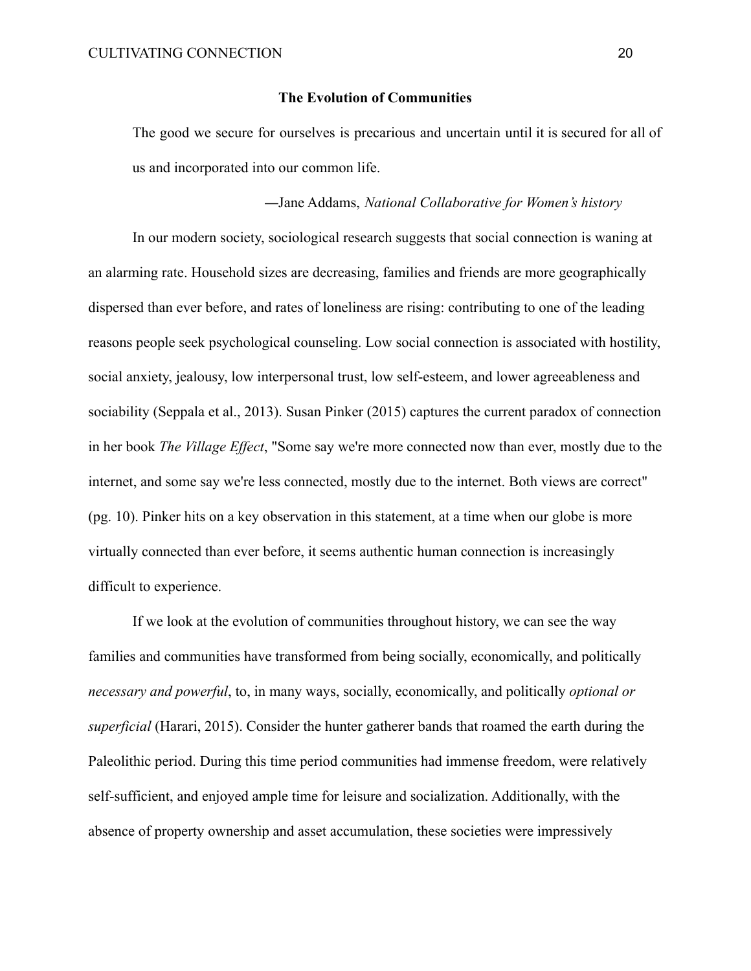#### **The Evolution of Communities**

The good we secure for ourselves is precarious and uncertain until it is secured for all of us and incorporated into our common life.

# —Jane Addams, *National Collaborative for Women's history*

In our modern society, sociological research suggests that social connection is waning at an alarming rate. Household sizes are decreasing, families and friends are more geographically dispersed than ever before, and rates of loneliness are rising: contributing to one of the leading reasons people seek psychological counseling. Low social connection is associated with hostility, social anxiety, jealousy, low interpersonal trust, low self-esteem, and lower agreeableness and sociability (Seppala et al., 2013). Susan Pinker (2015) captures the current paradox of connection in her book *The Village Effect*, "Some say we're more connected now than ever, mostly due to the internet, and some say we're less connected, mostly due to the internet. Both views are correct" (pg. 10). Pinker hits on a key observation in this statement, at a time when our globe is more virtually connected than ever before, it seems authentic human connection is increasingly difficult to experience.

If we look at the evolution of communities throughout history, we can see the way families and communities have transformed from being socially, economically, and politically *necessary and powerful*, to, in many ways, socially, economically, and politically *optional or superficial* (Harari, 2015). Consider the hunter gatherer bands that roamed the earth during the Paleolithic period. During this time period communities had immense freedom, were relatively self-sufficient, and enjoyed ample time for leisure and socialization. Additionally, with the absence of property ownership and asset accumulation, these societies were impressively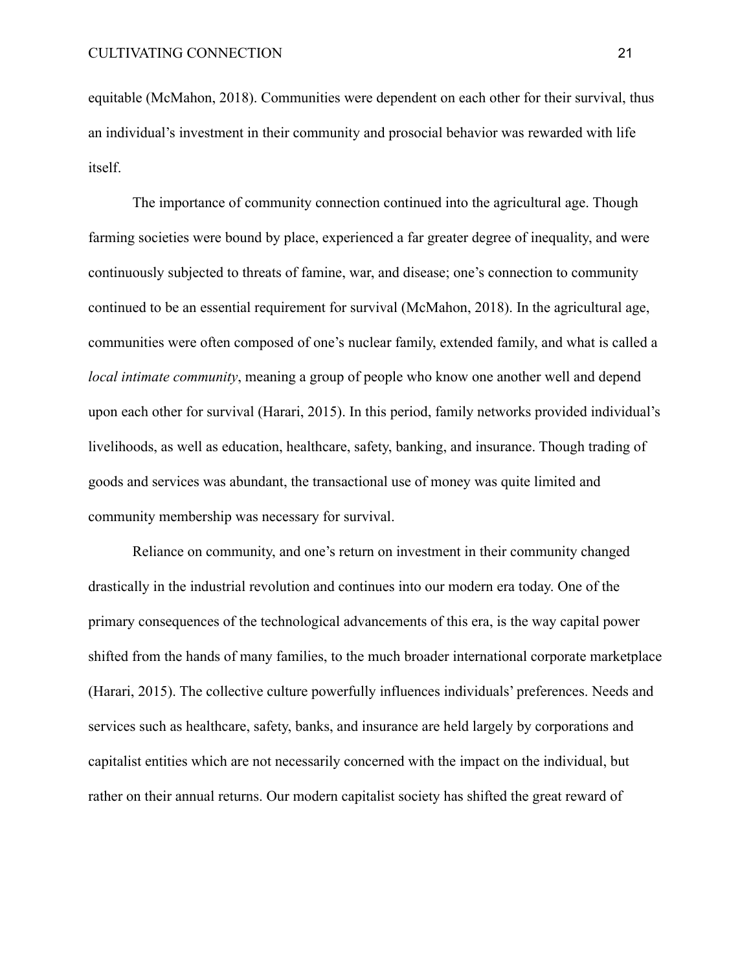equitable (McMahon, 2018). Communities were dependent on each other for their survival, thus an individual's investment in their community and prosocial behavior was rewarded with life itself.

The importance of community connection continued into the agricultural age. Though farming societies were bound by place, experienced a far greater degree of inequality, and were continuously subjected to threats of famine, war, and disease; one's connection to community continued to be an essential requirement for survival (McMahon, 2018). In the agricultural age, communities were often composed of one's nuclear family, extended family, and what is called a *local intimate community*, meaning a group of people who know one another well and depend upon each other for survival (Harari, 2015). In this period, family networks provided individual's livelihoods, as well as education, healthcare, safety, banking, and insurance. Though trading of goods and services was abundant, the transactional use of money was quite limited and community membership was necessary for survival.

Reliance on community, and one's return on investment in their community changed drastically in the industrial revolution and continues into our modern era today. One of the primary consequences of the technological advancements of this era, is the way capital power shifted from the hands of many families, to the much broader international corporate marketplace (Harari, 2015). The collective culture powerfully influences individuals' preferences. Needs and services such as healthcare, safety, banks, and insurance are held largely by corporations and capitalist entities which are not necessarily concerned with the impact on the individual, but rather on their annual returns. Our modern capitalist society has shifted the great reward of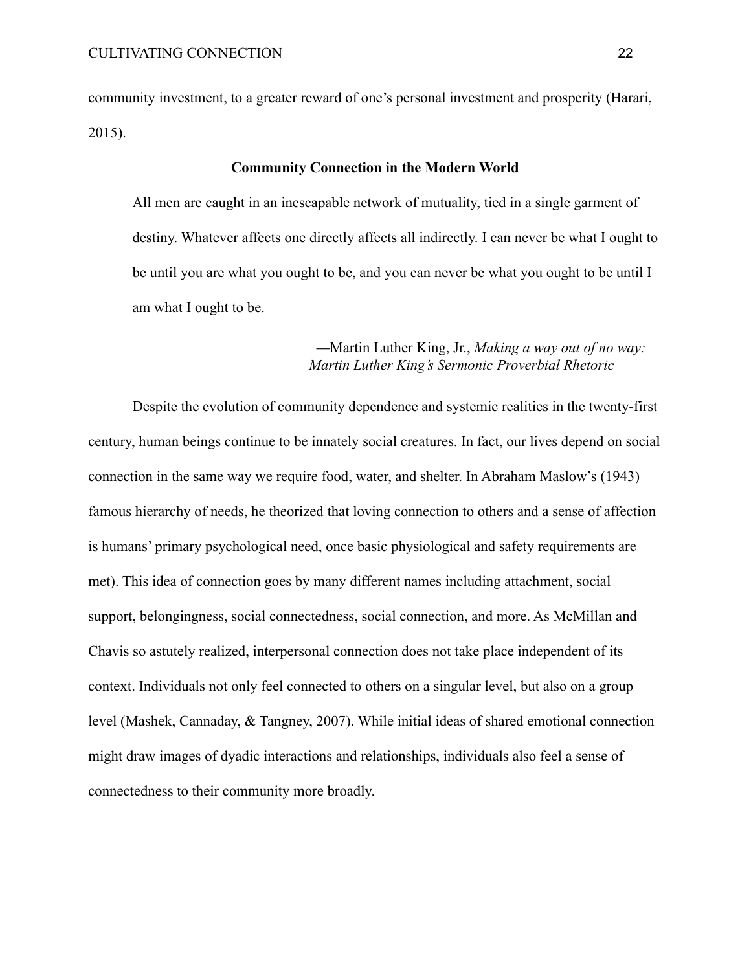community investment, to a greater reward of one's personal investment and prosperity (Harari, 2015).

#### **Community Connection in the Modern World**

All men are caught in an inescapable network of mutuality, tied in a single garment of destiny. Whatever affects one directly affects all indirectly. I can never be what I ought to be until you are what you ought to be, and you can never be what you ought to be until I am what I ought to be.

# —Martin Luther King, Jr., *Making a way out of no way: Martin Luther King's Sermonic Proverbial Rhetoric*

Despite the evolution of community dependence and systemic realities in the twenty-first century, human beings continue to be innately social creatures. In fact, our lives depend on social connection in the same way we require food, water, and shelter. In Abraham Maslow's (1943) famous hierarchy of needs, he theorized that loving connection to others and a sense of affection is humans' primary psychological need, once basic physiological and safety requirements are met). This idea of connection goes by many different names including attachment, social support, belongingness, social connectedness, social connection, and more. As McMillan and Chavis so astutely realized, interpersonal connection does not take place independent of its context. Individuals not only feel connected to others on a singular level, but also on a group level (Mashek, Cannaday, & Tangney, 2007). While initial ideas of shared emotional connection might draw images of dyadic interactions and relationships, individuals also feel a sense of connectedness to their community more broadly.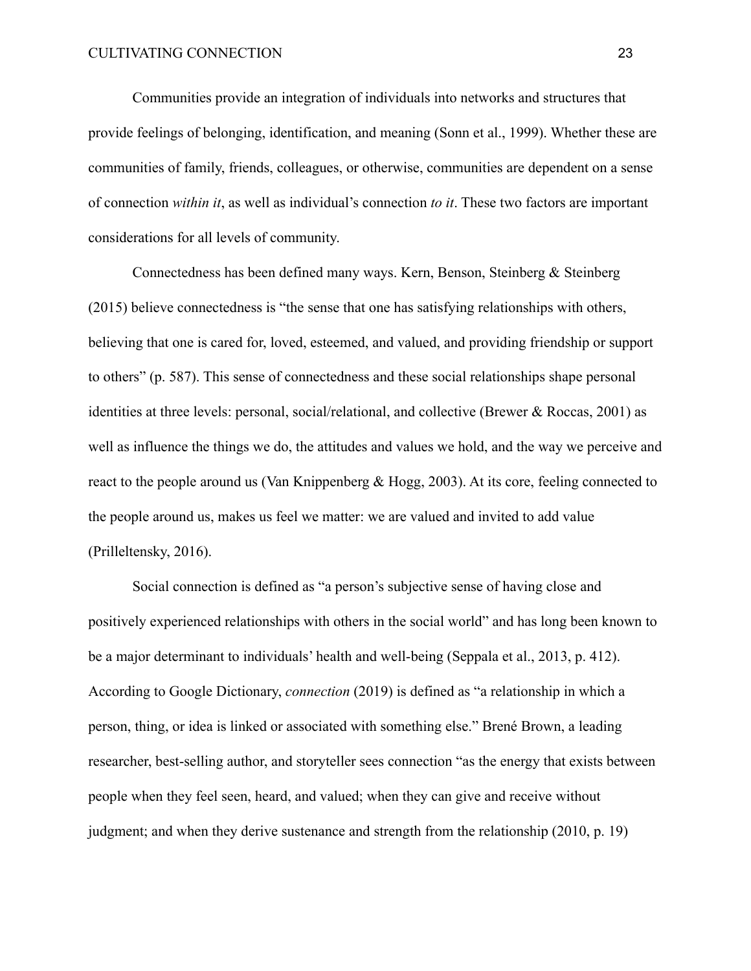Communities provide an integration of individuals into networks and structures that provide feelings of belonging, identification, and meaning (Sonn et al., 1999). Whether these are communities of family, friends, colleagues, or otherwise, communities are dependent on a sense of connection *within it*, as well as individual's connection *to it*. These two factors are important considerations for all levels of community.

Connectedness has been defined many ways. Kern, Benson, Steinberg & Steinberg (2015) believe connectedness is "the sense that one has satisfying relationships with others, believing that one is cared for, loved, esteemed, and valued, and providing friendship or support to others" (p. 587). This sense of connectedness and these social relationships shape personal identities at three levels: personal, social/relational, and collective (Brewer & Roccas, 2001) as well as influence the things we do, the attitudes and values we hold, and the way we perceive and react to the people around us (Van Knippenberg & Hogg, 2003). At its core, feeling connected to the people around us, makes us feel we matter: we are valued and invited to add value (Prilleltensky, 2016).

Social connection is defined as "a person's subjective sense of having close and positively experienced relationships with others in the social world" and has long been known to be a major determinant to individuals' health and well-being (Seppala et al., 2013, p. 412). According to Google Dictionary, *connection* (2019) is defined as "a relationship in which a person, thing, or idea is linked or associated with something else." Brené Brown, a leading researcher, best-selling author, and storyteller sees connection "as the energy that exists between people when they feel seen, heard, and valued; when they can give and receive without judgment; and when they derive sustenance and strength from the relationship (2010, p. 19)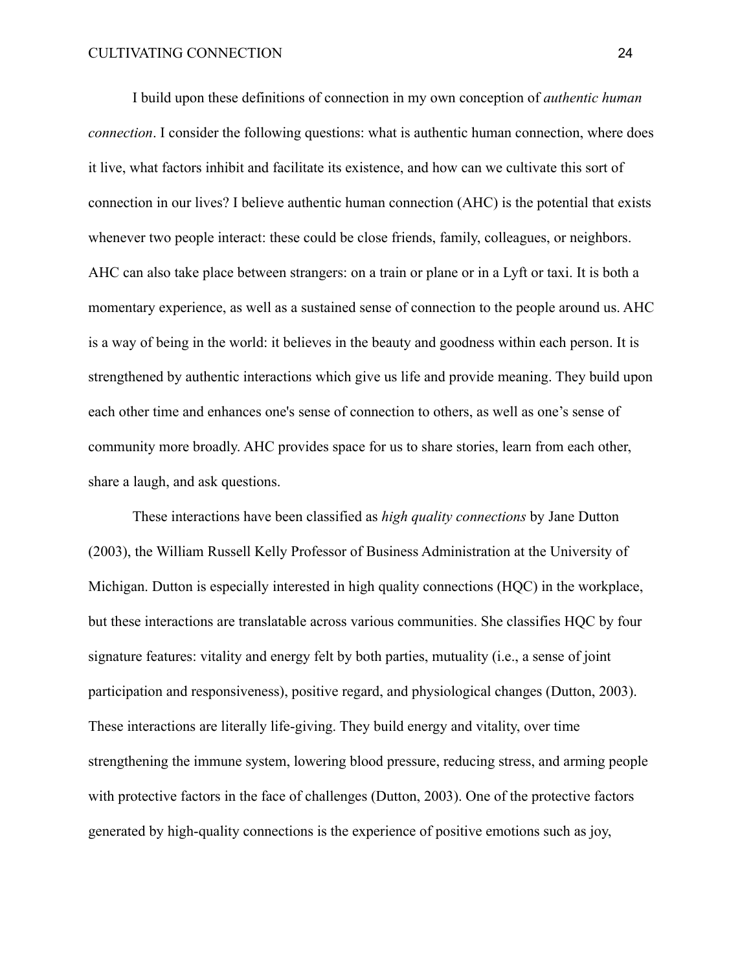I build upon these definitions of connection in my own conception of *authentic human connection*. I consider the following questions: what is authentic human connection, where does it live, what factors inhibit and facilitate its existence, and how can we cultivate this sort of connection in our lives? I believe authentic human connection (AHC) is the potential that exists whenever two people interact: these could be close friends, family, colleagues, or neighbors. AHC can also take place between strangers: on a train or plane or in a Lyft or taxi. It is both a momentary experience, as well as a sustained sense of connection to the people around us. AHC is a way of being in the world: it believes in the beauty and goodness within each person. It is strengthened by authentic interactions which give us life and provide meaning. They build upon each other time and enhances one's sense of connection to others, as well as one's sense of community more broadly. AHC provides space for us to share stories, learn from each other, share a laugh, and ask questions.

These interactions have been classified as *high quality connections* by Jane Dutton (2003), the William Russell Kelly Professor of Business Administration at the University of Michigan. Dutton is especially interested in high quality connections (HQC) in the workplace, but these interactions are translatable across various communities. She classifies HQC by four signature features: vitality and energy felt by both parties, mutuality (i.e., a sense of joint participation and responsiveness), positive regard, and physiological changes (Dutton, 2003). These interactions are literally life-giving. They build energy and vitality, over time strengthening the immune system, lowering blood pressure, reducing stress, and arming people with protective factors in the face of challenges (Dutton, 2003). One of the protective factors generated by high-quality connections is the experience of positive emotions such as joy,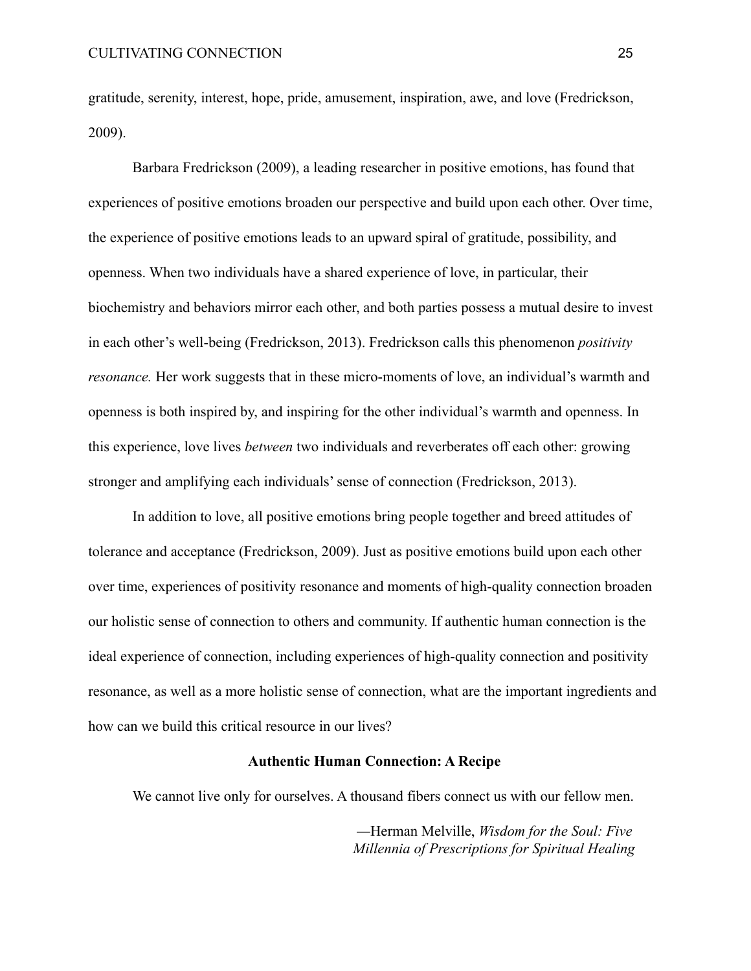gratitude, serenity, interest, hope, pride, amusement, inspiration, awe, and love (Fredrickson, 2009).

Barbara Fredrickson (2009), a leading researcher in positive emotions, has found that experiences of positive emotions broaden our perspective and build upon each other. Over time, the experience of positive emotions leads to an upward spiral of gratitude, possibility, and openness. When two individuals have a shared experience of love, in particular, their biochemistry and behaviors mirror each other, and both parties possess a mutual desire to invest in each other's well-being (Fredrickson, 2013). Fredrickson calls this phenomenon *positivity resonance*. Her work suggests that in these micro-moments of love, an individual's warmth and openness is both inspired by, and inspiring for the other individual's warmth and openness. In this experience, love lives *between* two individuals and reverberates off each other: growing stronger and amplifying each individuals' sense of connection (Fredrickson, 2013).

In addition to love, all positive emotions bring people together and breed attitudes of tolerance and acceptance (Fredrickson, 2009). Just as positive emotions build upon each other over time, experiences of positivity resonance and moments of high-quality connection broaden our holistic sense of connection to others and community. If authentic human connection is the ideal experience of connection, including experiences of high-quality connection and positivity resonance, as well as a more holistic sense of connection, what are the important ingredients and how can we build this critical resource in our lives?

# **Authentic Human Connection: A Recipe**

We cannot live only for ourselves. A thousand fibers connect us with our fellow men.

—Herman Melville, *Wisdom for the Soul: Five Millennia of Prescriptions for Spiritual Healing*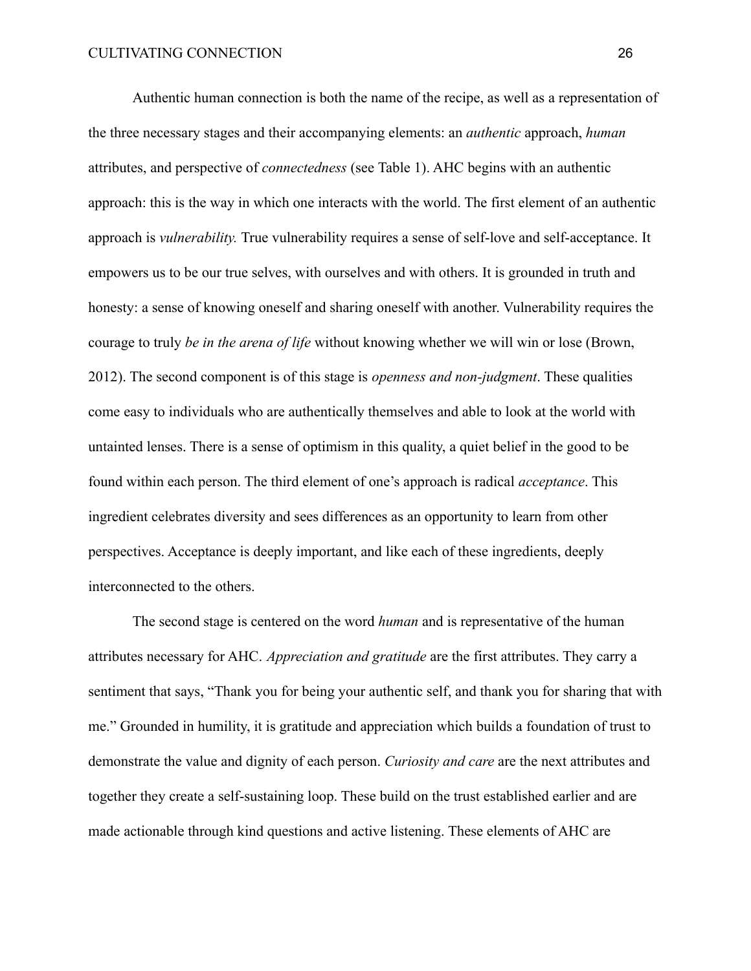Authentic human connection is both the name of the recipe, as well as a representation of the three necessary stages and their accompanying elements: an *authentic* approach, *human* attributes, and perspective of *connectedness* (see Table 1). AHC begins with an authentic approach: this is the way in which one interacts with the world. The first element of an authentic approach is *vulnerability.* True vulnerability requires a sense of self-love and self-acceptance. It empowers us to be our true selves, with ourselves and with others. It is grounded in truth and honesty: a sense of knowing oneself and sharing oneself with another. Vulnerability requires the courage to truly *be in the arena of life* without knowing whether we will win or lose (Brown, 2012). The second component is of this stage is *openness and non-judgment*. These qualities come easy to individuals who are authentically themselves and able to look at the world with untainted lenses. There is a sense of optimism in this quality, a quiet belief in the good to be found within each person. The third element of one's approach is radical *acceptance*. This ingredient celebrates diversity and sees differences as an opportunity to learn from other perspectives. Acceptance is deeply important, and like each of these ingredients, deeply interconnected to the others.

The second stage is centered on the word *human* and is representative of the human attributes necessary for AHC. *Appreciation and gratitude* are the first attributes. They carry a sentiment that says, "Thank you for being your authentic self, and thank you for sharing that with me." Grounded in humility, it is gratitude and appreciation which builds a foundation of trust to demonstrate the value and dignity of each person. *Curiosity and care* are the next attributes and together they create a self-sustaining loop. These build on the trust established earlier and are made actionable through kind questions and active listening. These elements of AHC are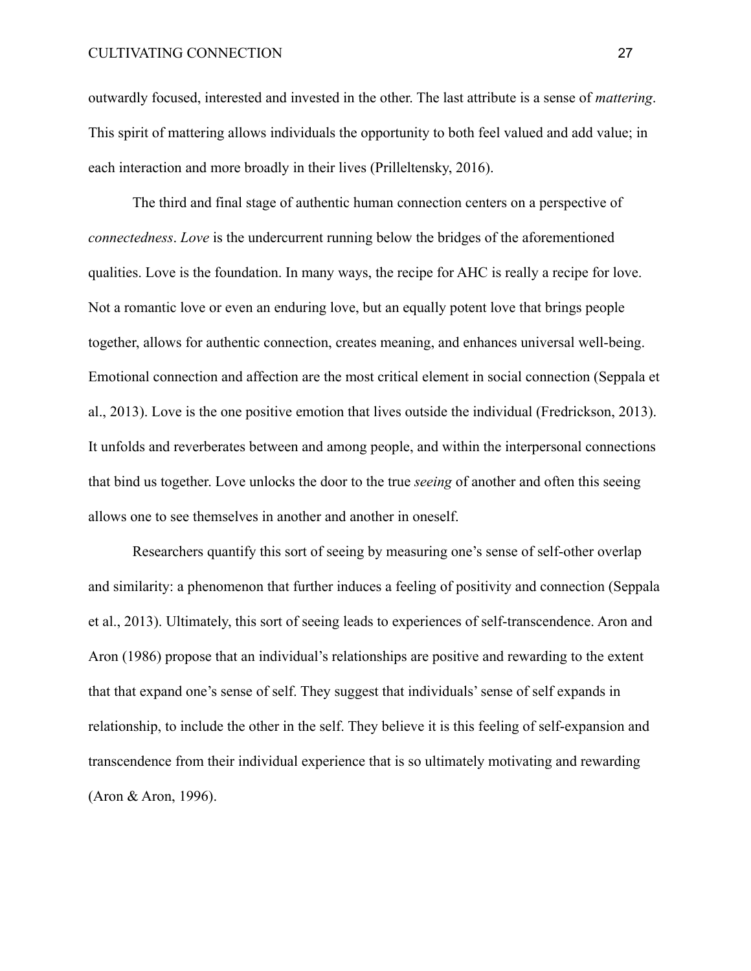outwardly focused, interested and invested in the other. The last attribute is a sense of *mattering*. This spirit of mattering allows individuals the opportunity to both feel valued and add value; in each interaction and more broadly in their lives (Prilleltensky, 2016).

The third and final stage of authentic human connection centers on a perspective of *connectedness*. *Love* is the undercurrent running below the bridges of the aforementioned qualities. Love is the foundation. In many ways, the recipe for AHC is really a recipe for love. Not a romantic love or even an enduring love, but an equally potent love that brings people together, allows for authentic connection, creates meaning, and enhances universal well-being. Emotional connection and affection are the most critical element in social connection (Seppala et al., 2013). Love is the one positive emotion that lives outside the individual (Fredrickson, 2013). It unfolds and reverberates between and among people, and within the interpersonal connections that bind us together. Love unlocks the door to the true *seeing* of another and often this seeing allows one to see themselves in another and another in oneself.

Researchers quantify this sort of seeing by measuring one's sense of self-other overlap and similarity: a phenomenon that further induces a feeling of positivity and connection (Seppala et al., 2013). Ultimately, this sort of seeing leads to experiences of self-transcendence. Aron and Aron (1986) propose that an individual's relationships are positive and rewarding to the extent that that expand one's sense of self. They suggest that individuals' sense of self expands in relationship, to include the other in the self. They believe it is this feeling of self-expansion and transcendence from their individual experience that is so ultimately motivating and rewarding (Aron & Aron, 1996).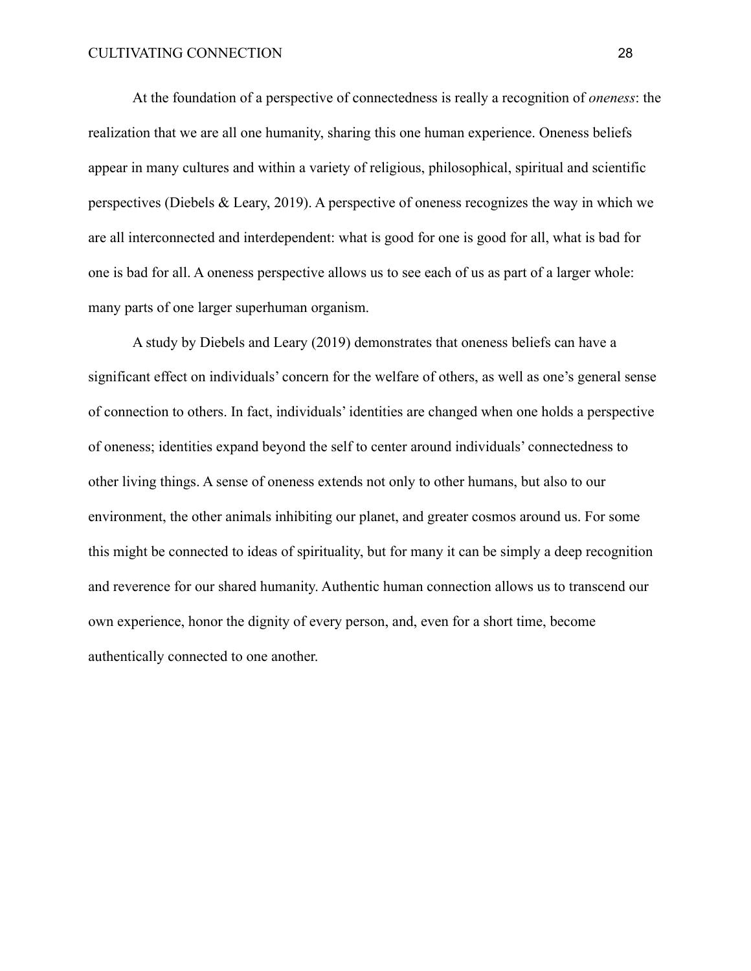At the foundation of a perspective of connectedness is really a recognition of *oneness*: the realization that we are all one humanity, sharing this one human experience. Oneness beliefs appear in many cultures and within a variety of religious, philosophical, spiritual and scientific perspectives (Diebels & Leary, 2019). A perspective of oneness recognizes the way in which we are all interconnected and interdependent: what is good for one is good for all, what is bad for one is bad for all. A oneness perspective allows us to see each of us as part of a larger whole: many parts of one larger superhuman organism.

A study by Diebels and Leary (2019) demonstrates that oneness beliefs can have a significant effect on individuals' concern for the welfare of others, as well as one's general sense of connection to others. In fact, individuals' identities are changed when one holds a perspective of oneness; identities expand beyond the self to center around individuals' connectedness to other living things. A sense of oneness extends not only to other humans, but also to our environment, the other animals inhibiting our planet, and greater cosmos around us. For some this might be connected to ideas of spirituality, but for many it can be simply a deep recognition and reverence for our shared humanity. Authentic human connection allows us to transcend our own experience, honor the dignity of every person, and, even for a short time, become authentically connected to one another.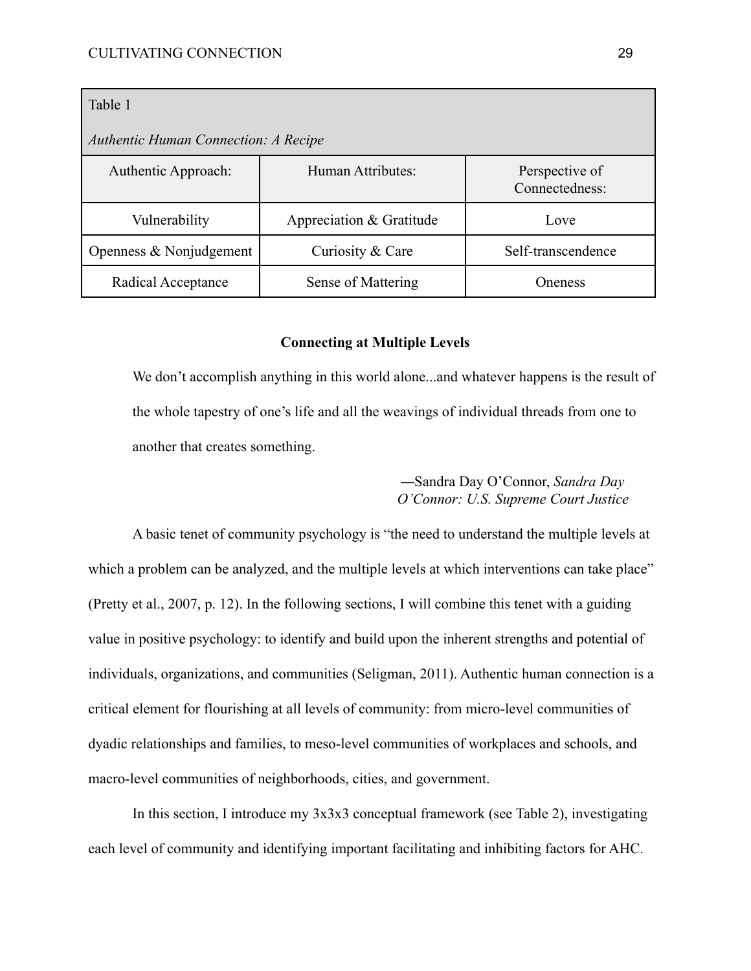| Table 1                                     |                          |                                  |  |
|---------------------------------------------|--------------------------|----------------------------------|--|
| <b>Authentic Human Connection: A Recipe</b> |                          |                                  |  |
| Authentic Approach:                         | Human Attributes:        | Perspective of<br>Connectedness: |  |
| Vulnerability                               | Appreciation & Gratitude | Love                             |  |
| Openness $& Nonjudgement$                   | Curiosity & Care         | Self-transcendence               |  |
| Radical Acceptance                          | Sense of Mattering       | <b>Oneness</b>                   |  |

#### **Connecting at Multiple Levels**

We don't accomplish anything in this world alone...and whatever happens is the result of the whole tapestry of one's life and all the weavings of individual threads from one to another that creates something.

> —Sandra Day O'Connor, *Sandra Day O'Connor: U.S. Supreme Court Justice*

A basic tenet of community psychology is "the need to understand the multiple levels at which a problem can be analyzed, and the multiple levels at which interventions can take place" (Pretty et al., 2007, p. 12). In the following sections, I will combine this tenet with a guiding value in positive psychology: to identify and build upon the inherent strengths and potential of individuals, organizations, and communities (Seligman, 2011). Authentic human connection is a critical element for flourishing at all levels of community: from micro-level communities of dyadic relationships and families, to meso-level communities of workplaces and schools, and macro-level communities of neighborhoods, cities, and government.

In this section, I introduce my 3x3x3 conceptual framework (see Table 2), investigating each level of community and identifying important facilitating and inhibiting factors for AHC.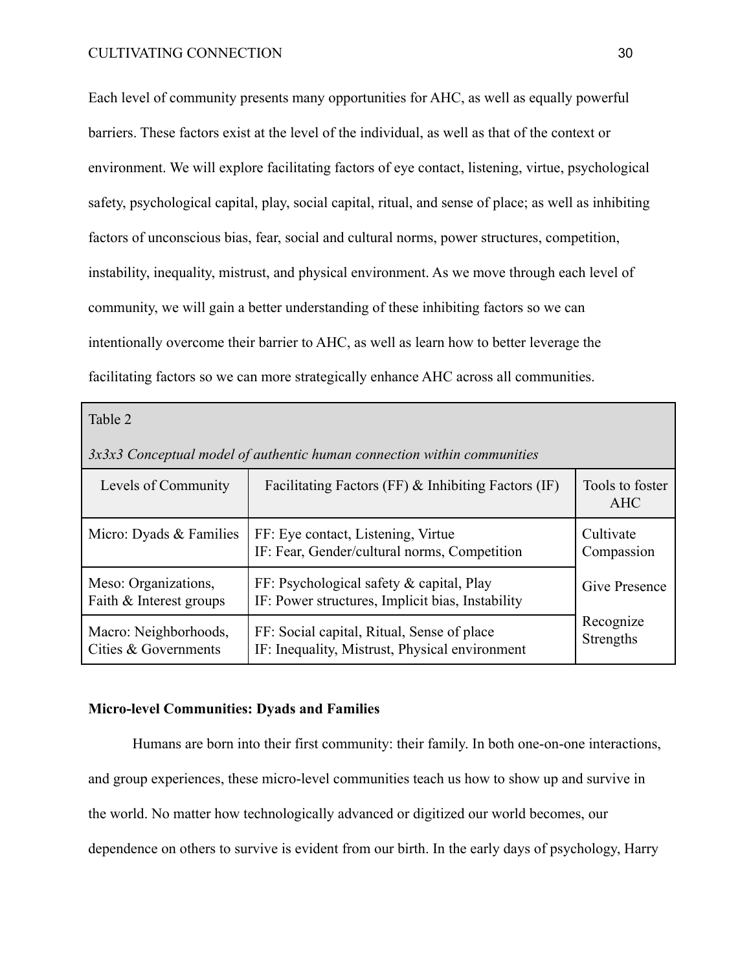Each level of community presents many opportunities for AHC, as well as equally powerful barriers. These factors exist at the level of the individual, as well as that of the context or environment. We will explore facilitating factors of eye contact, listening, virtue, psychological safety, psychological capital, play, social capital, ritual, and sense of place; as well as inhibiting factors of unconscious bias, fear, social and cultural norms, power structures, competition, instability, inequality, mistrust, and physical environment. As we move through each level of community, we will gain a better understanding of these inhibiting factors so we can intentionally overcome their barrier to AHC, as well as learn how to better leverage the facilitating factors so we can more strategically enhance AHC across all communities.

Table 2 *3x3x3 Conceptual model of authentic human connection within communities* Levels of Community  $\parallel$  Facilitating Factors (FF) & Inhibiting Factors (IF)  $\parallel$  Tools to foster AHC Micro: Dyads  $&$  Families FF: Eye contact, Listening, Virtue IF: Fear, Gender/cultural norms, Competition **Cultivate** Compassion Give Presence Recognize Strengths Meso: Organizations, Faith & Interest groups FF: Psychological safety & capital, Play IF: Power structures, Implicit bias, Instability Macro: Neighborhoods, Cities & Governments FF: Social capital, Ritual, Sense of place IF: Inequality, Mistrust, Physical environment

#### **Micro-level Communities: Dyads and Families**

Humans are born into their first community: their family. In both one-on-one interactions, and group experiences, these micro-level communities teach us how to show up and survive in the world. No matter how technologically advanced or digitized our world becomes, our dependence on others to survive is evident from our birth. In the early days of psychology, Harry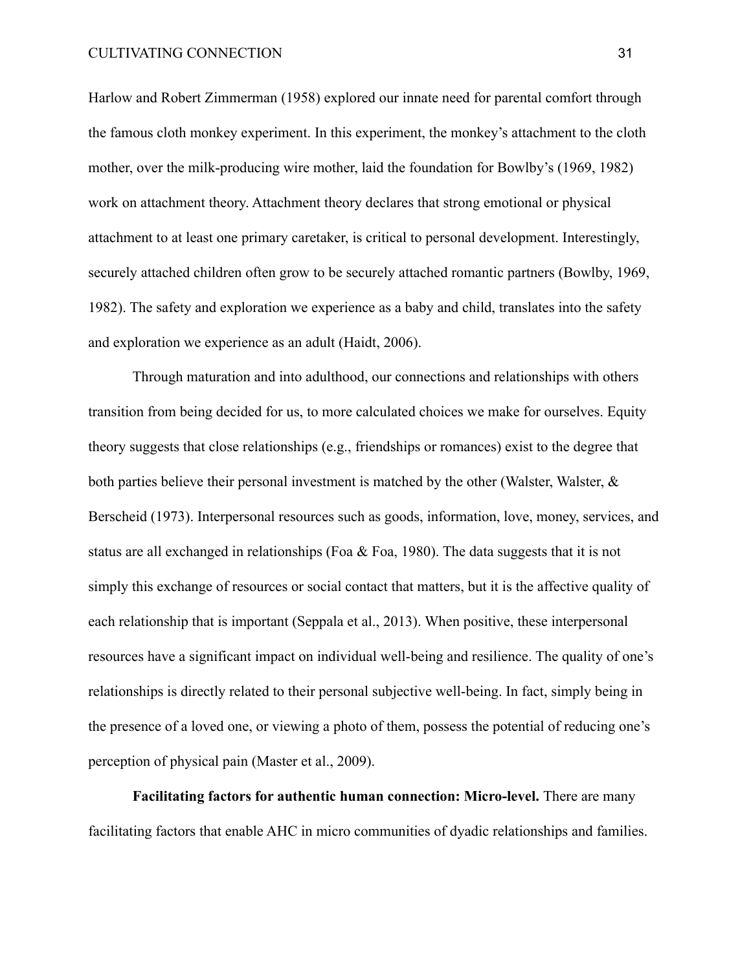Harlow and Robert Zimmerman (1958) explored our innate need for parental comfort through the famous cloth monkey experiment. In this experiment, the monkey's attachment to the cloth mother, over the milk-producing wire mother, laid the foundation for Bowlby's (1969, 1982) work on attachment theory. Attachment theory declares that strong emotional or physical attachment to at least one primary caretaker, is critical to personal development. Interestingly, securely attached children often grow to be securely attached romantic partners (Bowlby, 1969, 1982). The safety and exploration we experience as a baby and child, translates into the safety and exploration we experience as an adult (Haidt, 2006).

Through maturation and into adulthood, our connections and relationships with others transition from being decided for us, to more calculated choices we make for ourselves. Equity theory suggests that close relationships (e.g., friendships or romances) exist to the degree that both parties believe their personal investment is matched by the other (Walster, Walster, & Berscheid (1973). Interpersonal resources such as goods, information, love, money, services, and status are all exchanged in relationships (Foa & Foa, 1980). The data suggests that it is not simply this exchange of resources or social contact that matters, but it is the affective quality of each relationship that is important (Seppala et al., 2013). When positive, these interpersonal resources have a significant impact on individual well-being and resilience. The quality of one's relationships is directly related to their personal subjective well-being. In fact, simply being in the presence of a loved one, or viewing a photo of them, possess the potential of reducing one's perception of physical pain (Master et al., 2009).

**Facilitating factors for authentic human connection: Micro-level.** There are many facilitating factors that enable AHC in micro communities of dyadic relationships and families.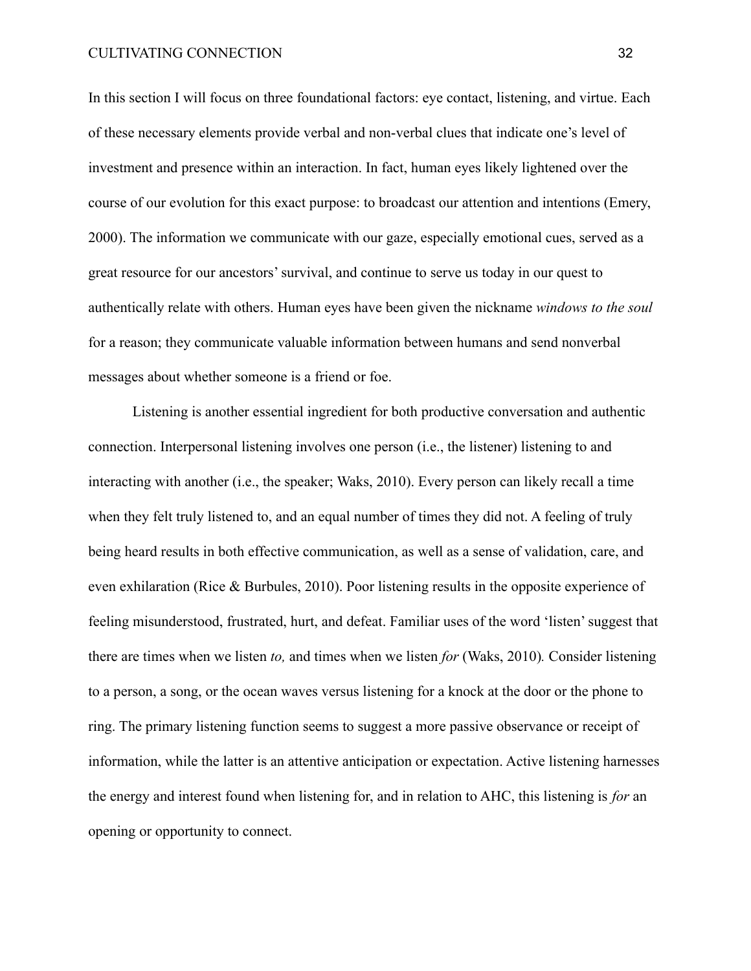In this section I will focus on three foundational factors: eye contact, listening, and virtue. Each of these necessary elements provide verbal and non-verbal clues that indicate one's level of investment and presence within an interaction. In fact, human eyes likely lightened over the course of our evolution for this exact purpose: to broadcast our attention and intentions (Emery, 2000). The information we communicate with our gaze, especially emotional cues, served as a great resource for our ancestors' survival, and continue to serve us today in our quest to authentically relate with others. Human eyes have been given the nickname *windows to the soul* for a reason; they communicate valuable information between humans and send nonverbal messages about whether someone is a friend or foe.

Listening is another essential ingredient for both productive conversation and authentic connection. Interpersonal listening involves one person (i.e., the listener) listening to and interacting with another (i.e., the speaker; Waks, 2010). Every person can likely recall a time when they felt truly listened to, and an equal number of times they did not. A feeling of truly being heard results in both effective communication, as well as a sense of validation, care, and even exhilaration (Rice & Burbules, 2010). Poor listening results in the opposite experience of feeling misunderstood, frustrated, hurt, and defeat. Familiar uses of the word 'listen' suggest that there are times when we listen *to,* and times when we listen *for* (Waks, 2010)*.* Consider listening to a person, a song, or the ocean waves versus listening for a knock at the door or the phone to ring. The primary listening function seems to suggest a more passive observance or receipt of information, while the latter is an attentive anticipation or expectation. Active listening harnesses the energy and interest found when listening for, and in relation to AHC, this listening is *for* an opening or opportunity to connect.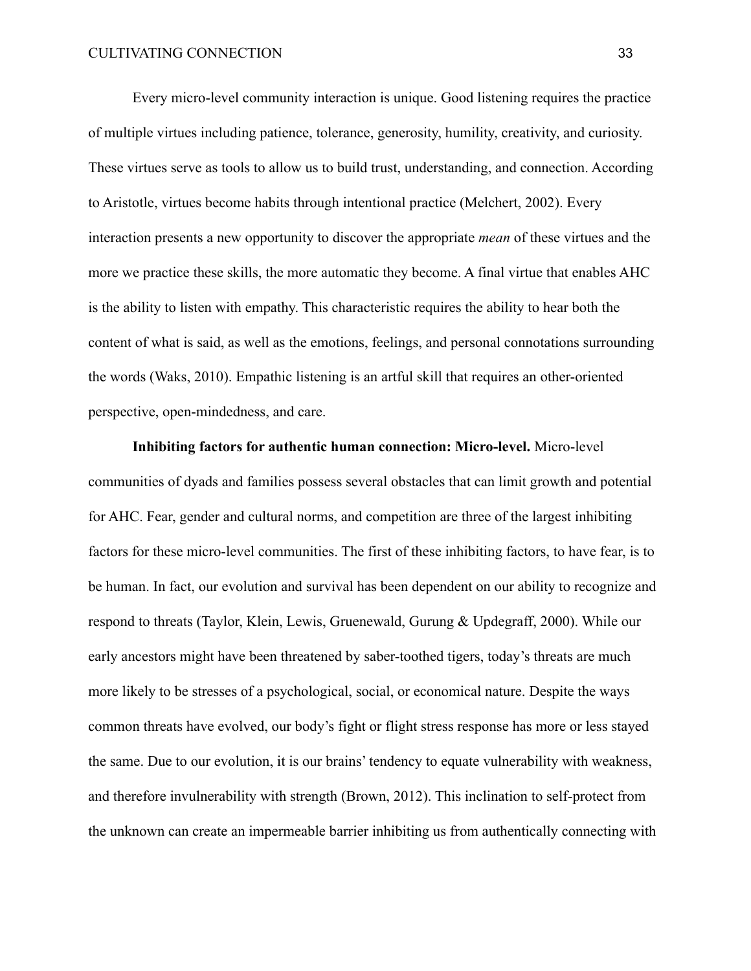Every micro-level community interaction is unique. Good listening requires the practice of multiple virtues including patience, tolerance, generosity, humility, creativity, and curiosity. These virtues serve as tools to allow us to build trust, understanding, and connection. According to Aristotle, virtues become habits through intentional practice (Melchert, 2002). Every interaction presents a new opportunity to discover the appropriate *mean* of these virtues and the more we practice these skills, the more automatic they become. A final virtue that enables AHC is the ability to listen with empathy. This characteristic requires the ability to hear both the content of what is said, as well as the emotions, feelings, and personal connotations surrounding the words (Waks, 2010). Empathic listening is an artful skill that requires an other-oriented perspective, open-mindedness, and care.

**Inhibiting factors for authentic human connection: Micro-level.** Micro-level communities of dyads and families possess several obstacles that can limit growth and potential for AHC. Fear, gender and cultural norms, and competition are three of the largest inhibiting factors for these micro-level communities. The first of these inhibiting factors, to have fear, is to be human. In fact, our evolution and survival has been dependent on our ability to recognize and respond to threats (Taylor, Klein, Lewis, Gruenewald, Gurung & Updegraff, 2000). While our early ancestors might have been threatened by saber-toothed tigers, today's threats are much more likely to be stresses of a psychological, social, or economical nature. Despite the ways common threats have evolved, our body's fight or flight stress response has more or less stayed the same. Due to our evolution, it is our brains' tendency to equate vulnerability with weakness, and therefore invulnerability with strength (Brown, 2012). This inclination to self-protect from the unknown can create an impermeable barrier inhibiting us from authentically connecting with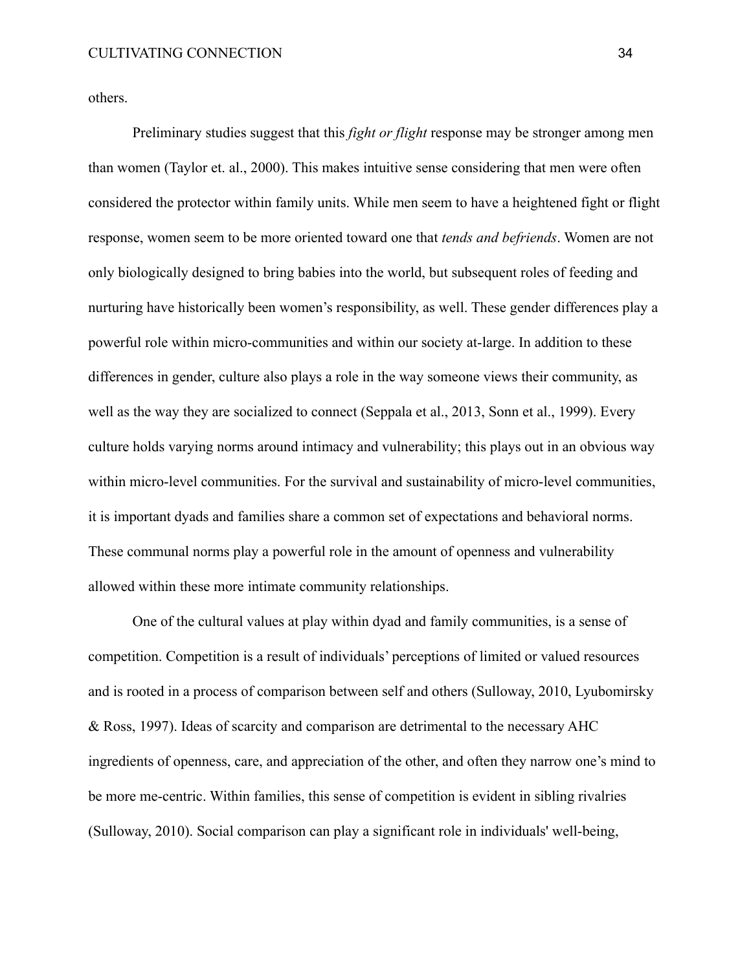others.

Preliminary studies suggest that this *fight or flight* response may be stronger among men than women (Taylor et. al., 2000). This makes intuitive sense considering that men were often considered the protector within family units. While men seem to have a heightened fight or flight response, women seem to be more oriented toward one that *tends and befriends*. Women are not only biologically designed to bring babies into the world, but subsequent roles of feeding and nurturing have historically been women's responsibility, as well. These gender differences play a powerful role within micro-communities and within our society at-large. In addition to these differences in gender, culture also plays a role in the way someone views their community, as well as the way they are socialized to connect (Seppala et al., 2013, Sonn et al., 1999). Every culture holds varying norms around intimacy and vulnerability; this plays out in an obvious way within micro-level communities. For the survival and sustainability of micro-level communities, it is important dyads and families share a common set of expectations and behavioral norms. These communal norms play a powerful role in the amount of openness and vulnerability allowed within these more intimate community relationships.

One of the cultural values at play within dyad and family communities, is a sense of competition. Competition is a result of individuals' perceptions of limited or valued resources and is rooted in a process of comparison between self and others (Sulloway, 2010, Lyubomirsky & Ross, 1997). Ideas of scarcity and comparison are detrimental to the necessary AHC ingredients of openness, care, and appreciation of the other, and often they narrow one's mind to be more me-centric. Within families, this sense of competition is evident in sibling rivalries (Sulloway, 2010). Social comparison can play a significant role in individuals' well-being,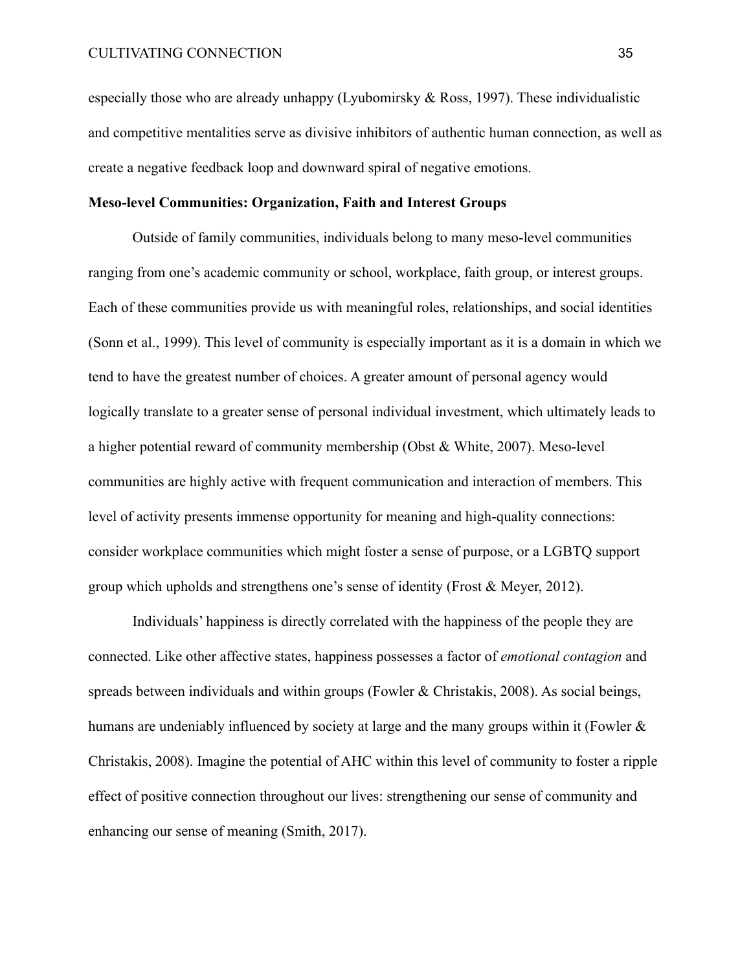especially those who are already unhappy (Lyubomirsky & Ross, 1997). These individualistic and competitive mentalities serve as divisive inhibitors of authentic human connection, as well as create a negative feedback loop and downward spiral of negative emotions.

# **Meso-level Communities: Organization, Faith and Interest Groups**

Outside of family communities, individuals belong to many meso-level communities ranging from one's academic community or school, workplace, faith group, or interest groups. Each of these communities provide us with meaningful roles, relationships, and social identities (Sonn et al., 1999). This level of community is especially important as it is a domain in which we tend to have the greatest number of choices. A greater amount of personal agency would logically translate to a greater sense of personal individual investment, which ultimately leads to a higher potential reward of community membership (Obst & White, 2007). Meso-level communities are highly active with frequent communication and interaction of members. This level of activity presents immense opportunity for meaning and high-quality connections: consider workplace communities which might foster a sense of purpose, or a LGBTQ support group which upholds and strengthens one's sense of identity (Frost & Meyer, 2012).

Individuals' happiness is directly correlated with the happiness of the people they are connected. Like other affective states, happiness possesses a factor of *emotional contagion* and spreads between individuals and within groups (Fowler & Christakis, 2008). As social beings, humans are undeniably influenced by society at large and the many groups within it (Fowler  $\&$ Christakis, 2008). Imagine the potential of AHC within this level of community to foster a ripple effect of positive connection throughout our lives: strengthening our sense of community and enhancing our sense of meaning (Smith, 2017).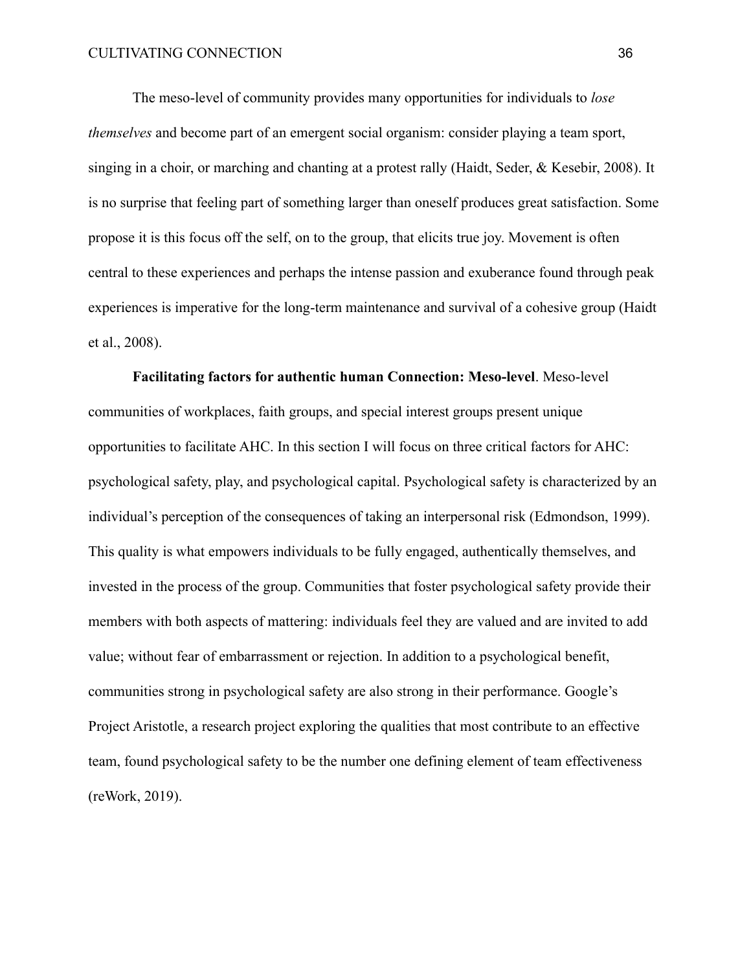The meso-level of community provides many opportunities for individuals to *lose themselves* and become part of an emergent social organism: consider playing a team sport, singing in a choir, or marching and chanting at a protest rally (Haidt, Seder, & Kesebir, 2008). It is no surprise that feeling part of something larger than oneself produces great satisfaction. Some propose it is this focus off the self, on to the group, that elicits true joy. Movement is often central to these experiences and perhaps the intense passion and exuberance found through peak experiences is imperative for the long-term maintenance and survival of a cohesive group (Haidt et al., 2008).

**Facilitating factors for authentic human Connection: Meso-level**. Meso-level communities of workplaces, faith groups, and special interest groups present unique opportunities to facilitate AHC. In this section I will focus on three critical factors for AHC: psychological safety, play, and psychological capital. Psychological safety is characterized by an individual's perception of the consequences of taking an interpersonal risk (Edmondson, 1999). This quality is what empowers individuals to be fully engaged, authentically themselves, and invested in the process of the group. Communities that foster psychological safety provide their members with both aspects of mattering: individuals feel they are valued and are invited to add value; without fear of embarrassment or rejection. In addition to a psychological benefit, communities strong in psychological safety are also strong in their performance. Google's Project Aristotle, a research project exploring the qualities that most contribute to an effective team, found psychological safety to be the number one defining element of team effectiveness (reWork, 2019).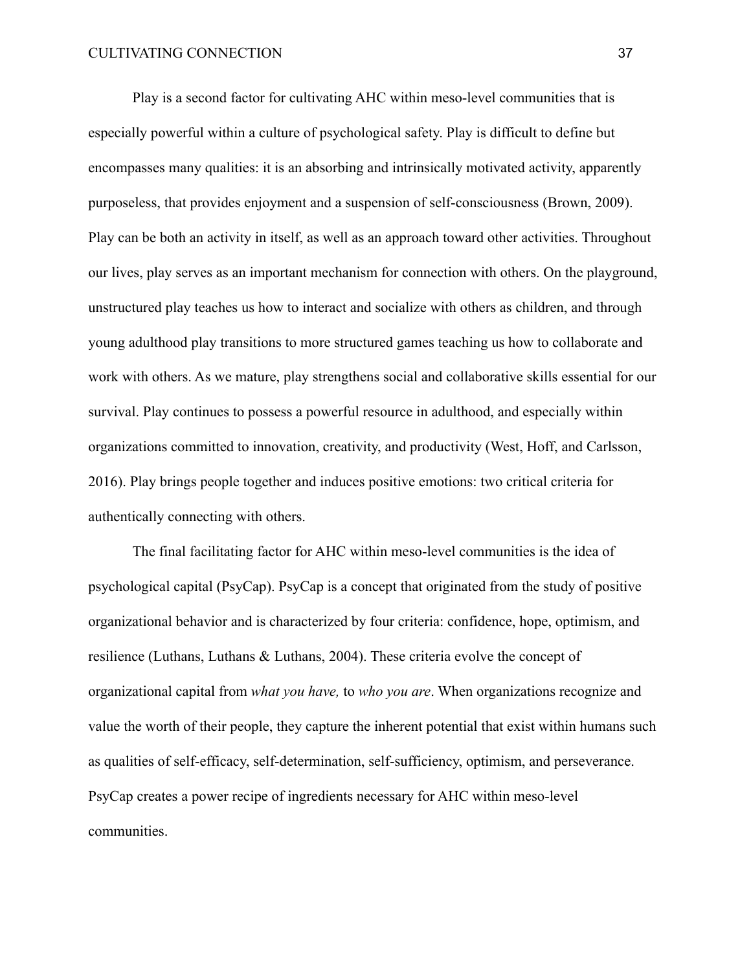Play is a second factor for cultivating AHC within meso-level communities that is especially powerful within a culture of psychological safety. Play is difficult to define but encompasses many qualities: it is an absorbing and intrinsically motivated activity, apparently purposeless, that provides enjoyment and a suspension of self-consciousness (Brown, 2009). Play can be both an activity in itself, as well as an approach toward other activities. Throughout our lives, play serves as an important mechanism for connection with others. On the playground, unstructured play teaches us how to interact and socialize with others as children, and through young adulthood play transitions to more structured games teaching us how to collaborate and work with others. As we mature, play strengthens social and collaborative skills essential for our survival. Play continues to possess a powerful resource in adulthood, and especially within organizations committed to innovation, creativity, and productivity (West, Hoff, and Carlsson, 2016). Play brings people together and induces positive emotions: two critical criteria for authentically connecting with others.

The final facilitating factor for AHC within meso-level communities is the idea of psychological capital (PsyCap). PsyCap is a concept that originated from the study of positive organizational behavior and is characterized by four criteria: confidence, hope, optimism, and resilience (Luthans, Luthans & Luthans, 2004). These criteria evolve the concept of organizational capital from *what you have,* to *who you are*. When organizations recognize and value the worth of their people, they capture the inherent potential that exist within humans such as qualities of self-efficacy, self-determination, self-sufficiency, optimism, and perseverance. PsyCap creates a power recipe of ingredients necessary for AHC within meso-level communities.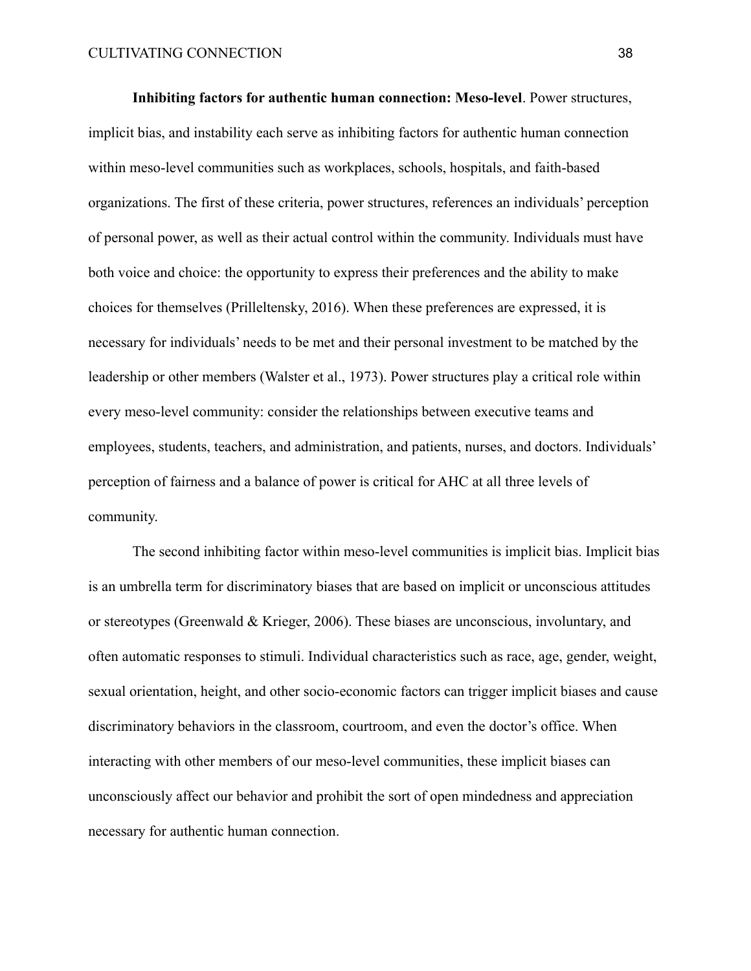**Inhibiting factors for authentic human connection: Meso-level**. Power structures, implicit bias, and instability each serve as inhibiting factors for authentic human connection within meso-level communities such as workplaces, schools, hospitals, and faith-based organizations. The first of these criteria, power structures, references an individuals' perception of personal power, as well as their actual control within the community. Individuals must have both voice and choice: the opportunity to express their preferences and the ability to make choices for themselves (Prilleltensky, 2016). When these preferences are expressed, it is necessary for individuals' needs to be met and their personal investment to be matched by the leadership or other members (Walster et al., 1973). Power structures play a critical role within every meso-level community: consider the relationships between executive teams and employees, students, teachers, and administration, and patients, nurses, and doctors. Individuals' perception of fairness and a balance of power is critical for AHC at all three levels of community.

The second inhibiting factor within meso-level communities is implicit bias. Implicit bias is an umbrella term for discriminatory biases that are based on implicit or unconscious attitudes or stereotypes (Greenwald & Krieger, 2006). These biases are unconscious, involuntary, and often automatic responses to stimuli. Individual characteristics such as race, age, gender, weight, sexual orientation, height, and other socio-economic factors can trigger implicit biases and cause discriminatory behaviors in the classroom, courtroom, and even the doctor's office. When interacting with other members of our meso-level communities, these implicit biases can unconsciously affect our behavior and prohibit the sort of open mindedness and appreciation necessary for authentic human connection.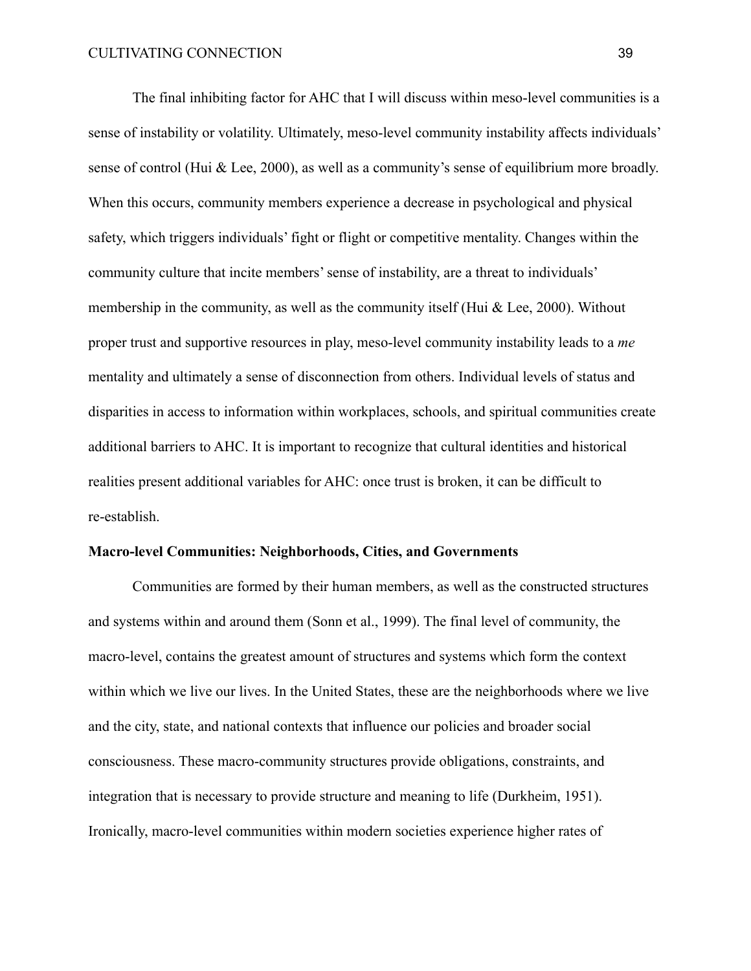The final inhibiting factor for AHC that I will discuss within meso-level communities is a sense of instability or volatility. Ultimately, meso-level community instability affects individuals' sense of control (Hui & Lee, 2000), as well as a community's sense of equilibrium more broadly. When this occurs, community members experience a decrease in psychological and physical safety, which triggers individuals' fight or flight or competitive mentality. Changes within the community culture that incite members' sense of instability, are a threat to individuals' membership in the community, as well as the community itself (Hui & Lee, 2000). Without proper trust and supportive resources in play, meso-level community instability leads to a *me* mentality and ultimately a sense of disconnection from others. Individual levels of status and disparities in access to information within workplaces, schools, and spiritual communities create additional barriers to AHC. It is important to recognize that cultural identities and historical realities present additional variables for AHC: once trust is broken, it can be difficult to re-establish.

# **Macro-level Communities: Neighborhoods, Cities, and Governments**

Communities are formed by their human members, as well as the constructed structures and systems within and around them (Sonn et al., 1999). The final level of community, the macro-level, contains the greatest amount of structures and systems which form the context within which we live our lives. In the United States, these are the neighborhoods where we live and the city, state, and national contexts that influence our policies and broader social consciousness. These macro-community structures provide obligations, constraints, and integration that is necessary to provide structure and meaning to life (Durkheim, 1951). Ironically, macro-level communities within modern societies experience higher rates of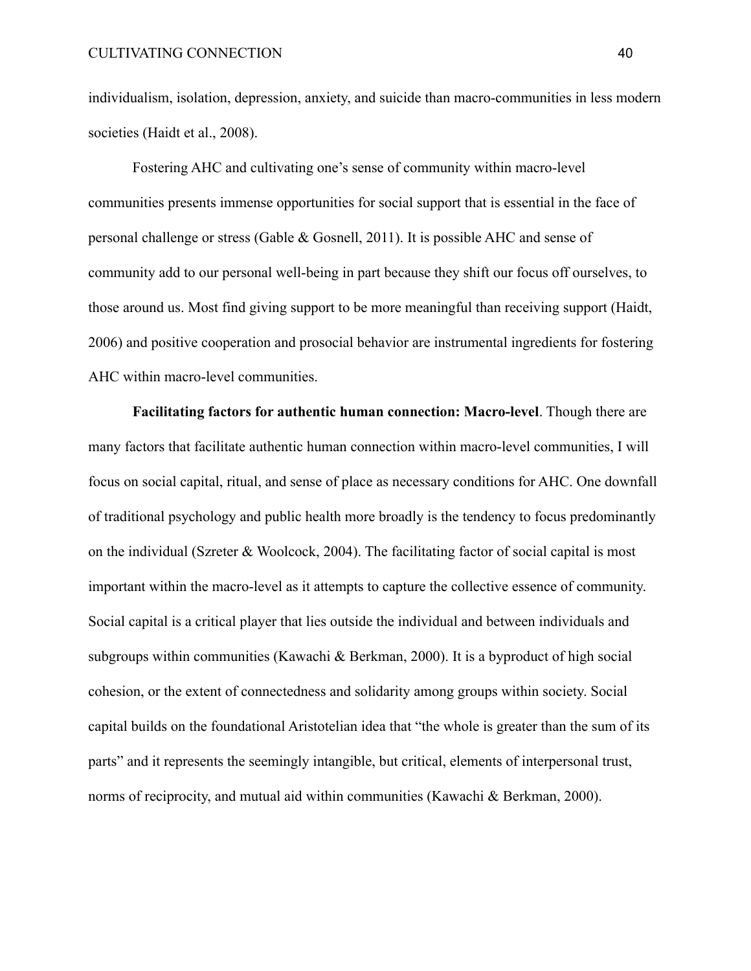individualism, isolation, depression, anxiety, and suicide than macro-communities in less modern societies (Haidt et al., 2008).

Fostering AHC and cultivating one's sense of community within macro-level communities presents immense opportunities for social support that is essential in the face of personal challenge or stress (Gable & Gosnell, 2011). It is possible AHC and sense of community add to our personal well-being in part because they shift our focus off ourselves, to those around us. Most find giving support to be more meaningful than receiving support (Haidt, 2006) and positive cooperation and prosocial behavior are instrumental ingredients for fostering AHC within macro-level communities.

**Facilitating factors for authentic human connection: Macro-level**. Though there are many factors that facilitate authentic human connection within macro-level communities, I will focus on social capital, ritual, and sense of place as necessary conditions for AHC. One downfall of traditional psychology and public health more broadly is the tendency to focus predominantly on the individual (Szreter & Woolcock, 2004). The facilitating factor of social capital is most important within the macro-level as it attempts to capture the collective essence of community. Social capital is a critical player that lies outside the individual and between individuals and subgroups within communities (Kawachi & Berkman, 2000). It is a byproduct of high social cohesion, or the extent of connectedness and solidarity among groups within society. Social capital builds on the foundational Aristotelian idea that "the whole is greater than the sum of its parts" and it represents the seemingly intangible, but critical, elements of interpersonal trust, norms of reciprocity, and mutual aid within communities (Kawachi & Berkman, 2000).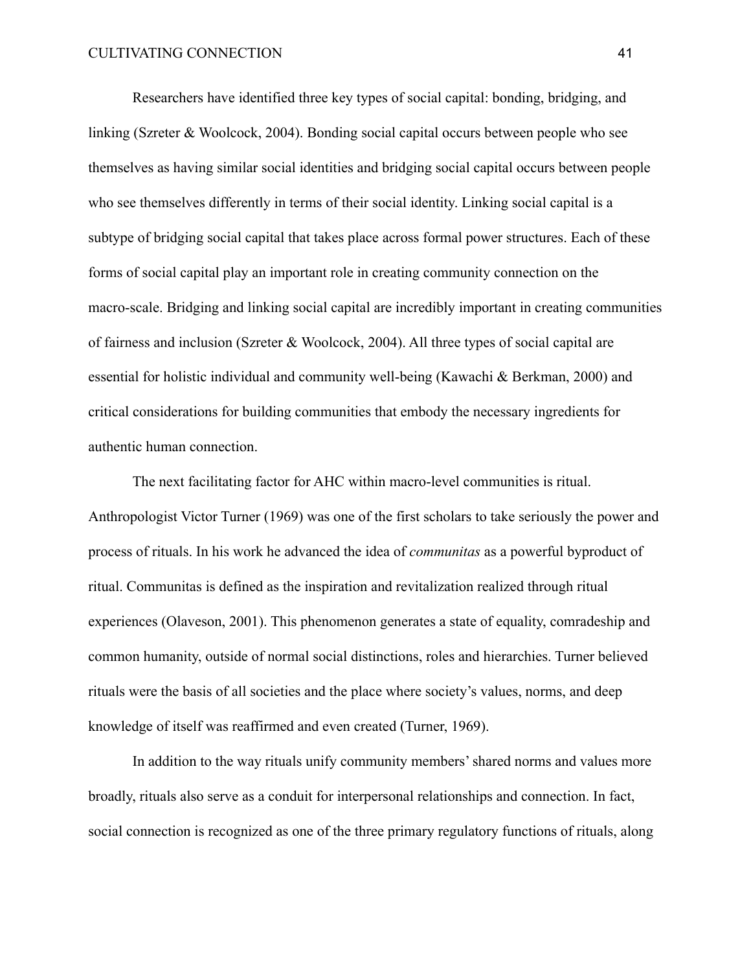Researchers have identified three key types of social capital: bonding, bridging, and linking (Szreter & Woolcock, 2004). Bonding social capital occurs between people who see themselves as having similar social identities and bridging social capital occurs between people who see themselves differently in terms of their social identity. Linking social capital is a subtype of bridging social capital that takes place across formal power structures. Each of these forms of social capital play an important role in creating community connection on the macro-scale. Bridging and linking social capital are incredibly important in creating communities of fairness and inclusion (Szreter & Woolcock, 2004). All three types of social capital are essential for holistic individual and community well-being (Kawachi & Berkman, 2000) and critical considerations for building communities that embody the necessary ingredients for authentic human connection.

The next facilitating factor for AHC within macro-level communities is ritual. Anthropologist Victor Turner (1969) was one of the first scholars to take seriously the power and process of rituals. In his work he advanced the idea of *communitas* as a powerful byproduct of ritual. Communitas is defined as the inspiration and revitalization realized through ritual experiences (Olaveson, 2001). This phenomenon generates a state of equality, comradeship and common humanity, outside of normal social distinctions, roles and hierarchies. Turner believed rituals were the basis of all societies and the place where society's values, norms, and deep knowledge of itself was reaffirmed and even created (Turner, 1969).

In addition to the way rituals unify community members' shared norms and values more broadly, rituals also serve as a conduit for interpersonal relationships and connection. In fact, social connection is recognized as one of the three primary regulatory functions of rituals, along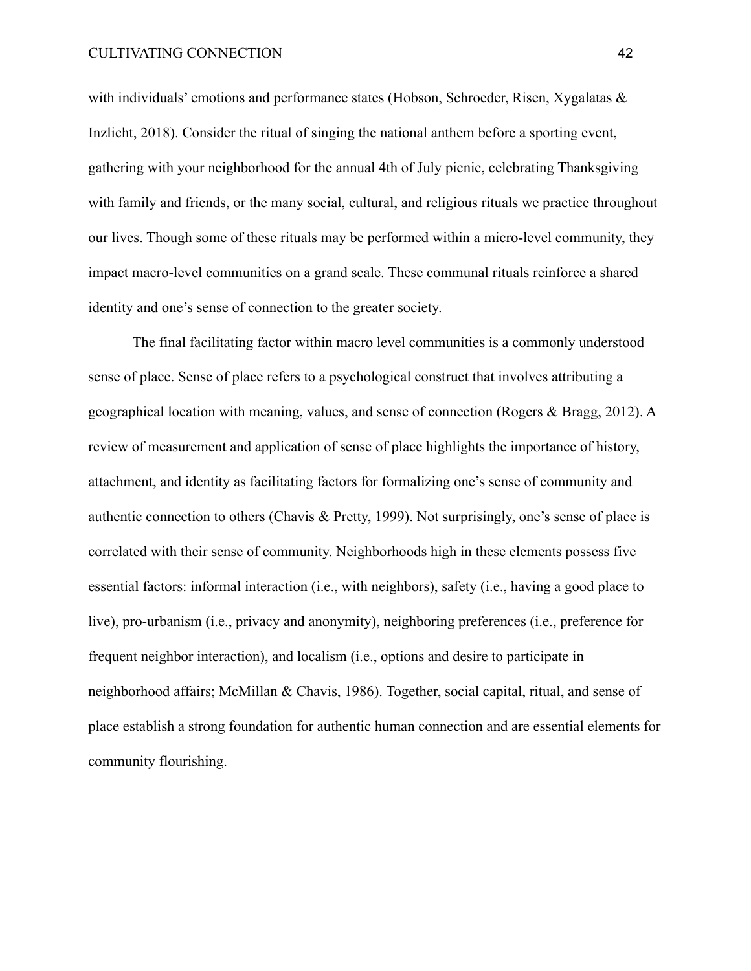with individuals' emotions and performance states (Hobson, Schroeder, Risen, Xygalatas & Inzlicht, 2018). Consider the ritual of singing the national anthem before a sporting event, gathering with your neighborhood for the annual 4th of July picnic, celebrating Thanksgiving with family and friends, or the many social, cultural, and religious rituals we practice throughout our lives. Though some of these rituals may be performed within a micro-level community, they impact macro-level communities on a grand scale. These communal rituals reinforce a shared identity and one's sense of connection to the greater society.

The final facilitating factor within macro level communities is a commonly understood sense of place. Sense of place refers to a psychological construct that involves attributing a geographical location with meaning, values, and sense of connection (Rogers & Bragg, 2012). A review of measurement and application of sense of place highlights the importance of history, attachment, and identity as facilitating factors for formalizing one's sense of community and authentic connection to others (Chavis & Pretty, 1999). Not surprisingly, one's sense of place is correlated with their sense of community. Neighborhoods high in these elements possess five essential factors: informal interaction (i.e., with neighbors), safety (i.e., having a good place to live), pro-urbanism (i.e., privacy and anonymity), neighboring preferences (i.e., preference for frequent neighbor interaction), and localism (i.e., options and desire to participate in neighborhood affairs; McMillan & Chavis, 1986). Together, social capital, ritual, and sense of place establish a strong foundation for authentic human connection and are essential elements for community flourishing.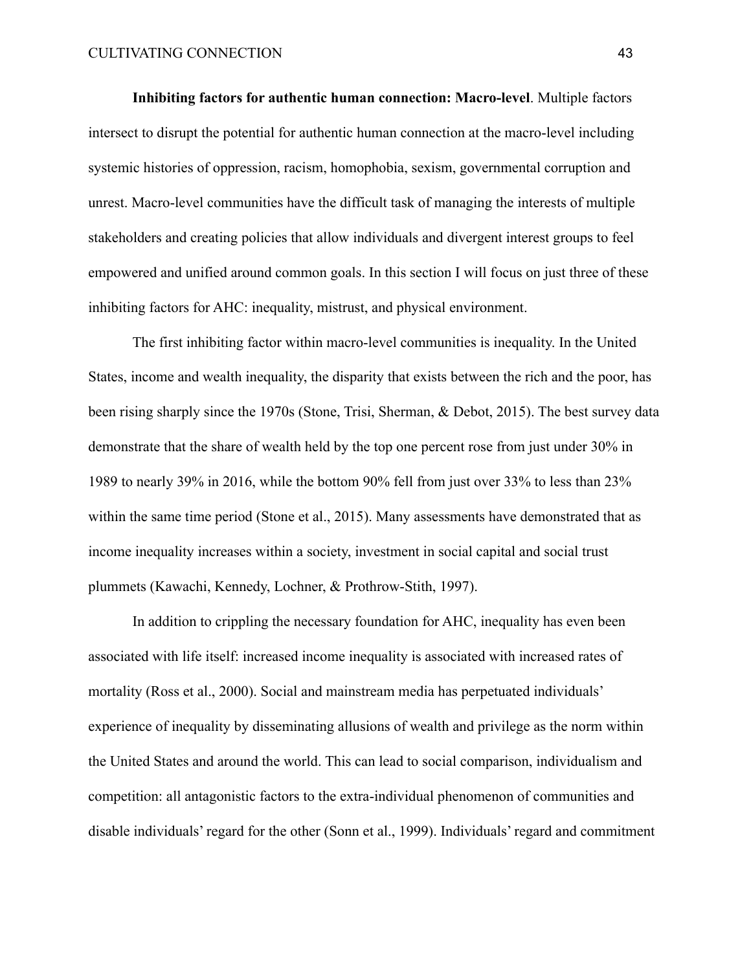**Inhibiting factors for authentic human connection: Macro-level**. Multiple factors intersect to disrupt the potential for authentic human connection at the macro-level including systemic histories of oppression, racism, homophobia, sexism, governmental corruption and unrest. Macro-level communities have the difficult task of managing the interests of multiple stakeholders and creating policies that allow individuals and divergent interest groups to feel empowered and unified around common goals. In this section I will focus on just three of these inhibiting factors for AHC: inequality, mistrust, and physical environment.

The first inhibiting factor within macro-level communities is inequality. In the United States, income and wealth inequality, the disparity that exists between the rich and the poor, has been rising sharply since the 1970s (Stone, Trisi, Sherman, & Debot, 2015). The best survey data demonstrate that the share of wealth held by the top one percent rose from just under 30% in 1989 to nearly 39% in 2016, while the bottom 90% fell from just over 33% to less than 23% within the same time period (Stone et al., 2015). Many assessments have demonstrated that as income inequality increases within a society, investment in social capital and social trust plummets (Kawachi, Kennedy, Lochner, & Prothrow-Stith, 1997).

In addition to crippling the necessary foundation for AHC, inequality has even been associated with life itself: increased income inequality is associated with increased rates of mortality (Ross et al., 2000). Social and mainstream media has perpetuated individuals' experience of inequality by disseminating allusions of wealth and privilege as the norm within the United States and around the world. This can lead to social comparison, individualism and competition: all antagonistic factors to the extra-individual phenomenon of communities and disable individuals' regard for the other (Sonn et al., 1999). Individuals' regard and commitment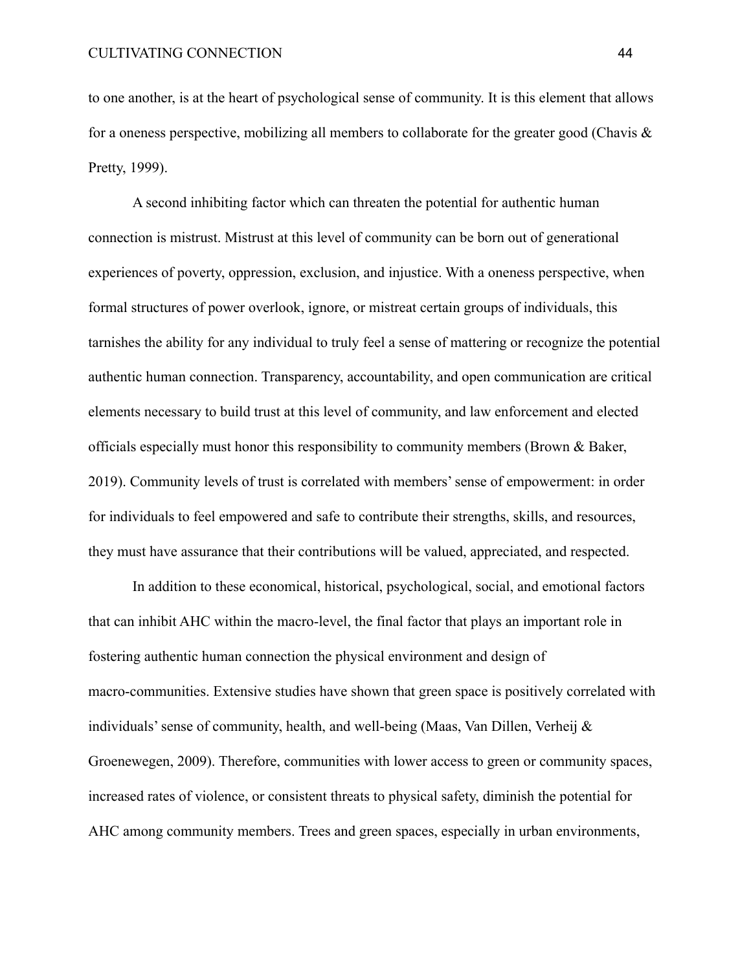to one another, is at the heart of psychological sense of community. It is this element that allows for a oneness perspective, mobilizing all members to collaborate for the greater good (Chavis  $\&$ Pretty, 1999).

A second inhibiting factor which can threaten the potential for authentic human connection is mistrust. Mistrust at this level of community can be born out of generational experiences of poverty, oppression, exclusion, and injustice. With a oneness perspective, when formal structures of power overlook, ignore, or mistreat certain groups of individuals, this tarnishes the ability for any individual to truly feel a sense of mattering or recognize the potential authentic human connection. Transparency, accountability, and open communication are critical elements necessary to build trust at this level of community, and law enforcement and elected officials especially must honor this responsibility to community members (Brown & Baker, 2019). Community levels of trust is correlated with members' sense of empowerment: in order for individuals to feel empowered and safe to contribute their strengths, skills, and resources, they must have assurance that their contributions will be valued, appreciated, and respected.

In addition to these economical, historical, psychological, social, and emotional factors that can inhibit AHC within the macro-level, the final factor that plays an important role in fostering authentic human connection the physical environment and design of macro-communities. Extensive studies have shown that green space is positively correlated with individuals' sense of community, health, and well-being (Maas, Van Dillen, Verheij & Groenewegen, 2009). Therefore, communities with lower access to green or community spaces, increased rates of violence, or consistent threats to physical safety, diminish the potential for AHC among community members. Trees and green spaces, especially in urban environments,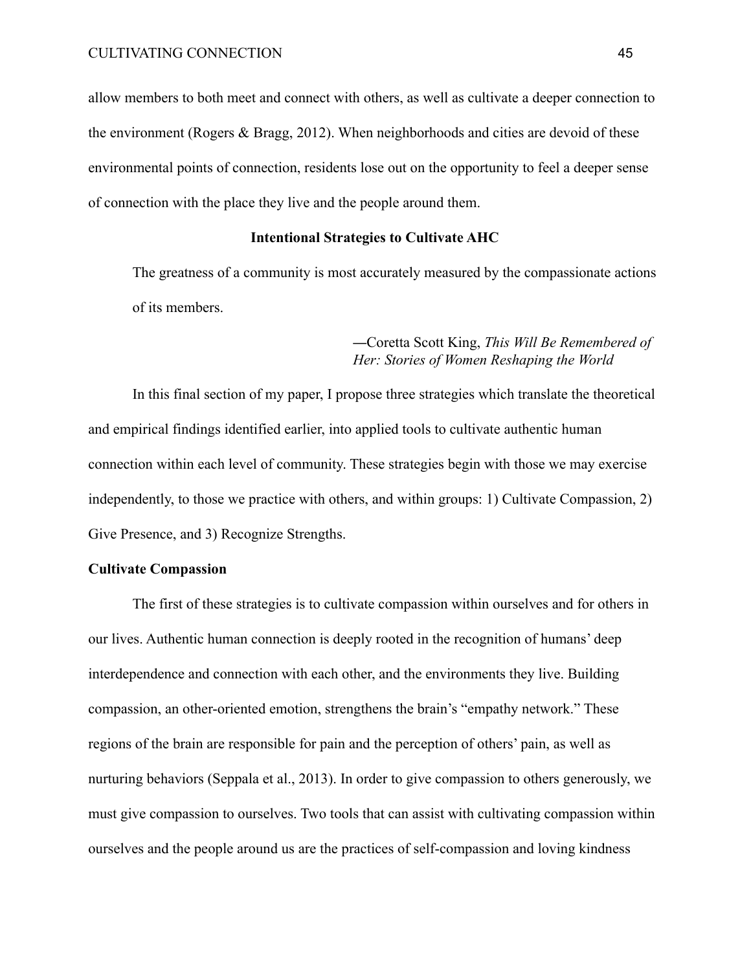allow members to both meet and connect with others, as well as cultivate a deeper connection to the environment (Rogers & Bragg, 2012). When neighborhoods and cities are devoid of these environmental points of connection, residents lose out on the opportunity to feel a deeper sense of connection with the place they live and the people around them.

#### **Intentional Strategies to Cultivate AHC**

The greatness of a community is most accurately measured by the compassionate actions of its members.

# —Coretta Scott King, *This Will Be Remembered of Her: Stories of Women Reshaping the World*

In this final section of my paper, I propose three strategies which translate the theoretical and empirical findings identified earlier, into applied tools to cultivate authentic human connection within each level of community. These strategies begin with those we may exercise independently, to those we practice with others, and within groups: 1) Cultivate Compassion, 2) Give Presence, and 3) Recognize Strengths.

# **Cultivate Compassion**

The first of these strategies is to cultivate compassion within ourselves and for others in our lives. Authentic human connection is deeply rooted in the recognition of humans' deep interdependence and connection with each other, and the environments they live. Building compassion, an other-oriented emotion, strengthens the brain's "empathy network." These regions of the brain are responsible for pain and the perception of others' pain, as well as nurturing behaviors (Seppala et al., 2013). In order to give compassion to others generously, we must give compassion to ourselves. Two tools that can assist with cultivating compassion within ourselves and the people around us are the practices of self-compassion and loving kindness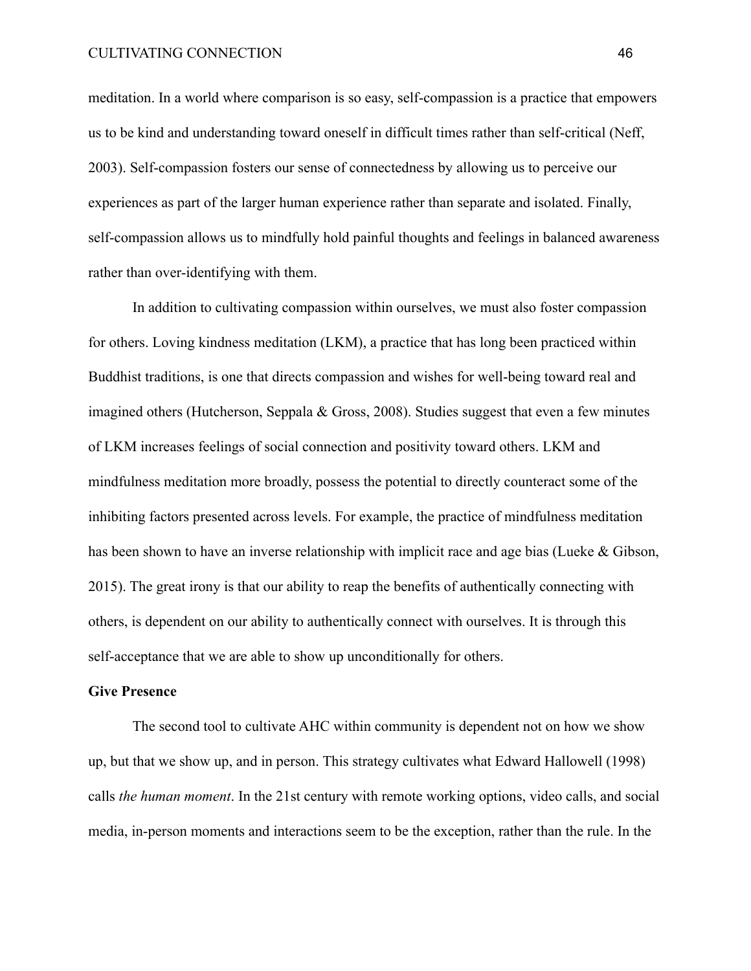#### CULTIVATING CONNECTION 46

meditation. In a world where comparison is so easy, self-compassion is a practice that empowers us to be kind and understanding toward oneself in difficult times rather than self-critical (Neff, 2003). Self-compassion fosters our sense of connectedness by allowing us to perceive our experiences as part of the larger human experience rather than separate and isolated. Finally, self-compassion allows us to mindfully hold painful thoughts and feelings in balanced awareness rather than over-identifying with them.

In addition to cultivating compassion within ourselves, we must also foster compassion for others. Loving kindness meditation (LKM), a practice that has long been practiced within Buddhist traditions, is one that directs compassion and wishes for well-being toward real and imagined others (Hutcherson, Seppala & Gross, 2008). Studies suggest that even a few minutes of LKM increases feelings of social connection and positivity toward others. LKM and mindfulness meditation more broadly, possess the potential to directly counteract some of the inhibiting factors presented across levels. For example, the practice of mindfulness meditation has been shown to have an inverse relationship with implicit race and age bias (Lueke & Gibson, 2015). The great irony is that our ability to reap the benefits of authentically connecting with others, is dependent on our ability to authentically connect with ourselves. It is through this self-acceptance that we are able to show up unconditionally for others.

# **Give Presence**

The second tool to cultivate AHC within community is dependent not on how we show up, but that we show up, and in person. This strategy cultivates what Edward Hallowell (1998) calls *the human moment*. In the 21st century with remote working options, video calls, and social media, in-person moments and interactions seem to be the exception, rather than the rule. In the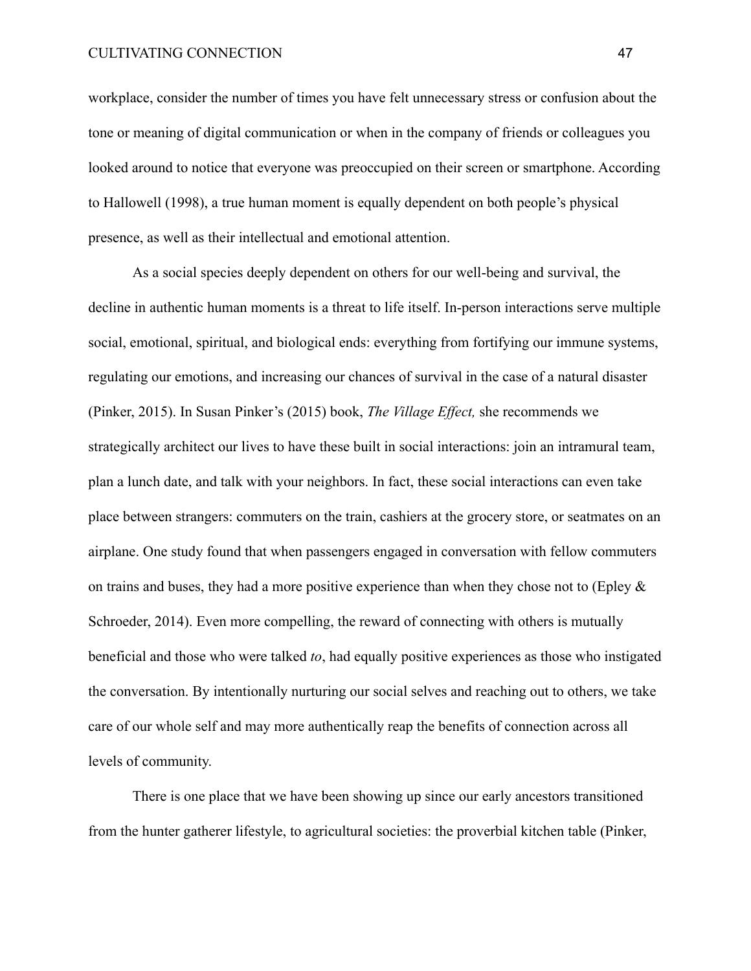workplace, consider the number of times you have felt unnecessary stress or confusion about the tone or meaning of digital communication or when in the company of friends or colleagues you looked around to notice that everyone was preoccupied on their screen or smartphone. According to Hallowell (1998), a true human moment is equally dependent on both people's physical presence, as well as their intellectual and emotional attention.

As a social species deeply dependent on others for our well-being and survival, the decline in authentic human moments is a threat to life itself. In-person interactions serve multiple social, emotional, spiritual, and biological ends: everything from fortifying our immune systems, regulating our emotions, and increasing our chances of survival in the case of a natural disaster (Pinker, 2015). In Susan Pinker's (2015) book, *The Village Effect,* she recommends we strategically architect our lives to have these built in social interactions: join an intramural team, plan a lunch date, and talk with your neighbors. In fact, these social interactions can even take place between strangers: commuters on the train, cashiers at the grocery store, or seatmates on an airplane. One study found that when passengers engaged in conversation with fellow commuters on trains and buses, they had a more positive experience than when they chose not to (Epley  $\&$ Schroeder, 2014). Even more compelling, the reward of connecting with others is mutually beneficial and those who were talked *to*, had equally positive experiences as those who instigated the conversation. By intentionally nurturing our social selves and reaching out to others, we take care of our whole self and may more authentically reap the benefits of connection across all levels of community.

There is one place that we have been showing up since our early ancestors transitioned from the hunter gatherer lifestyle, to agricultural societies: the proverbial kitchen table (Pinker,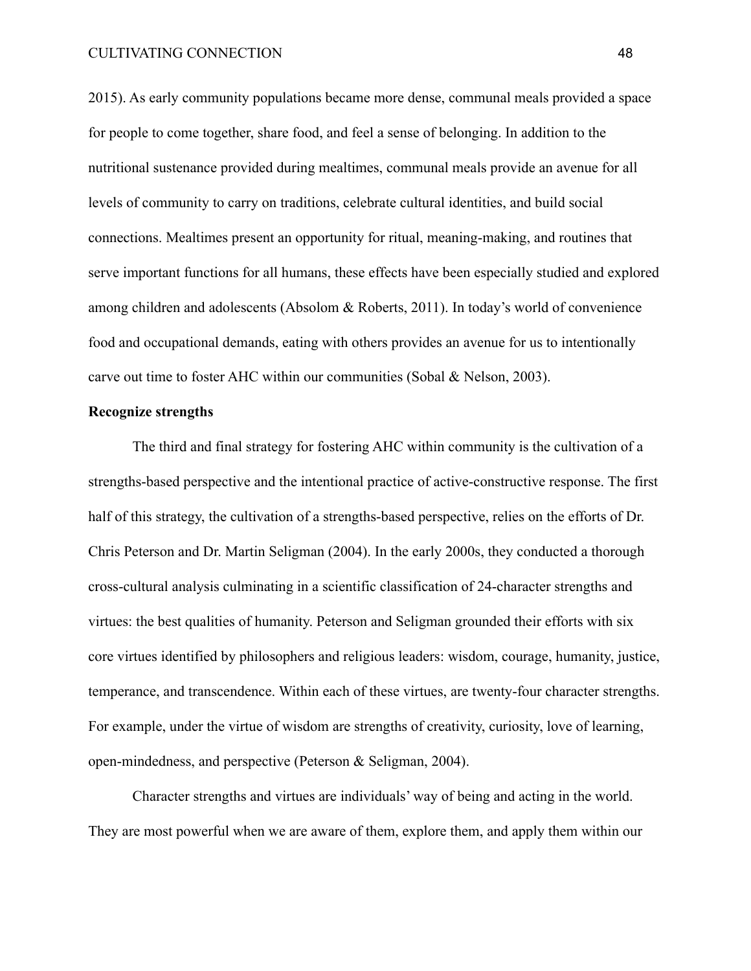2015). As early community populations became more dense, communal meals provided a space for people to come together, share food, and feel a sense of belonging. In addition to the nutritional sustenance provided during mealtimes, communal meals provide an avenue for all levels of community to carry on traditions, celebrate cultural identities, and build social connections. Mealtimes present an opportunity for ritual, meaning-making, and routines that serve important functions for all humans, these effects have been especially studied and explored among children and adolescents (Absolom & Roberts, 2011). In today's world of convenience food and occupational demands, eating with others provides an avenue for us to intentionally carve out time to foster AHC within our communities (Sobal & Nelson, 2003).

#### **Recognize strengths**

The third and final strategy for fostering AHC within community is the cultivation of a strengths-based perspective and the intentional practice of active-constructive response. The first half of this strategy, the cultivation of a strengths-based perspective, relies on the efforts of Dr. Chris Peterson and Dr. Martin Seligman (2004). In the early 2000s, they conducted a thorough cross-cultural analysis culminating in a scientific classification of 24-character strengths and virtues: the best qualities of humanity. Peterson and Seligman grounded their efforts with six core virtues identified by philosophers and religious leaders: wisdom, courage, humanity, justice, temperance, and transcendence. Within each of these virtues, are twenty-four character strengths. For example, under the virtue of wisdom are strengths of creativity, curiosity, love of learning, open-mindedness, and perspective (Peterson & Seligman, 2004).

Character strengths and virtues are individuals' way of being and acting in the world. They are most powerful when we are aware of them, explore them, and apply them within our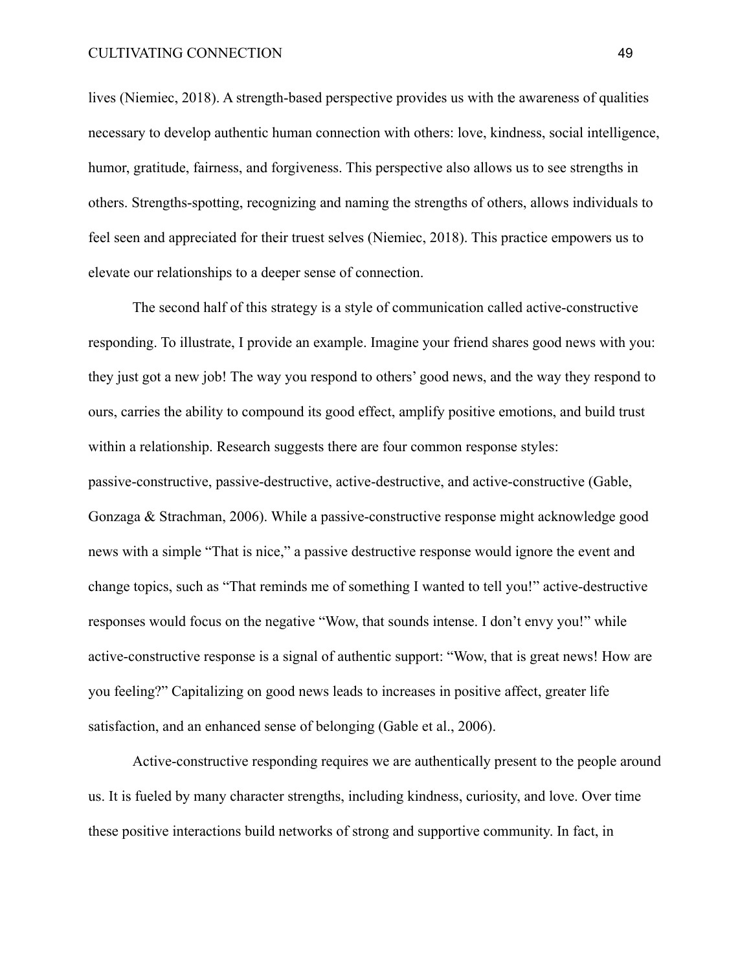lives (Niemiec, 2018). A strength-based perspective provides us with the awareness of qualities necessary to develop authentic human connection with others: love, kindness, social intelligence, humor, gratitude, fairness, and forgiveness. This perspective also allows us to see strengths in others. Strengths-spotting, recognizing and naming the strengths of others, allows individuals to feel seen and appreciated for their truest selves (Niemiec, 2018). This practice empowers us to elevate our relationships to a deeper sense of connection.

The second half of this strategy is a style of communication called active-constructive responding. To illustrate, I provide an example. Imagine your friend shares good news with you: they just got a new job! The way you respond to others' good news, and the way they respond to ours, carries the ability to compound its good effect, amplify positive emotions, and build trust within a relationship. Research suggests there are four common response styles: passive-constructive, passive-destructive, active-destructive, and active-constructive (Gable, Gonzaga & Strachman, 2006). While a passive-constructive response might acknowledge good news with a simple "That is nice," a passive destructive response would ignore the event and change topics, such as "That reminds me of something I wanted to tell you!" active-destructive responses would focus on the negative "Wow, that sounds intense. I don't envy you!" while active-constructive response is a signal of authentic support: "Wow, that is great news! How are you feeling?" Capitalizing on good news leads to increases in positive affect, greater life satisfaction, and an enhanced sense of belonging (Gable et al., 2006).

Active-constructive responding requires we are authentically present to the people around us. It is fueled by many character strengths, including kindness, curiosity, and love. Over time these positive interactions build networks of strong and supportive community. In fact, in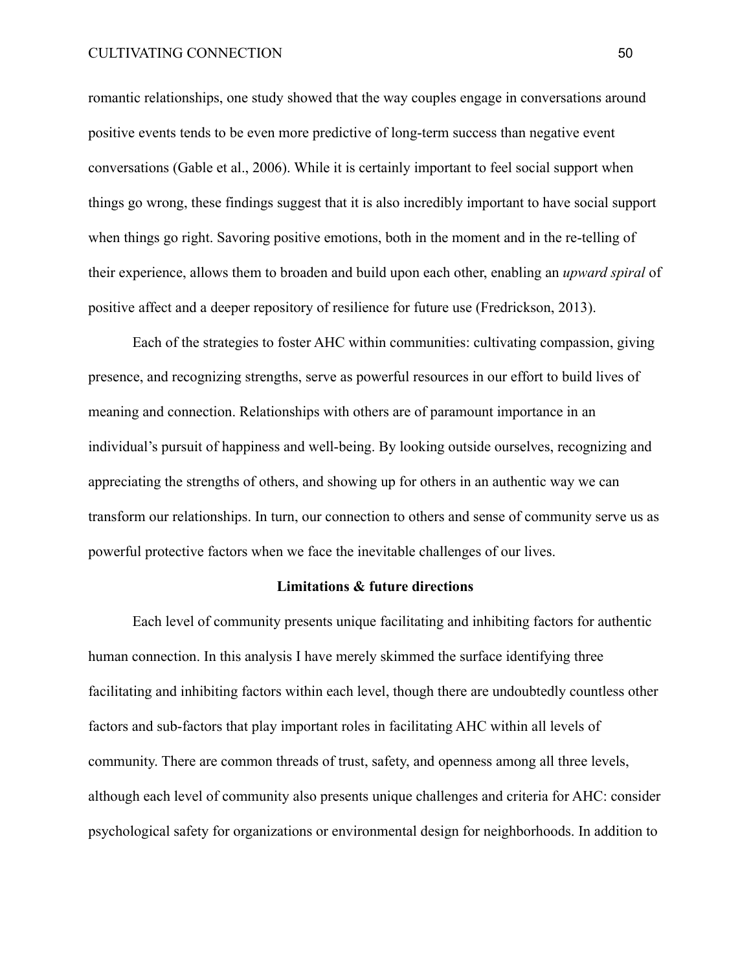romantic relationships, one study showed that the way couples engage in conversations around positive events tends to be even more predictive of long-term success than negative event conversations (Gable et al., 2006). While it is certainly important to feel social support when things go wrong, these findings suggest that it is also incredibly important to have social support when things go right. Savoring positive emotions, both in the moment and in the re-telling of their experience, allows them to broaden and build upon each other, enabling an *upward spiral* of positive affect and a deeper repository of resilience for future use (Fredrickson, 2013).

Each of the strategies to foster AHC within communities: cultivating compassion, giving presence, and recognizing strengths, serve as powerful resources in our effort to build lives of meaning and connection. Relationships with others are of paramount importance in an individual's pursuit of happiness and well-being. By looking outside ourselves, recognizing and appreciating the strengths of others, and showing up for others in an authentic way we can transform our relationships. In turn, our connection to others and sense of community serve us as powerful protective factors when we face the inevitable challenges of our lives.

# **Limitations & future directions**

Each level of community presents unique facilitating and inhibiting factors for authentic human connection. In this analysis I have merely skimmed the surface identifying three facilitating and inhibiting factors within each level, though there are undoubtedly countless other factors and sub-factors that play important roles in facilitating AHC within all levels of community. There are common threads of trust, safety, and openness among all three levels, although each level of community also presents unique challenges and criteria for AHC: consider psychological safety for organizations or environmental design for neighborhoods. In addition to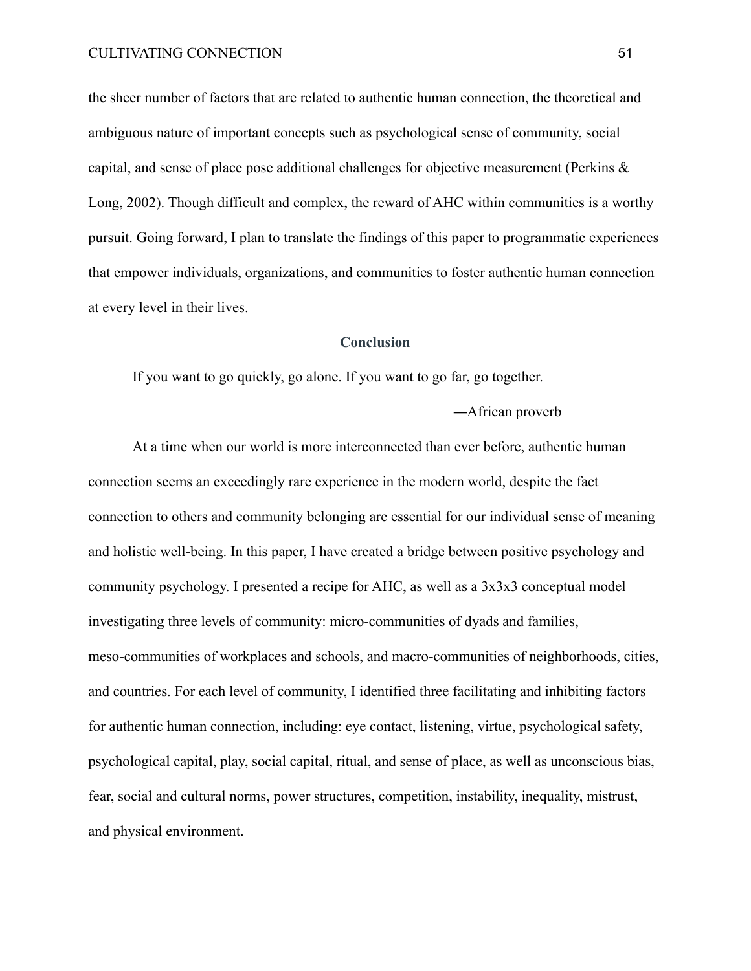the sheer number of factors that are related to authentic human connection, the theoretical and ambiguous nature of important concepts such as psychological sense of community, social capital, and sense of place pose additional challenges for objective measurement (Perkins & Long, 2002). Though difficult and complex, the reward of AHC within communities is a worthy pursuit. Going forward, I plan to translate the findings of this paper to programmatic experiences that empower individuals, organizations, and communities to foster authentic human connection at every level in their lives.

# **Conclusion**

If you want to go quickly, go alone. If you want to go far, go together.

—African proverb

At a time when our world is more interconnected than ever before, authentic human connection seems an exceedingly rare experience in the modern world, despite the fact connection to others and community belonging are essential for our individual sense of meaning and holistic well-being. In this paper, I have created a bridge between positive psychology and community psychology. I presented a recipe for AHC, as well as a 3x3x3 conceptual model investigating three levels of community: micro-communities of dyads and families, meso-communities of workplaces and schools, and macro-communities of neighborhoods, cities, and countries. For each level of community, I identified three facilitating and inhibiting factors for authentic human connection, including: eye contact, listening, virtue, psychological safety, psychological capital, play, social capital, ritual, and sense of place, as well as unconscious bias, fear, social and cultural norms, power structures, competition, instability, inequality, mistrust, and physical environment.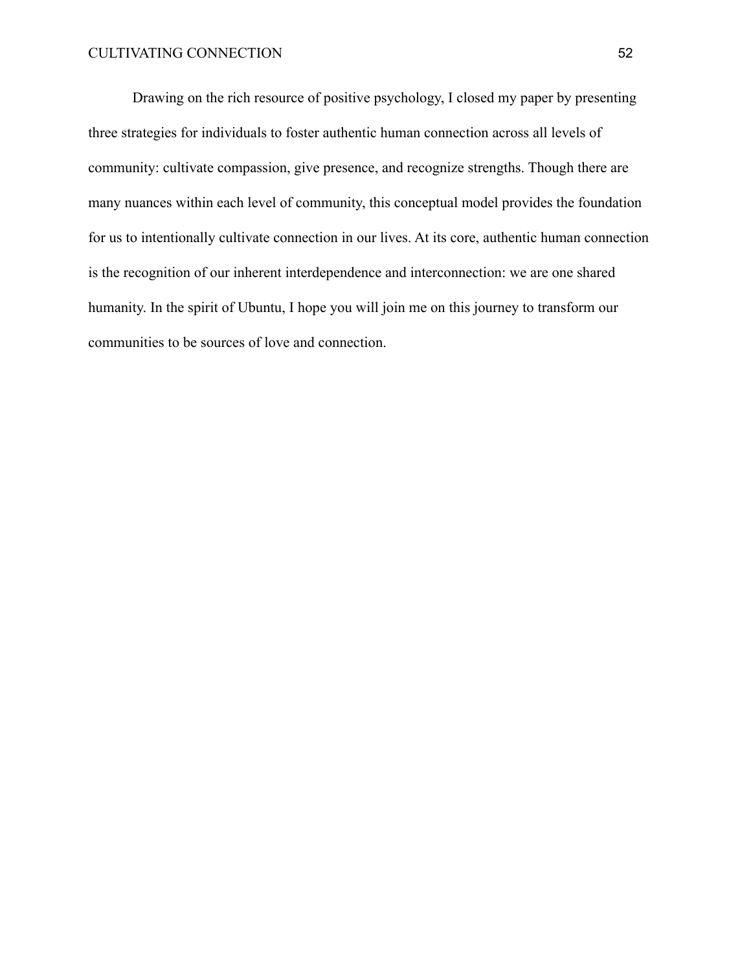Drawing on the rich resource of positive psychology, I closed my paper by presenting three strategies for individuals to foster authentic human connection across all levels of community: cultivate compassion, give presence, and recognize strengths. Though there are many nuances within each level of community, this conceptual model provides the foundation for us to intentionally cultivate connection in our lives. At its core, authentic human connection is the recognition of our inherent interdependence and interconnection: we are one shared humanity. In the spirit of Ubuntu, I hope you will join me on this journey to transform our communities to be sources of love and connection.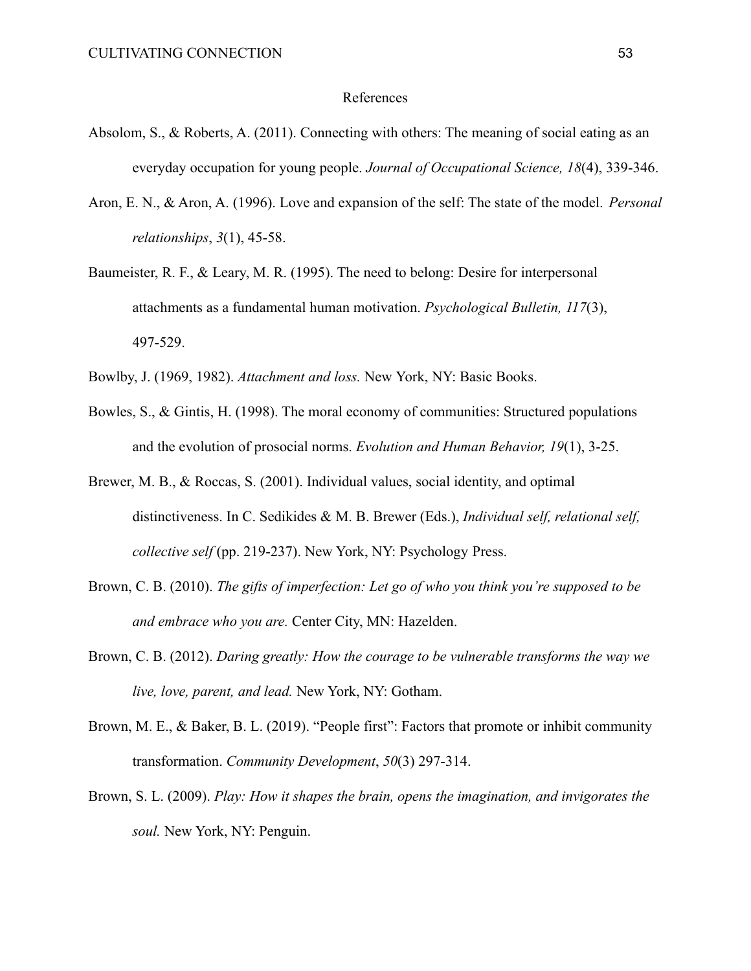#### References

- Absolom, S., & Roberts, A. (2011). Connecting with others: The meaning of social eating as an everyday occupation for young people. *Journal of Occupational Science, 18*(4), 339-346.
- Aron, E. N., & Aron, A. (1996). Love and expansion of the self: The state of the model. *Personal relationships*, *3*(1), 45-58.
- Baumeister, R. F., & Leary, M. R. (1995). The need to belong: Desire for interpersonal attachments as a fundamental human motivation. *Psychological Bulletin, 117*(3), 497-529.
- Bowlby, J. (1969, 1982). *Attachment and loss.* New York, NY: Basic Books.
- Bowles, S., & Gintis, H. (1998). The moral economy of communities: Structured populations and the evolution of prosocial norms. *Evolution and Human Behavior, 19*(1), 3-25.
- Brewer, M. B., & Roccas, S. (2001). Individual values, social identity, and optimal distinctiveness. In C. Sedikides & M. B. Brewer (Eds.), *Individual self, relational self, collective self* (pp. 219-237). New York, NY: Psychology Press.
- Brown, C. B. (2010). *The gifts of imperfection: Let go of who you think you're supposed to be and embrace who you are.* Center City, MN: Hazelden.
- Brown, C. B. (2012). *Daring greatly: How the courage to be vulnerable transforms the way we live, love, parent, and lead.* New York, NY: Gotham.
- Brown, M. E., & Baker, B. L. (2019). "People first": Factors that promote or inhibit community transformation. *Community Development*, *50*(3) 297-314.
- Brown, S. L. (2009). *Play: How it shapes the brain, opens the imagination, and invigorates the soul.* New York, NY: Penguin.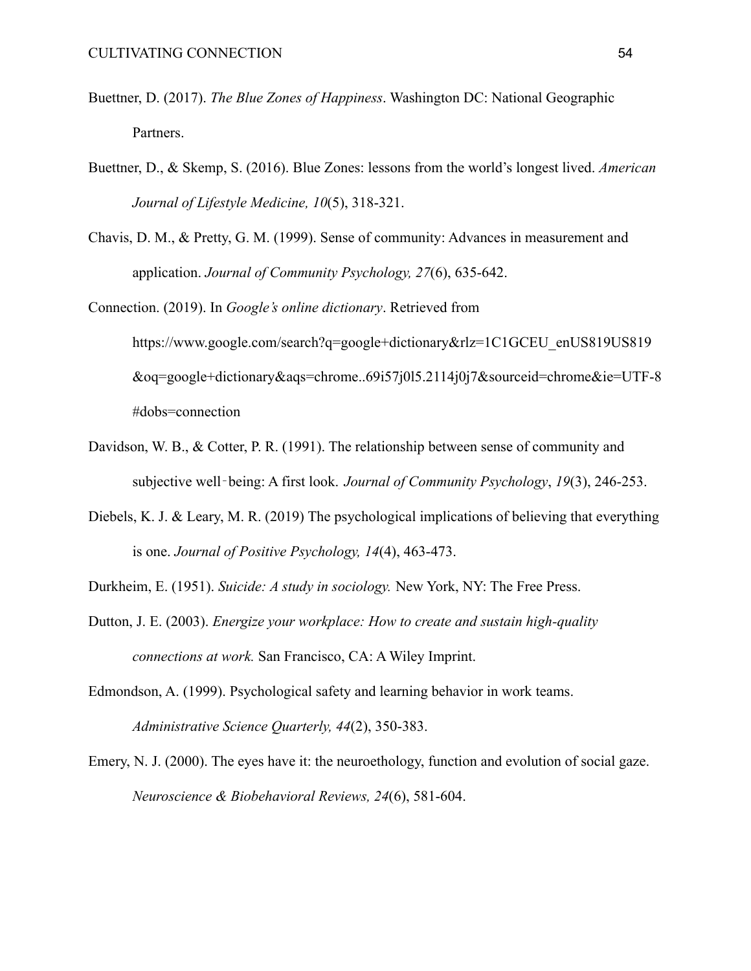- Buettner, D. (2017). *The Blue Zones of Happiness*. Washington DC: National Geographic Partners.
- Buettner, D., & Skemp, S. (2016). Blue Zones: lessons from the world's longest lived. *American Journal of Lifestyle Medicine, 10*(5), 318-321.
- Chavis, D. M., & Pretty, G. M. (1999). Sense of community: Advances in measurement and application. *Journal of Community Psychology, 27*(6), 635-642.
- Connection. (2019). In *Google's online dictionary*. Retrieved from [https://www.google.com/search?q=google+dictionary&rlz=1C1GCEU\\_enUS819US819](https://www.google.com/search?q=google+dictionary&rlz=1C1GCEU_enUS819US819&oq=google+dictionary&aqs=chrome..69i57j0l5.2114j0j7&sourceid=chrome&ie=UTF-8#dobs=connection) [&oq=google+dictionary&aqs=chrome..69i57j0l5.2114j0j7&sourceid=chrome&ie=UTF-8](https://www.google.com/search?q=google+dictionary&rlz=1C1GCEU_enUS819US819&oq=google+dictionary&aqs=chrome..69i57j0l5.2114j0j7&sourceid=chrome&ie=UTF-8#dobs=connection) [#dobs=connection](https://www.google.com/search?q=google+dictionary&rlz=1C1GCEU_enUS819US819&oq=google+dictionary&aqs=chrome..69i57j0l5.2114j0j7&sourceid=chrome&ie=UTF-8#dobs=connection)
- Davidson, W. B., & Cotter, P. R. (1991). The relationship between sense of community and subjective well‐being: A first look. *Journal of Community Psychology*, *19*(3), 246-253.
- Diebels, K. J. & Leary, M. R. (2019) The psychological implications of believing that everything is one. *Journal of Positive Psychology, 14*(4), 463-473.
- Durkheim, E. (1951). *Suicide: A study in sociology.* New York, NY: The Free Press.
- Dutton, J. E. (2003). *Energize your workplace: How to create and sustain high-quality connections at work.* San Francisco, CA: A Wiley Imprint.
- Edmondson, A. (1999). Psychological safety and learning behavior in work teams. *Administrative Science Quarterly, 44*(2), 350-383.
- Emery, N. J. (2000). The eyes have it: the neuroethology, function and evolution of social gaze. *Neuroscience & Biobehavioral Reviews, 24*(6), 581-604.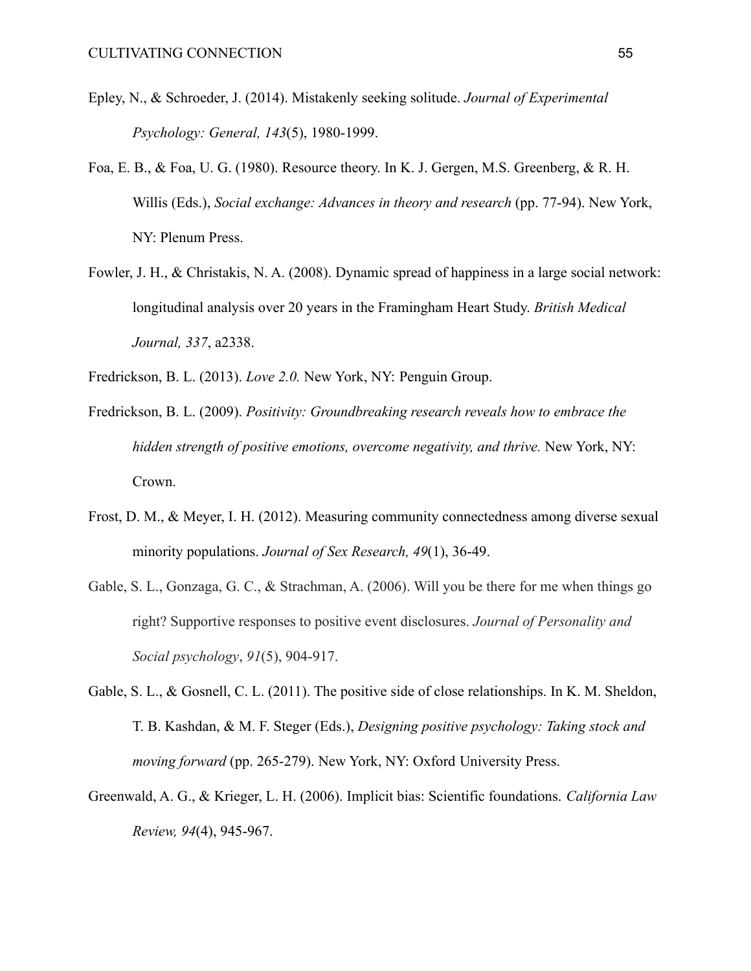- Epley, N., & Schroeder, J. (2014). Mistakenly seeking solitude. *Journal of Experimental Psychology: General, 143*(5), 1980-1999.
- Foa, E. B., & Foa, U. G. (1980). Resource theory. In K. J. Gergen, M.S. Greenberg, & R. H. Willis (Eds.), *Social exchange: Advances in theory and research* (pp. 77-94). New York, NY: Plenum Press.
- Fowler, J. H., & Christakis, N. A. (2008). Dynamic spread of happiness in a large social network: longitudinal analysis over 20 years in the Framingham Heart Study. *British Medical Journal, 337*, a2338.
- Fredrickson, B. L. (2013). *Love 2.0.* New York, NY: Penguin Group.
- Fredrickson, B. L. (2009). *Positivity: Groundbreaking research reveals how to embrace the hidden strength of positive emotions, overcome negativity, and thrive.* New York, NY: Crown.
- Frost, D. M., & Meyer, I. H. (2012). Measuring community connectedness among diverse sexual minority populations. *Journal of Sex Research, 49*(1), 36-49.
- Gable, S. L., Gonzaga, G. C., & Strachman, A. (2006). Will you be there for me when things go right? Supportive responses to positive event disclosures. *Journal of Personality and Social psychology*, *91*(5), 904-917.
- Gable, S. L., & Gosnell, C. L. (2011). The positive side of close relationships. In K. M. Sheldon, T. B. Kashdan, & M. F. Steger (Eds.), *Designing positive psychology: Taking stock and moving forward* (pp. 265-279). New York, NY: Oxford University Press.
- Greenwald, A. G., & Krieger, L. H. (2006). Implicit bias: Scientific foundations. *California Law Review, 94*(4), 945-967.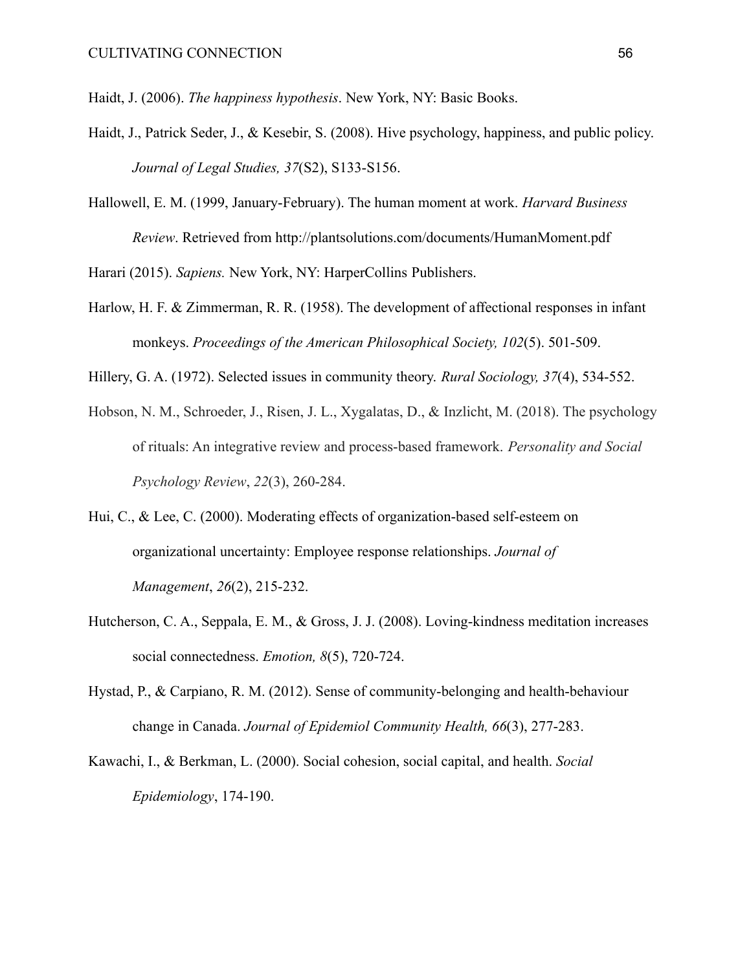Haidt, J. (2006). *The happiness hypothesis*. New York, NY: Basic Books.

- Haidt, J., Patrick Seder, J., & Kesebir, S. (2008). Hive psychology, happiness, and public policy. *Journal of Legal Studies, 37*(S2), S133-S156.
- Hallowell, E. M. (1999, January-February). The human moment at work. *Harvard Business Review*. Retrieved from <http://plantsolutions.com/documents/HumanMoment.pdf>

Harari (2015). *Sapiens.* New York, NY: HarperCollins Publishers.

- Harlow, H. F. & Zimmerman, R. R. (1958). The development of affectional responses in infant monkeys. *Proceedings of the American Philosophical Society, 102*(5). 501-509.
- Hillery, G. A. (1972). Selected issues in community theory. *Rural Sociology, 37*(4), 534-552.
- Hobson, N. M., Schroeder, J., Risen, J. L., Xygalatas, D., & Inzlicht, M. (2018). The psychology of rituals: An integrative review and process-based framework. *Personality and Social Psychology Review*, *22*(3), 260-284.
- Hui, C., & Lee, C. (2000). Moderating effects of organization-based self-esteem on organizational uncertainty: Employee response relationships. *Journal of Management*, *26*(2), 215-232.
- Hutcherson, C. A., Seppala, E. M., & Gross, J. J. (2008). Loving-kindness meditation increases social connectedness. *Emotion, 8*(5), 720-724.
- Hystad, P., & Carpiano, R. M. (2012). Sense of community-belonging and health-behaviour change in Canada. *Journal of Epidemiol Community Health, 66*(3), 277-283.
- Kawachi, I., & Berkman, L. (2000). Social cohesion, social capital, and health. *Social Epidemiology*, 174-190.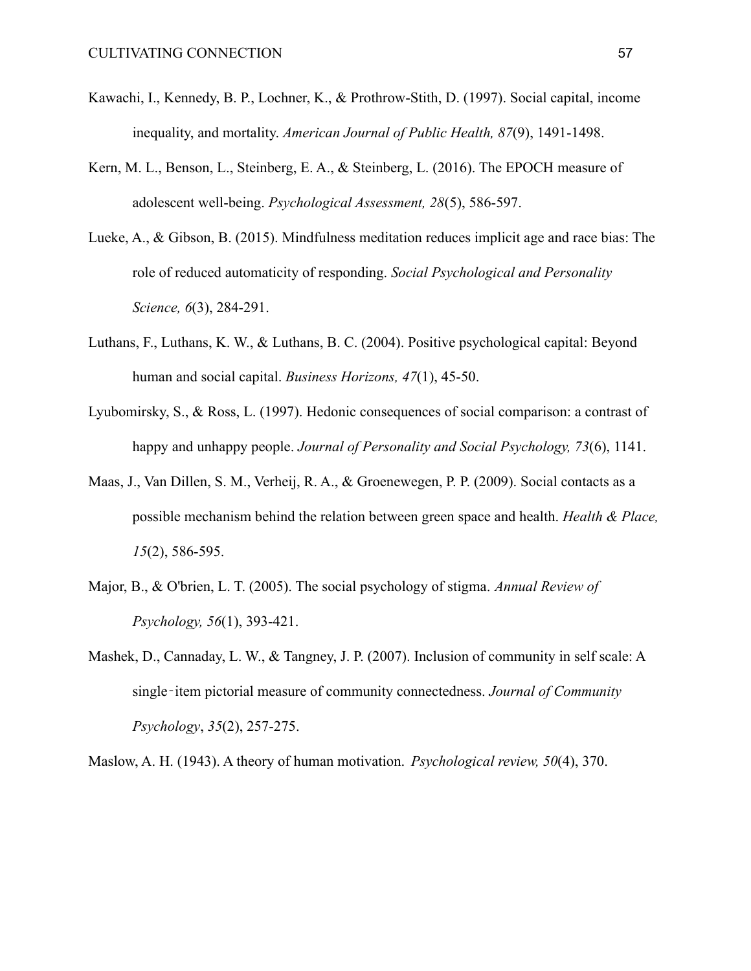- Kawachi, I., Kennedy, B. P., Lochner, K., & Prothrow-Stith, D. (1997). Social capital, income inequality, and mortality. *American Journal of Public Health, 87*(9), 1491-1498.
- Kern, M. L., Benson, L., Steinberg, E. A., & Steinberg, L. (2016). The EPOCH measure of adolescent well-being. *Psychological Assessment, 28*(5), 586-597.
- Lueke, A., & Gibson, B. (2015). Mindfulness meditation reduces implicit age and race bias: The role of reduced automaticity of responding. *Social Psychological and Personality Science, 6*(3), 284-291.
- Luthans, F., Luthans, K. W., & Luthans, B. C. (2004). Positive psychological capital: Beyond human and social capital. *Business Horizons, 47*(1), 45-50.
- Lyubomirsky, S., & Ross, L. (1997). Hedonic consequences of social comparison: a contrast of happy and unhappy people. *Journal of Personality and Social Psychology, 73*(6), 1141.
- Maas, J., Van Dillen, S. M., Verheij, R. A., & Groenewegen, P. P. (2009). Social contacts as a possible mechanism behind the relation between green space and health. *Health & Place, 15*(2), 586-595.
- Major, B., & O'brien, L. T. (2005). The social psychology of stigma. *Annual Review of Psychology, 56*(1), 393-421.
- Mashek, D., Cannaday, L. W., & Tangney, J. P. (2007). Inclusion of community in self scale: A single‐item pictorial measure of community connectedness. *Journal of Community Psychology*, *35*(2), 257-275.

Maslow, A. H. (1943). A theory of human motivation. *Psychological review, 50*(4), 370.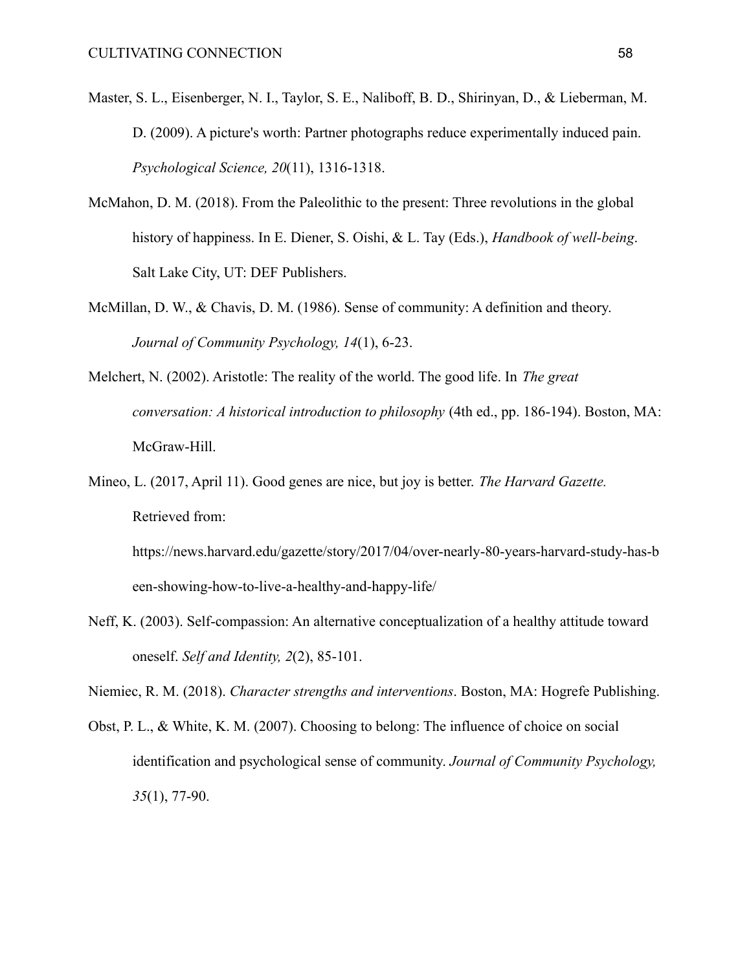- Master, S. L., Eisenberger, N. I., Taylor, S. E., Naliboff, B. D., Shirinyan, D., & Lieberman, M. D. (2009). A picture's worth: Partner photographs reduce experimentally induced pain. *Psychological Science, 20*(11), 1316-1318.
- McMahon, D. M. (2018). From the Paleolithic to the present: Three revolutions in the global history of happiness. In E. Diener, S. Oishi, & L. Tay (Eds.), *Handbook of well-being*. Salt Lake City, UT: DEF Publishers.
- McMillan, D. W., & Chavis, D. M. (1986). Sense of community: A definition and theory. *Journal of Community Psychology, 14*(1), 6-23.
- Melchert, N. (2002). Aristotle: The reality of the world. The good life. In *The great conversation: A historical introduction to philosophy* (4th ed., pp. 186-194). Boston, MA: McGraw-Hill.
- Mineo, L. (2017, April 11). Good genes are nice, but joy is better. *The Harvard Gazette.* Retrieved from:

https://news.harvard.edu/gazette/story/2017/04/over-nearly-80-years-harvard-study-has-b een-showing-how-to-live-a-healthy-and-happy-life/

Neff, K. (2003). Self-compassion: An alternative conceptualization of a healthy attitude toward oneself. *Self and Identity, 2*(2), 85-101.

Niemiec, R. M. (2018). *Character strengths and interventions*. Boston, MA: Hogrefe Publishing.

Obst, P. L., & White, K. M. (2007). Choosing to belong: The influence of choice on social identification and psychological sense of community. *Journal of Community Psychology, 35*(1), 77-90.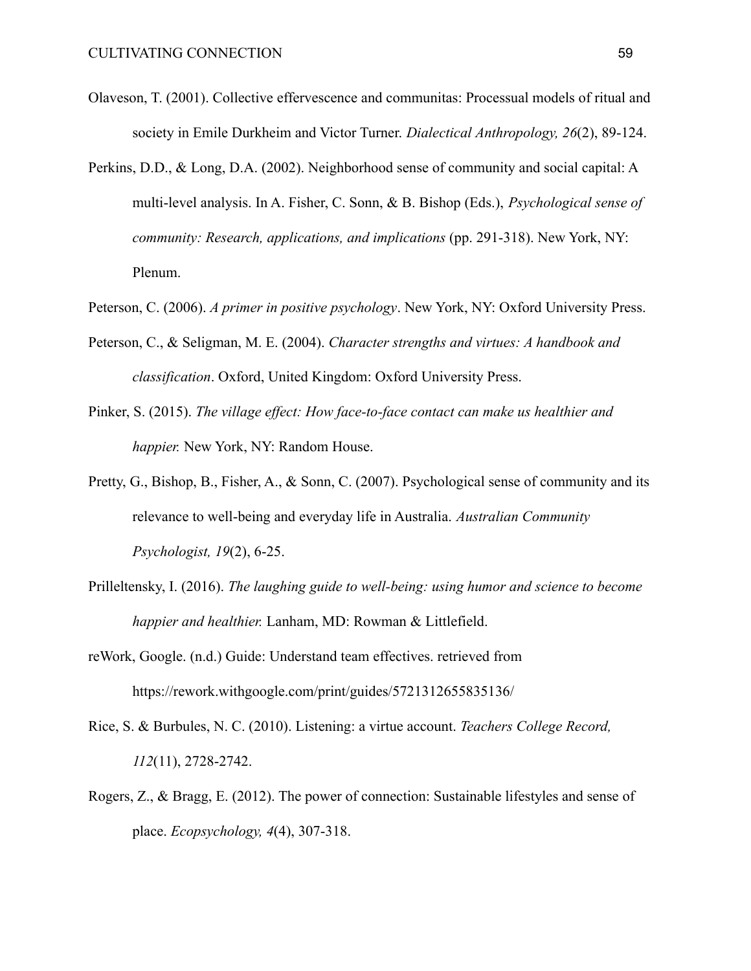- Olaveson, T. (2001). Collective effervescence and communitas: Processual models of ritual and society in Emile Durkheim and Victor Turner. *Dialectical Anthropology, 26*(2), 89-124.
- Perkins, D.D., & Long, D.A. (2002). Neighborhood sense of community and social capital: A multi-level analysis. In A. Fisher, C. Sonn, & B. Bishop (Eds.), *Psychological sense of community: Research, applications, and implications* (pp. 291-318). New York, NY: Plenum.
- Peterson, C. (2006). *A primer in positive psychology*. New York, NY: Oxford University Press.
- Peterson, C., & Seligman, M. E. (2004). *Character strengths and virtues: A handbook and classification*. Oxford, United Kingdom: Oxford University Press.
- Pinker, S. (2015). *The village effect: How face-to-face contact can make us healthier and happier.* New York, NY: Random House.
- Pretty, G., Bishop, B., Fisher, A., & Sonn, C. (2007). Psychological sense of community and its relevance to well-being and everyday life in Australia. *Australian Community Psychologist, 19*(2), 6-25.
- Prilleltensky, I. (2016). *The laughing guide to well-being: using humor and science to become happier and healthier.* Lanham, MD: Rowman & Littlefield.
- reWork, Google. (n.d.) Guide: Understand team effectives. retrieved from <https://rework.withgoogle.com/print/guides/5721312655835136/>
- Rice, S. & Burbules, N. C. (2010). Listening: a virtue account. *Teachers College Record, 112*(11), 2728-2742.
- Rogers, Z., & Bragg, E. (2012). The power of connection: Sustainable lifestyles and sense of place. *Ecopsychology, 4*(4), 307-318.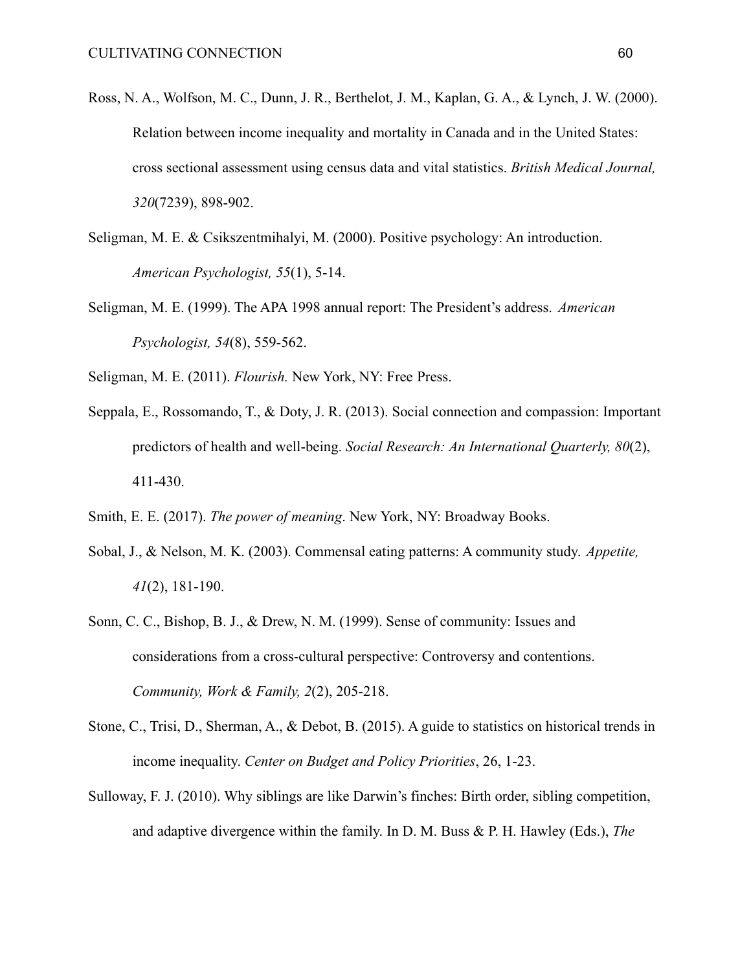- Ross, N. A., Wolfson, M. C., Dunn, J. R., Berthelot, J. M., Kaplan, G. A., & Lynch, J. W. (2000). Relation between income inequality and mortality in Canada and in the United States: cross sectional assessment using census data and vital statistics. *British Medical Journal, 320*(7239), 898-902.
- Seligman, M. E. & Csikszentmihalyi, M. (2000). Positive psychology: An introduction. *American Psychologist, 55*(1), 5-14.
- Seligman, M. E. (1999). The APA 1998 annual report: The President's address. *American Psychologist, 54*(8), 559-562.
- Seligman, M. E. (2011). *Flourish.* New York, NY: Free Press.
- Seppala, E., Rossomando, T., & Doty, J. R. (2013). Social connection and compassion: Important predictors of health and well-being. *Social Research: An International Quarterly, 80*(2), 411-430.
- Smith, E. E. (2017). *The power of meaning*. New York, NY: Broadway Books.
- Sobal, J., & Nelson, M. K. (2003). Commensal eating patterns: A community study. *Appetite, 41*(2), 181-190.
- Sonn, C. C., Bishop, B. J., & Drew, N. M. (1999). Sense of community: Issues and considerations from a cross-cultural perspective: Controversy and contentions. *Community, Work & Family, 2*(2), 205-218.
- Stone, C., Trisi, D., Sherman, A., & Debot, B. (2015). A guide to statistics on historical trends in income inequality. *Center on Budget and Policy Priorities*, 26, 1-23.
- Sulloway, F. J. (2010). Why siblings are like Darwin's finches: Birth order, sibling competition, and adaptive divergence within the family. In D. M. Buss & P. H. Hawley (Eds.), *The*